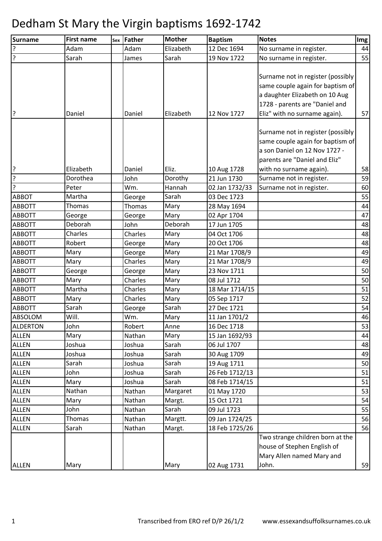| <b>Surname</b>  | <b>First name</b> | Sex | Father  | <b>Mother</b> | <b>Baptism</b> | <b>Notes</b>                                                                                                                                                       | Img |
|-----------------|-------------------|-----|---------|---------------|----------------|--------------------------------------------------------------------------------------------------------------------------------------------------------------------|-----|
| ?               | Adam              |     | Adam    | Elizabeth     | 12 Dec 1694    | No surname in register.                                                                                                                                            | 44  |
| ?               | Sarah             |     | James   | Sarah         | 19 Nov 1722    | No surname in register.                                                                                                                                            | 55  |
|                 |                   |     |         |               |                | Surname not in register (possibly<br>same couple again for baptism of<br>a daughter Elizabeth on 10 Aug<br>1728 - parents are "Daniel and                          |     |
| ?               | Daniel            |     | Daniel  | Elizabeth     | 12 Nov 1727    | Eliz" with no surname again).                                                                                                                                      | 57  |
| ?               | Elizabeth         |     | Daniel  | Eliz.         | 10 Aug 1728    | Surname not in register (possibly<br>same couple again for baptism of<br>a son Daniel on 12 Nov 1727 -<br>parents are "Daniel and Eliz"<br>with no surname again). | 58  |
| ا د.            | Dorothea          |     | John    | Dorothy       | 21 Jun 1730    | Surname not in register.                                                                                                                                           | 59  |
| ?               | Peter             |     | Wm.     | Hannah        | 02 Jan 1732/33 | Surname not in register.                                                                                                                                           | 60  |
| <b>ABBOT</b>    | Martha            |     | George  | Sarah         | 03 Dec 1723    |                                                                                                                                                                    | 55  |
| <b>ABBOTT</b>   | Thomas            |     | Thomas  | Mary          | 28 May 1694    |                                                                                                                                                                    | 44  |
| <b>ABBOTT</b>   | George            |     | George  | Mary          | 02 Apr 1704    |                                                                                                                                                                    | 47  |
| <b>ABBOTT</b>   | Deborah           |     | John    | Deborah       | 17 Jun 1705    |                                                                                                                                                                    | 48  |
| <b>ABBOTT</b>   | Charles           |     | Charles | Mary          | 04 Oct 1706    |                                                                                                                                                                    | 48  |
| <b>ABBOTT</b>   | Robert            |     | George  | Mary          | 20 Oct 1706    |                                                                                                                                                                    | 48  |
| <b>ABBOTT</b>   | Mary              |     | George  | Mary          | 21 Mar 1708/9  |                                                                                                                                                                    | 49  |
| <b>ABBOTT</b>   | Mary              |     | Charles | Mary          | 21 Mar 1708/9  |                                                                                                                                                                    | 49  |
| <b>ABBOTT</b>   | George            |     | George  | Mary          | 23 Nov 1711    |                                                                                                                                                                    | 50  |
| <b>ABBOTT</b>   | Mary              |     | Charles | Mary          | 08 Jul 1712    |                                                                                                                                                                    | 50  |
| <b>ABBOTT</b>   | Martha            |     | Charles | Mary          | 18 Mar 1714/15 |                                                                                                                                                                    | 51  |
| <b>ABBOTT</b>   | Mary              |     | Charles | Mary          | 05 Sep 1717    |                                                                                                                                                                    | 52  |
| <b>ABBOTT</b>   | Sarah             |     | George  | Sarah         | 27 Dec 1721    |                                                                                                                                                                    | 54  |
| ABSOLOM         | Will.             |     | Wm.     | Mary          | 11 Jan 1701/2  |                                                                                                                                                                    | 46  |
| <b>ALDERTON</b> | John              |     | Robert  | Anne          | 16 Dec 1718    |                                                                                                                                                                    | 53  |
| <b>ALLEN</b>    | Mary              |     | Nathan  | Mary          | 15 Jan 1692/93 |                                                                                                                                                                    | 44  |
| <b>ALLEN</b>    | Joshua            |     | Joshua  | Sarah         | 06 Jul 1707    |                                                                                                                                                                    | 48  |
| <b>ALLEN</b>    | Joshua            |     | Joshua  | Sarah         | 30 Aug 1709    |                                                                                                                                                                    | 49  |
| <b>ALLEN</b>    | Sarah             |     | Joshua  | Sarah         | 19 Aug 1711    |                                                                                                                                                                    | 50  |
| <b>ALLEN</b>    | John              |     | Joshua  | Sarah         | 26 Feb 1712/13 |                                                                                                                                                                    | 51  |
| <b>ALLEN</b>    | Mary              |     | Joshua  | Sarah         | 08 Feb 1714/15 |                                                                                                                                                                    | 51  |
| <b>ALLEN</b>    | Nathan            |     | Nathan  | Margaret      | 01 May 1720    |                                                                                                                                                                    | 53  |
| <b>ALLEN</b>    | Mary              |     | Nathan  | Margt.        | 15 Oct 1721    |                                                                                                                                                                    | 54  |
| <b>ALLEN</b>    | John              |     | Nathan  | Sarah         | 09 Jul 1723    |                                                                                                                                                                    | 55  |
| <b>ALLEN</b>    | Thomas            |     | Nathan  | Margtt.       | 09 Jan 1724/25 |                                                                                                                                                                    | 56  |
| <b>ALLEN</b>    | Sarah             |     | Nathan  | Margt.        | 18 Feb 1725/26 |                                                                                                                                                                    | 56  |
|                 |                   |     |         |               |                | Two strange children born at the<br>house of Stephen English of<br>Mary Allen named Mary and                                                                       |     |
| <b>ALLEN</b>    | Mary              |     |         | Mary          | 02 Aug 1731    | John.                                                                                                                                                              | 59  |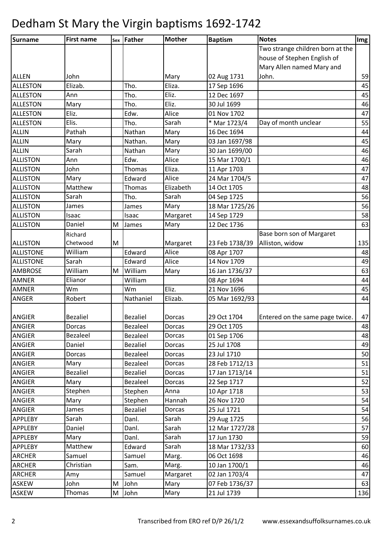| Surname          | <b>First name</b> |   | sex Father      | <b>Mother</b> | <b>Baptism</b> | <b>Notes</b>                     | Img |
|------------------|-------------------|---|-----------------|---------------|----------------|----------------------------------|-----|
|                  |                   |   |                 |               |                | Two strange children born at the |     |
|                  |                   |   |                 |               |                | house of Stephen English of      |     |
|                  |                   |   |                 |               |                | Mary Allen named Mary and        |     |
| <b>ALLEN</b>     | John              |   |                 | Mary          | 02 Aug 1731    | John.                            | 59  |
| <b>ALLESTON</b>  | Elizab.           |   | Tho.            | Eliza.        | 17 Sep 1696    |                                  | 45  |
| <b>ALLESTON</b>  | Ann               |   | Tho.            | Eliz.         | 12 Dec 1697    |                                  | 45  |
| <b>ALLESTON</b>  | Mary              |   | Tho.            | Eliz.         | 30 Jul 1699    |                                  | 46  |
| <b>ALLESTON</b>  | Eliz.             |   | Edw.            | Alice         | 01 Nov 1702    |                                  | 47  |
| <b>ALLESTON</b>  | Elis.             |   | Tho.            | Sarah         | * Mar 1723/4   | Day of month unclear             | 55  |
| <b>ALLIN</b>     | Pathah            |   | Nathan          | Mary          | 16 Dec 1694    |                                  | 44  |
| <b>ALLIN</b>     | Mary              |   | Nathan.         | Mary          | 03 Jan 1697/98 |                                  | 45  |
| <b>ALLIN</b>     | Sarah             |   | Nathan          | Mary          | 30 Jan 1699/00 |                                  | 46  |
| <b>ALLISTON</b>  | Ann               |   | Edw.            | Alice         | 15 Mar 1700/1  |                                  | 46  |
| <b>ALLISTON</b>  | John              |   | Thomas          | Eliza.        | 11 Apr 1703    |                                  | 47  |
| <b>ALLISTON</b>  | Mary              |   | Edward          | Alice         | 24 Mar 1704/5  |                                  | 47  |
| <b>ALLISTON</b>  | Matthew           |   | Thomas          | Elizabeth     | 14 Oct 1705    |                                  | 48  |
| <b>ALLISTON</b>  | Sarah             |   | Tho.            | Sarah         | 04 Sep 1725    |                                  | 56  |
| <b>ALLISTON</b>  | James             |   | James           | Mary          | 18 Mar 1725/26 |                                  | 56  |
| <b>ALLISTON</b>  | Isaac             |   | Isaac           | Margaret      | 14 Sep 1729    |                                  | 58  |
| <b>ALLISTON</b>  | Daniel            | M | James           | Mary          | 12 Dec 1736    |                                  | 63  |
|                  | Richard           |   |                 |               |                | Base born son of Margaret        |     |
| <b>ALLISTON</b>  | Chetwood          | M |                 | Margaret      | 23 Feb 1738/39 | Alliston, widow                  | 135 |
| <b>ALLISTONE</b> | William           |   | Edward          | Alice         | 08 Apr 1707    |                                  | 48  |
| <b>ALLISTONE</b> | Sarah             |   | Edward          | Alice         | 14 Nov 1709    |                                  | 49  |
| <b>AMBROSE</b>   | William           | M | William         | Mary          | 16 Jan 1736/37 |                                  | 63  |
| <b>AMNER</b>     | Elianor           |   | William         |               | 08 Apr 1694    |                                  | 44  |
| <b>AMNER</b>     | Wm                |   | Wm              | Eliz.         | 21 Nov 1696    |                                  | 45  |
| <b>ANGER</b>     | Robert            |   | Nathaniel       | Elizab.       | 05 Mar 1692/93 |                                  | 44  |
|                  |                   |   |                 |               |                |                                  |     |
| <b>ANGIER</b>    | <b>Bezaliel</b>   |   | <b>Bezaliel</b> | Dorcas        | 29 Oct 1704    | Entered on the same page twice.  | 47  |
| <b>ANGIER</b>    | Dorcas            |   | Bezaleel        | Dorcas        | 29 Oct 1705    |                                  | 48  |
| ANGIER           | Bezaleel          |   | Bezaleel        | Dorcas        | 01 Sep 1706    |                                  | 48  |
| ANGIER           | Daniel            |   | <b>Bezaliel</b> | Dorcas        | 25 Jul 1708    |                                  | 49  |
| <b>ANGIER</b>    | Dorcas            |   | Bezaleel        | Dorcas        | 23 Jul 1710    |                                  | 50  |
| <b>ANGIER</b>    | Mary              |   | <b>Bezaleel</b> | Dorcas        | 28 Feb 1712/13 |                                  | 51  |
| <b>ANGIER</b>    | Bezaliel          |   | <b>Bezaliel</b> | Dorcas        | 17 Jan 1713/14 |                                  | 51  |
| ANGIER           | Mary              |   | Bezaleel        | Dorcas        | 22 Sep 1717    |                                  | 52  |
| ANGIER           | Stephen           |   | Stephen         | Anna          | 10 Apr 1718    |                                  | 53  |
| <b>ANGIER</b>    | Mary              |   | Stephen         | Hannah        | 26 Nov 1720    |                                  | 54  |
| <b>ANGIER</b>    | James             |   | <b>Bezaliel</b> | Dorcas        | 25 Jul 1721    |                                  | 54  |
| <b>APPLEBY</b>   | Sarah             |   | Danl.           | Sarah         | 29 Aug 1725    |                                  | 56  |
| <b>APPLEBY</b>   | Daniel            |   | Danl.           | Sarah         | 12 Mar 1727/28 |                                  | 57  |
| <b>APPLEBY</b>   | Mary              |   | Danl.           | Sarah         | 17 Jun 1730    |                                  | 59  |
| <b>APPLEBY</b>   | Matthew           |   | Edward          | Sarah         | 18 Mar 1732/33 |                                  | 60  |
| <b>ARCHER</b>    | Samuel            |   | Samuel          | Marg.         | 06 Oct 1698    |                                  | 46  |
| <b>ARCHER</b>    | Christian         |   | Sam.            | Marg.         | 10 Jan 1700/1  |                                  | 46  |
| <b>ARCHER</b>    | Amy               |   | Samuel          | Margaret      | 02 Jan 1703/4  |                                  | 47  |
| <b>ASKEW</b>     | John              | M | John            | Mary          | 07 Feb 1736/37 |                                  | 63  |
| <b>ASKEW</b>     | Thomas            | M | John            | Mary          | 21 Jul 1739    |                                  | 136 |
|                  |                   |   |                 |               |                |                                  |     |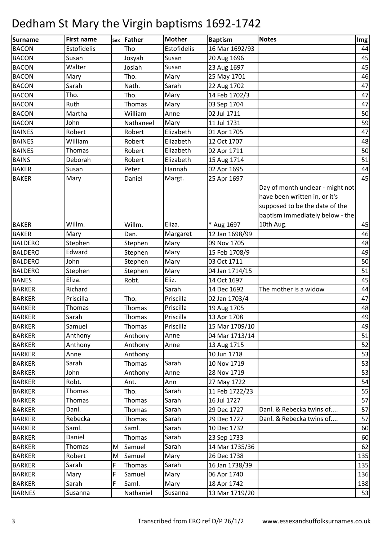| <b>Surname</b> | <b>First name</b> |   | sex Father    | <b>Mother</b> | <b>Baptism</b> | <b>Notes</b>                                                                                                                           | Img |
|----------------|-------------------|---|---------------|---------------|----------------|----------------------------------------------------------------------------------------------------------------------------------------|-----|
| <b>BACON</b>   | Estofidelis       |   | Tho           | Estofidelis   | 16 Mar 1692/93 |                                                                                                                                        | 44  |
| <b>BACON</b>   | Susan             |   | Josyah        | Susan         | 20 Aug 1696    |                                                                                                                                        | 45  |
| <b>BACON</b>   | Walter            |   | Josiah        | Susan         | 23 Aug 1697    |                                                                                                                                        | 45  |
| <b>BACON</b>   | Mary              |   | Tho.          | Mary          | 25 May 1701    |                                                                                                                                        | 46  |
| <b>BACON</b>   | Sarah             |   | Nath.         | Sarah         | 22 Aug 1702    |                                                                                                                                        | 47  |
| <b>BACON</b>   | Tho.              |   | Tho.          | Mary          | 14 Feb 1702/3  |                                                                                                                                        | 47  |
| <b>BACON</b>   | Ruth              |   | Thomas        | Mary          | 03 Sep 1704    |                                                                                                                                        | 47  |
| <b>BACON</b>   | Martha            |   | William       | Anne          | 02 Jul 1711    |                                                                                                                                        | 50  |
| <b>BACON</b>   | John              |   | Nathaneel     | Mary          | 11 Jul 1731    |                                                                                                                                        | 59  |
| <b>BAINES</b>  | Robert            |   | Robert        | Elizabeth     | 01 Apr 1705    |                                                                                                                                        | 47  |
| <b>BAINES</b>  | William           |   | Robert        | Elizabeth     | 12 Oct 1707    |                                                                                                                                        | 48  |
| <b>BAINES</b>  | Thomas            |   | Robert        | Elizabeth     | 02 Apr 1711    |                                                                                                                                        | 50  |
| <b>BAINS</b>   | Deborah           |   | Robert        | Elizabeth     | 15 Aug 1714    |                                                                                                                                        | 51  |
| <b>BAKER</b>   | Susan             |   | Peter         | Hannah        | 02 Apr 1695    |                                                                                                                                        | 44  |
| <b>BAKER</b>   | Mary              |   | Daniel        | Margt.        | 25 Apr 1697    |                                                                                                                                        | 45  |
|                |                   |   |               |               |                | Day of month unclear - might not<br>have been written in, or it's<br>supposed to be the date of the<br>baptism immediately below - the |     |
| <b>BAKER</b>   | Willm.            |   | Willm.        | Eliza.        | * Aug 1697     | 10th Aug.                                                                                                                              | 45  |
| <b>BAKER</b>   | Mary              |   | Dan.          | Margaret      | 12 Jan 1698/99 |                                                                                                                                        | 46  |
| <b>BALDERO</b> | Stephen           |   | Stephen       | Mary          | 09 Nov 1705    |                                                                                                                                        | 48  |
| <b>BALDERO</b> | Edward            |   | Stephen       | Mary          | 15 Feb 1708/9  |                                                                                                                                        | 49  |
| <b>BALDERO</b> | John              |   | Stephen       | Mary          | 03 Oct 1711    |                                                                                                                                        | 50  |
| <b>BALDERO</b> | Stephen           |   | Stephen       | Mary          | 04 Jan 1714/15 |                                                                                                                                        | 51  |
| <b>BANES</b>   | Eliza.            |   | Robt.         | Eliz.         | 14 Oct 1697    |                                                                                                                                        | 45  |
| <b>BARKER</b>  | Richard           |   |               | Sarah         | 14 Dec 1692    | The mother is a widow                                                                                                                  | 44  |
| <b>BARKER</b>  | Priscilla         |   | Tho.          | Priscilla     | 02 Jan 1703/4  |                                                                                                                                        | 47  |
| <b>BARKER</b>  | Thomas            |   | Thomas        | Priscilla     | 19 Aug 1705    |                                                                                                                                        | 48  |
| <b>BARKER</b>  | Sarah             |   | Thomas        | Priscilla     | 13 Apr 1708    |                                                                                                                                        | 49  |
| <b>BARKER</b>  | Samuel            |   | Thomas        | Priscilla     | 15 Mar 1709/10 |                                                                                                                                        | 49  |
| <b>BARKER</b>  | Anthony           |   | Anthony       | Anne          | 04 Mar 1713/14 |                                                                                                                                        | 51  |
| <b>BARKER</b>  | Anthony           |   | Anthony       | Anne          | 13 Aug 1715    |                                                                                                                                        | 52  |
| <b>BARKER</b>  | Anne              |   | Anthony       |               | 10 Jun 1718    |                                                                                                                                        | 53  |
| <b>BARKER</b>  | Sarah             |   | Thomas        | Sarah         | 10 Nov 1719    |                                                                                                                                        | 53  |
| <b>BARKER</b>  | John              |   | Anthony       | Anne          | 28 Nov 1719    |                                                                                                                                        | 53  |
| <b>BARKER</b>  | Robt.             |   | Ant.          | Ann           | 27 May 1722    |                                                                                                                                        | 54  |
| <b>BARKER</b>  | Thomas            |   | Tho.          | Sarah         | 11 Feb 1722/23 |                                                                                                                                        | 55  |
| <b>BARKER</b>  | Thomas            |   | <b>Thomas</b> | Sarah         | 16 Jul 1727    |                                                                                                                                        | 57  |
| <b>BARKER</b>  | Danl.             |   | Thomas        | Sarah         | 29 Dec 1727    | Danl. & Rebecka twins of                                                                                                               | 57  |
| <b>BARKER</b>  | Rebecka           |   | Thomas        | Sarah         | 29 Dec 1727    | Danl. & Rebecka twins of                                                                                                               | 57  |
| <b>BARKER</b>  | Saml.             |   | Saml.         | Sarah         | 10 Dec 1732    |                                                                                                                                        | 60  |
| <b>BARKER</b>  | Daniel            |   | Thomas        | Sarah         | 23 Sep 1733    |                                                                                                                                        | 60  |
| <b>BARKER</b>  | Thomas            | M | Samuel        | Sarah         | 14 Mar 1735/36 |                                                                                                                                        | 62  |
| <b>BARKER</b>  | Robert            | M | Samuel        | Mary          | 26 Dec 1738    |                                                                                                                                        | 135 |
| <b>BARKER</b>  | Sarah             | F | Thomas        | Sarah         | 16 Jan 1738/39 |                                                                                                                                        | 135 |
| <b>BARKER</b>  | Mary              | F | Samuel        | Mary          | 06 Apr 1740    |                                                                                                                                        | 136 |
| <b>BARKER</b>  | Sarah             | F | Saml.         | Mary          | 18 Apr 1742    |                                                                                                                                        | 138 |
| <b>BARNES</b>  | Susanna           |   | Nathaniel     | Susanna       | 13 Mar 1719/20 |                                                                                                                                        | 53  |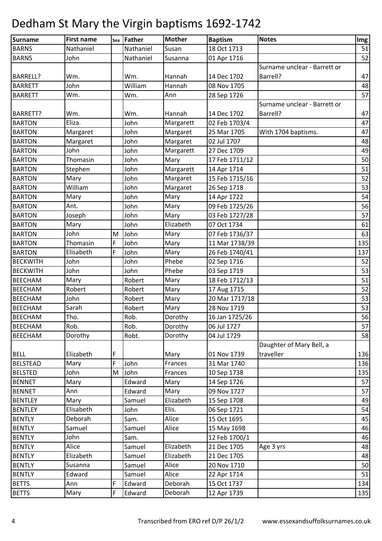| <b>Surname</b>  | <b>First name</b> |   | sex Father | <b>Mother</b> | <b>Baptism</b> | <b>Notes</b>                 | Img |
|-----------------|-------------------|---|------------|---------------|----------------|------------------------------|-----|
| <b>BARNS</b>    | Nathaniel         |   | Nathaniel  | Susan         | 18 Oct 1713    |                              | 51  |
| <b>BARNS</b>    | John              |   | Nathaniel  | Susanna       | 01 Apr 1716    |                              | 52  |
|                 |                   |   |            |               |                | Surname unclear - Barrett or |     |
| <b>BARRELL?</b> | Wm.               |   | Wm.        | Hannah        | 14 Dec 1702    | Barrell?                     | 47  |
| <b>BARRETT</b>  | John              |   | William    | Hannah        | 08 Nov 1705    |                              | 48  |
| <b>BARRETT</b>  | Wm.               |   | Wm.        | Ann           | 28 Sep 1726    |                              | 57  |
|                 |                   |   |            |               |                | Surname unclear - Barrett or |     |
| <b>BARRETT?</b> | Wm.               |   | Wm.        | Hannah        | 14 Dec 1702    | Barrell?                     | 47  |
| <b>BARTON</b>   | Eliza.            |   | John       | Margarett     | 02 Feb 1703/4  |                              | 47  |
| <b>BARTON</b>   | Margaret          |   | John       | Margaret      | 25 Mar 1705    | With 1704 baptisms.          | 47  |
| <b>BARTON</b>   | Margaret          |   | John       | Margaret      | 02 Jul 1707    |                              | 48  |
| <b>BARTON</b>   | John              |   | John       | Margarett     | 27 Dec 1709    |                              | 49  |
| <b>BARTON</b>   | Thomasin          |   | John       | Mary          | 17 Feb 1711/12 |                              | 50  |
| <b>BARTON</b>   | Stephen           |   | John       | Margarett     | 14 Apr 1714    |                              | 51  |
| <b>BARTON</b>   | Mary              |   | John       | Margaret      | 15 Feb 1715/16 |                              | 52  |
| <b>BARTON</b>   | William           |   | John       | Margaret      | 26 Sep 1718    |                              | 53  |
| <b>BARTON</b>   | Mary              |   | John       | Mary          | 14 Apr 1722    |                              | 54  |
| <b>BARTON</b>   | Ant.              |   | John       | Mary          | 09 Feb 1725/26 |                              | 56  |
| <b>BARTON</b>   | Joseph            |   | John       | Mary          | 03 Feb 1727/28 |                              | 57  |
| <b>BARTON</b>   | Mary              |   | John       | Elizabeth     | 07 Oct 1734    |                              | 61  |
| <b>BARTON</b>   | John              | M | John       | Mary          | 07 Feb 1736/37 |                              | 63  |
| <b>BARTON</b>   | Thomasin          | F | John       | Mary          | 11 Mar 1738/39 |                              | 135 |
| <b>BARTON</b>   | Elisabeth         | F | John       | Mary          | 26 Feb 1740/41 |                              | 137 |
| <b>BECKWITH</b> | John              |   | John       | Phebe         | 02 Sep 1716    |                              | 52  |
| <b>BECKWITH</b> | John              |   | John       | Phebe         | 03 Sep 1719    |                              | 53  |
| <b>BEECHAM</b>  | Mary              |   | Robert     | Mary          | 18 Feb 1712/13 |                              | 51  |
| <b>BEECHAM</b>  | Robert            |   | Robert     | Mary          | 17 Aug 1715    |                              | 52  |
| <b>BEECHAM</b>  | John              |   | Robert     | Mary          | 20 Mar 1717/18 |                              | 53  |
| <b>BEECHAM</b>  | Sarah             |   | Robert     | Mary          | 28 Nov 1719    |                              | 53  |
| <b>BEECHAM</b>  | Tho.              |   | Rob.       | Dorothy       | 16 Jan 1725/26 |                              | 56  |
| <b>BEECHAM</b>  | Rob.              |   | Rob.       | Dorothy       | 06 Jul 1727    |                              | 57  |
| <b>BEECHAM</b>  | Dorothy           |   | Robt.      | Dorothy       | 04 Jul 1729    |                              | 58  |
|                 |                   |   |            |               |                | Daughter of Mary Bell, a     |     |
| <b>BELL</b>     | Elizabeth         | F |            | Mary          | 01 Nov 1739    | traveller                    | 136 |
| <b>BELSTEAD</b> | Mary              | F | John       | Frances       | 31 Mar 1740    |                              | 136 |
| <b>BELSTED</b>  | John              | M | John       | Frances       | 10 Sep 1738    |                              | 135 |
| <b>BENNET</b>   | Mary              |   | Edward     | Mary          | 14 Sep 1726    |                              | 57  |
| <b>BENNET</b>   | Ann               |   | Edward     | Mary          | 09 Nov 1727    |                              | 57  |
| <b>BENTLEY</b>  | Mary              |   | Samuel     | Elizabeth     | 15 Sep 1708    |                              | 49  |
| <b>BENTLEY</b>  | Elisabeth         |   | John       | Elis.         | 06 Sep 1721    |                              | 54  |
| <b>BENTLY</b>   | Deborah           |   | Sam.       | Alice         | 15 Oct 1695    |                              | 45  |
| <b>BENTLY</b>   | Samuel            |   | Samuel     | Alice         | 15 May 1698    |                              | 46  |
| <b>BENTLY</b>   | John              |   | Sam.       |               | 12 Feb 1700/1  |                              | 46  |
| <b>BENTLY</b>   | Alice             |   | Samuel     | Elizabeth     | 21 Dec 1705    | Age 3 yrs                    | 48  |
| <b>BENTLY</b>   | Elizabeth         |   | Samuel     | Elizabeth     | 21 Dec 1705    |                              | 48  |
| <b>BENTLY</b>   | Susanna           |   | Samuel     | Alice         | 20 Nov 1710    |                              | 50  |
| <b>BENTLY</b>   | Edward            |   | Samuel     | Alice         | 22 Apr 1714    |                              | 51  |
| <b>BETTS</b>    | Ann               | F | Edward     | Deborah       | 15 Oct 1737    |                              | 134 |
| <b>BETTS</b>    | Mary              | F | Edward     | Deborah       | 12 Apr 1739    |                              | 135 |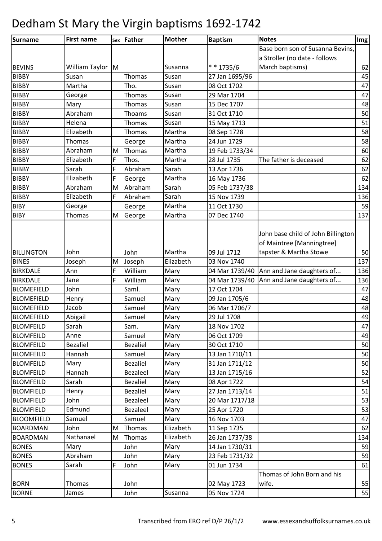| Surname           | <b>First name</b> |   | sex Father      | <b>Mother</b> | <b>Baptism</b> | <b>Notes</b>                       | Img |
|-------------------|-------------------|---|-----------------|---------------|----------------|------------------------------------|-----|
|                   |                   |   |                 |               |                | Base born son of Susanna Bevins,   |     |
|                   |                   |   |                 |               |                | a Stroller (no date - follows      |     |
| <b>BEVINS</b>     | William Taylor    | M |                 | Susanna       | $* * 1735/6$   | March baptisms)                    | 62  |
| <b>BIBBY</b>      | Susan             |   | Thomas          | Susan         | 27 Jan 1695/96 |                                    | 45  |
| <b>BIBBY</b>      | Martha            |   | Tho.            | Susan         | 08 Oct 1702    |                                    | 47  |
| <b>BIBBY</b>      | George            |   | Thomas          | Susan         | 29 Mar 1704    |                                    | 47  |
| <b>BIBBY</b>      | Mary              |   | Thomas          | Susan         | 15 Dec 1707    |                                    | 48  |
| <b>BIBBY</b>      | Abraham           |   | Thoams          | Susan         | 31 Oct 1710    |                                    | 50  |
| <b>BIBBY</b>      | Helena            |   | Thomas          | Susan         | 15 May 1713    |                                    | 51  |
| <b>BIBBY</b>      | Elizabeth         |   | Thomas          | Martha        | 08 Sep 1728    |                                    | 58  |
| <b>BIBBY</b>      | Thomas            |   | George          | Martha        | 24 Jun 1729    |                                    | 58  |
| <b>BIBBY</b>      | Abraham           | M | Thomas          | Martha        | 19 Feb 1733/34 |                                    | 60  |
| <b>BIBBY</b>      | Elizabeth         | F | Thos.           | Martha        | 28 Jul 1735    | The father is deceased             | 62  |
| <b>BIBBY</b>      | Sarah             | F | Abraham         | Sarah         | 13 Apr 1736    |                                    | 62  |
| <b>BIBBY</b>      | Elizabeth         | F | George          | Martha        | 16 May 1736    |                                    | 62  |
| <b>BIBBY</b>      | Abraham           | M | Abraham         | Sarah         | 05 Feb 1737/38 |                                    | 134 |
| <b>BIBBY</b>      | Elizabeth         | F | Abraham         | Sarah         | 15 Nov 1739    |                                    | 136 |
| <b>BIBY</b>       | George            |   | George          | Martha        | 11 Oct 1730    |                                    | 59  |
| <b>BIBY</b>       | <b>Thomas</b>     | M | George          | Martha        | 07 Dec 1740    |                                    | 137 |
|                   |                   |   |                 |               |                |                                    |     |
|                   |                   |   |                 |               |                | John base child of John Billington |     |
|                   |                   |   |                 |               |                | of Maintree [Manningtree]          |     |
| <b>BILLINGTON</b> | John              |   | John            | Martha        | 09 Jul 1712    | tapster & Martha Stowe             | 50  |
| <b>BINES</b>      | Joseph            | M | Joseph          | Elizabeth     | 03 Nov 1740    |                                    | 137 |
| <b>BIRKDALE</b>   | Ann               | F | William         | Mary          | 04 Mar 1739/40 | Ann and Jane daughters of          | 136 |
| <b>BIRKDALE</b>   | Jane              | F | William         | Mary          | 04 Mar 1739/40 | Ann and Jane daughters of          | 136 |
| <b>BLOMEFIELD</b> | John              |   | Saml.           | Mary          | 17 Oct 1704    |                                    | 47  |
| <b>BLOMEFIELD</b> | Henry             |   | Samuel          | Mary          | 09 Jan 1705/6  |                                    | 48  |
| <b>BLOMEFIELD</b> | Jacob             |   | Samuel          | Mary          | 06 Mar 1706/7  |                                    | 48  |
| <b>BLOMEFIELD</b> | Abigail           |   | Samuel          | Mary          | 29 Jul 1708    |                                    | 49  |
| <b>BLOMFEILD</b>  | Sarah             |   | Sam.            | Mary          | 18 Nov 1702    |                                    | 47  |
| <b>BLOMFEILD</b>  | Anne              |   | Samuel          | Mary          | 06 Oct 1709    |                                    | 49  |
| <b>BLOMFEILD</b>  | Bezaliel          |   | <b>Bezaliel</b> | Mary          | 30 Oct 1710    |                                    | 50  |
| <b>BLOMFEILD</b>  | Hannah            |   | Samuel          | Mary          | 13 Jan 1710/11 |                                    | 50  |
| <b>BLOMFEILD</b>  | Mary              |   | <b>Bezaliel</b> | Mary          | 31 Jan 1711/12 |                                    | 50  |
| <b>BLOMFEILD</b>  | Hannah            |   | Bezaleel        | Mary          | 13 Jan 1715/16 |                                    | 52  |
| <b>BLOMFEILD</b>  | Sarah             |   | <b>Bezaliel</b> | Mary          | 08 Apr 1722    |                                    | 54  |
| <b>BLOMFIELD</b>  | Henry             |   | <b>Bezaliel</b> | Mary          | 27 Jan 1713/14 |                                    | 51  |
| <b>BLOMFIELD</b>  | John              |   | Bezaleel        | Mary          | 20 Mar 1717/18 |                                    | 53  |
| <b>BLOMFIELD</b>  | Edmund            |   | Bezaleel        | Mary          | 25 Apr 1720    |                                    | 53  |
| <b>BLOOMFIELD</b> | Samuel            |   | Samuel          | Mary          | 16 Nov 1703    |                                    | 47  |
| <b>BOARDMAN</b>   | John              | М | Thomas          | Elizabeth     | 11 Sep 1735    |                                    | 62  |
| <b>BOARDMAN</b>   | Nathanael         | M | Thomas          | Elizabeth     | 26 Jan 1737/38 |                                    | 134 |
| <b>BONES</b>      | Mary              |   | John            | Mary          | 14 Jan 1730/31 |                                    | 59  |
| <b>BONES</b>      | Abraham           |   | John            | Mary          | 23 Feb 1731/32 |                                    | 59  |
| <b>BONES</b>      | Sarah             | F | John            | Mary          | 01 Jun 1734    |                                    | 61  |
|                   |                   |   |                 |               |                | Thomas of John Born and his        |     |
| <b>BORN</b>       | Thomas            |   | John            |               | 02 May 1723    | wife.                              | 55  |
| <b>BORNE</b>      | James             |   | John            | Susanna       | 05 Nov 1724    |                                    | 55  |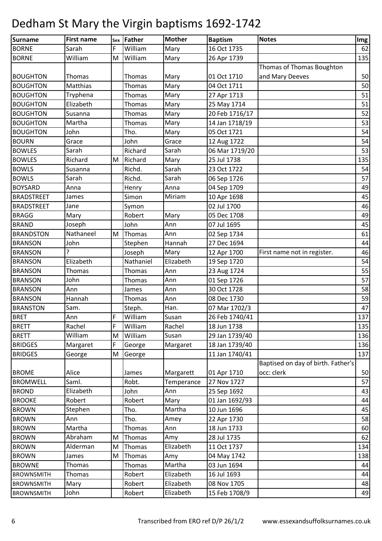| Surname           | <b>First name</b> |   | sex Father | <b>Mother</b> | <b>Baptism</b> | <b>Notes</b>                       | Img |
|-------------------|-------------------|---|------------|---------------|----------------|------------------------------------|-----|
| <b>BORNE</b>      | Sarah             | F | William    | Mary          | 16 Oct 1735    |                                    | 62  |
| <b>BORNE</b>      | William           | M | William    | Mary          | 26 Apr 1739    |                                    | 135 |
|                   |                   |   |            |               |                | Thomas of Thomas Boughton          |     |
| <b>BOUGHTON</b>   | Thomas            |   | Thomas     | Mary          | 01 Oct 1710    | and Mary Deeves                    | 50  |
| <b>BOUGHTON</b>   | Matthias          |   | Thomas     | Mary          | 04 Oct 1711    |                                    | 50  |
| <b>BOUGHTON</b>   | Tryphena          |   | Thomas     | Mary          | 27 Apr 1713    |                                    | 51  |
| <b>BOUGHTON</b>   | Elizabeth         |   | Thomas     | Mary          | 25 May 1714    |                                    | 51  |
| <b>BOUGHTON</b>   | Susanna           |   | Thomas     | Mary          | 20 Feb 1716/17 |                                    | 52  |
| <b>BOUGHTON</b>   | Martha            |   | Thomas     | Mary          | 14 Jan 1718/19 |                                    | 53  |
| <b>BOUGHTON</b>   | John              |   | Tho.       | Mary          | 05 Oct 1721    |                                    | 54  |
| <b>BOURN</b>      | Grace             |   | John       | Grace         | 12 Aug 1722    |                                    | 54  |
| <b>BOWLES</b>     | Sarah             |   | Richard    | Sarah         | 06 Mar 1719/20 |                                    | 53  |
| <b>BOWLES</b>     | Richard           | M | Richard    | Mary          | 25 Jul 1738    |                                    | 135 |
| <b>BOWLS</b>      | Susanna           |   | Richd.     | Sarah         | 23 Oct 1722    |                                    | 54  |
| <b>BOWLS</b>      | Sarah             |   | Richd.     | Sarah         | 06 Sep 1726    |                                    | 57  |
| <b>BOYSARD</b>    | Anna              |   | Henry      | Anna          | 04 Sep 1709    |                                    | 49  |
| <b>BRADSTREET</b> | James             |   | Simon      | Miriam        | 10 Apr 1698    |                                    | 45  |
| <b>BRADSTREET</b> | Jane              |   | Symon      |               | 02 Jul 1700    |                                    | 46  |
| <b>BRAGG</b>      | Mary              |   | Robert     | Mary          | 05 Dec 1708    |                                    | 49  |
| <b>BRAND</b>      | Joseph            |   | John       | Ann           | 07 Jul 1695    |                                    | 45  |
| <b>BRANDSTON</b>  | Nathaneel         | M | Thomas     | Ann           | 02 Sep 1734    |                                    | 61  |
| <b>BRANSON</b>    | John              |   | Stephen    | Hannah        | 27 Dec 1694    |                                    | 44  |
| <b>BRANSON</b>    | ς                 |   | Joseph     | Mary          | 12 Apr 1700    | First name not in register.        | 46  |
| <b>BRANSON</b>    | Elizabeth         |   | Nathaniel  | Elizabeth     | 19 Sep 1720    |                                    | 54  |
| <b>BRANSON</b>    | Thomas            |   | Thomas     | Ann           | 23 Aug 1724    |                                    | 55  |
| <b>BRANSON</b>    | John              |   | Thomas     | Ann           | 01 Sep 1726    |                                    | 57  |
| <b>BRANSON</b>    | Ann               |   | James      | Ann           | 30 Oct 1728    |                                    | 58  |
| <b>BRANSON</b>    | Hannah            |   | Thomas     | Ann           | 08 Dec 1730    |                                    | 59  |
| <b>BRANSTON</b>   | Sam.              |   | Steph.     | Han.          | 07 Mar 1702/3  |                                    | 47  |
| <b>BRET</b>       | Ann               | F | William    | Susan         | 26 Feb 1740/41 |                                    | 137 |
| <b>BRETT</b>      | Rachel            | F | William    | Rachel        | 18 Jun 1738    |                                    | 135 |
| <b>BRETT</b>      | William           | M | William    | Susan         | 29 Jan 1739/40 |                                    | 136 |
| <b>BRIDGES</b>    | Margaret          | F | George     | Margaret      | 18 Jan 1739/40 |                                    | 136 |
| <b>BRIDGES</b>    | George            | M | George     |               | 11 Jan 1740/41 |                                    | 137 |
|                   |                   |   |            |               |                | Baptised on day of birth. Father's |     |
| <b>BROME</b>      | Alice             |   | James      | Margarett     | 01 Apr 1710    | occ: clerk                         | 50  |
| <b>BROMWELL</b>   | Saml.             |   | Robt.      | Temperance    | 27 Nov 1727    |                                    | 57  |
| <b>BROND</b>      | Elizabeth         |   | John       | Ann           | 25 Sep 1692    |                                    | 43  |
| <b>BROOKE</b>     | Robert            |   | Robert     | Mary          | 01 Jan 1692/93 |                                    | 44  |
| <b>BROWN</b>      | Stephen           |   | Tho.       | Martha        | 10 Jun 1696    |                                    | 45  |
| <b>BROWN</b>      | Ann               |   | Tho.       | Amey          | 22 Apr 1730    |                                    | 58  |
| <b>BROWN</b>      | Martha            |   | Thomas     | Ann           | 18 Jun 1733    |                                    | 60  |
| <b>BROWN</b>      | Abraham           | M | Thomas     | Amy           | 28 Jul 1735    |                                    | 62  |
| <b>BROWN</b>      | Alderman          | M | Thomas     | Elizabeth     | 11 Oct 1737    |                                    | 134 |
| <b>BROWN</b>      | James             | M | Thomas     | Amy           | 04 May 1742    |                                    | 138 |
| <b>BROWNE</b>     | Thomas            |   | Thomas     | Martha        | 03 Jun 1694    |                                    | 44  |
| <b>BROWNSMITH</b> | Thomas            |   | Robert     | Elizabeth     | 16 Jul 1693    |                                    | 44  |
| <b>BROWNSMITH</b> | Mary              |   | Robert     | Elizabeth     | 08 Nov 1705    |                                    | 48  |
| <b>BROWNSMITH</b> | John              |   | Robert     | Elizabeth     | 15 Feb 1708/9  |                                    | 49  |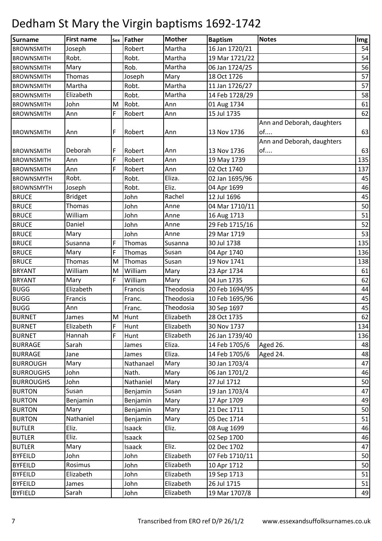| Surname           | <b>First name</b> |   | sex Father | <b>Mother</b> | <b>Baptism</b> | <b>Notes</b>               | Im <sub>g</sub> |
|-------------------|-------------------|---|------------|---------------|----------------|----------------------------|-----------------|
| <b>BROWNSMITH</b> | Joseph            |   | Robert     | Martha        | 16 Jan 1720/21 |                            | 54              |
| <b>BROWNSMITH</b> | Robt.             |   | Robt.      | Martha        | 19 Mar 1721/22 |                            | 54              |
| <b>BROWNSMITH</b> | Mary              |   | Rob.       | Martha        | 06 Jan 1724/25 |                            | 56              |
| <b>BROWNSMITH</b> | <b>Thomas</b>     |   | Joseph     | Mary          | 18 Oct 1726    |                            | 57              |
| <b>BROWNSMITH</b> | Martha            |   | Robt.      | Martha        | 11 Jan 1726/27 |                            | 57              |
| <b>BROWNSMITH</b> | Elizabeth         |   | Robt.      | Martha        | 14 Feb 1728/29 |                            | 58              |
| <b>BROWNSMITH</b> | John              | M | Robt.      | Ann           | 01 Aug 1734    |                            | 61              |
| <b>BROWNSMITH</b> | Ann               | F | Robert     | Ann           | 15 Jul 1735    |                            | 62              |
|                   |                   |   |            |               |                | Ann and Deborah, daughters |                 |
| <b>BROWNSMITH</b> | Ann               | F | Robert     | Ann           | 13 Nov 1736    | of                         | 63              |
|                   |                   |   |            |               |                | Ann and Deborah, daughters |                 |
| <b>BROWNSMITH</b> | Deborah           | F | Robert     | Ann           | 13 Nov 1736    | of                         | 63              |
| <b>BROWNSMITH</b> | Ann               | F | Robert     | Ann           | 19 May 1739    |                            | 135             |
| <b>BROWNSMITH</b> | Ann               | F | Robert     | Ann           | 02 Oct 1740    |                            | 137             |
| <b>BROWNSMYTH</b> | Robt.             |   | Robt.      | Eliza.        | 02 Jan 1695/96 |                            | 45              |
| <b>BROWNSMYTH</b> | Joseph            |   | Robt.      | Eliz.         | 04 Apr 1699    |                            | 46              |
| <b>BRUCE</b>      | <b>Bridget</b>    |   | John       | Rachel        | 12 Jul 1696    |                            | 45              |
| <b>BRUCE</b>      | Thomas            |   | John       | Anne          | 04 Mar 1710/11 |                            | 50              |
| <b>BRUCE</b>      | William           |   | John       | Anne          | 16 Aug 1713    |                            | 51              |
| <b>BRUCE</b>      | Daniel            |   | John       | Anne          | 29 Feb 1715/16 |                            | 52              |
| <b>BRUCE</b>      | Mary              |   | John       | Anne          | 29 Mar 1719    |                            | 53              |
| <b>BRUCE</b>      | Susanna           | F | Thomas     | Susanna       | 30 Jul 1738    |                            | 135             |
| <b>BRUCE</b>      | Mary              | F | Thomas     | Susan         | 04 Apr 1740    |                            | 136             |
| <b>BRUCE</b>      | <b>Thomas</b>     | M | Thomas     | Susan         | 19 Nov 1741    |                            | 138             |
| <b>BRYANT</b>     | William           | M | William    | Mary          | 23 Apr 1734    |                            | 61              |
| <b>BRYANT</b>     | Mary              | F | William    | Mary          | 04 Jun 1735    |                            | 62              |
| <b>BUGG</b>       | Elizabeth         |   | Francis    | Theodosia     | 20 Feb 1694/95 |                            | 44              |
| <b>BUGG</b>       | Francis           |   | Franc.     | Theodosia     | 10 Feb 1695/96 |                            | 45              |
| <b>BUGG</b>       | Ann               |   | Franc.     | Theodosia     | 30 Sep 1697    |                            | 45              |
| <b>BURNET</b>     | James             | M | Hunt       | Elizabeth     | 28 Oct 1735    |                            | 62              |
| <b>BURNET</b>     | Elizabeth         | F | Hunt       | Elizabeth     | 30 Nov 1737    |                            | 134             |
| <b>BURNET</b>     | Hannah            | F | Hunt       | Elizabeth     | 26 Jan 1739/40 |                            | 136             |
| <b>BURRAGE</b>    | Sarah             |   | James      | Eliza.        | 14 Feb 1705/6  | Aged 26.                   | 48              |
| <b>BURRAGE</b>    | Jane              |   | James      | Eliza.        | 14 Feb 1705/6  | Aged 24.                   | 48              |
| <b>BURROUGH</b>   | Mary              |   | Nathanael  | Mary          | 30 Jan 1703/4  |                            | 47              |
| <b>BURROUGHS</b>  | John              |   | Nath.      | Mary          | 06 Jan 1701/2  |                            | 46              |
| <b>BURROUGHS</b>  | John              |   | Nathaniel  | Mary          | 27 Jul 1712    |                            | 50              |
| <b>BURTON</b>     | Susan             |   | Benjamin   | Susan         | 19 Jan 1703/4  |                            | 47              |
| <b>BURTON</b>     | Benjamin          |   | Benjamin   | Mary          | 17 Apr 1709    |                            | 49              |
| <b>BURTON</b>     | Mary              |   | Benjamin   | Mary          | 21 Dec 1711    |                            | 50              |
| <b>BURTON</b>     | Nathaniel         |   | Benjamin   | Mary          | 05 Dec 1714    |                            | 51              |
| <b>BUTLER</b>     | Eliz.             |   | Isaack     | Eliz.         | 08 Aug 1699    |                            | 46              |
| <b>BUTLER</b>     | Eliz.             |   | Isaack     |               | 02 Sep 1700    |                            | 46              |
| <b>BUTLER</b>     | Mary              |   | Isaack     | Eliz.         | 02 Dec 1702    |                            | 47              |
| <b>BYFEILD</b>    | John              |   | John       | Elizabeth     | 07 Feb 1710/11 |                            | 50              |
| <b>BYFEILD</b>    | Rosimus           |   | John       | Elizabeth     | 10 Apr 1712    |                            | 50              |
| <b>BYFEILD</b>    | Elizabeth         |   | John       | Elizabeth     | 19 Sep 1713    |                            | 51              |
| <b>BYFEILD</b>    | James             |   | John       | Elizabeth     | 26 Jul 1715    |                            | 51              |
| <b>BYFIELD</b>    | Sarah             |   | John       | Elizabeth     | 19 Mar 1707/8  |                            | 49              |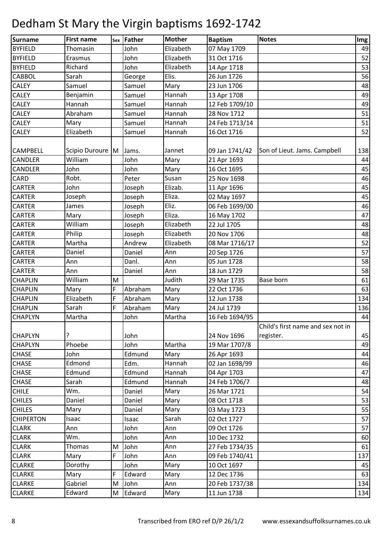| Surname          | <b>First name</b> |   | sex Father | <b>Mother</b> | <b>Baptism</b> | <b>Notes</b>                                   | Img |
|------------------|-------------------|---|------------|---------------|----------------|------------------------------------------------|-----|
| <b>BYFIELD</b>   | Thomasin          |   | John       | Elizabeth     | 07 May 1709    |                                                | 49  |
| <b>BYFIELD</b>   | Erasmus           |   | John       | Elizabeth     | 31 Oct 1716    |                                                | 52  |
| <b>BYFIELD</b>   | Richard           |   | John       | Elizabeth     | 14 Apr 1718    |                                                | 53  |
| <b>CABBOL</b>    | Sarah             |   | George     | Elis.         | 26 Jun 1726    |                                                | 56  |
| <b>CALEY</b>     | Samuel            |   | Samuel     | Mary          | 23 Jun 1706    |                                                | 48  |
| <b>CALEY</b>     | Benjamin          |   | Samuel     | Hannah        | 13 Apr 1708    |                                                | 49  |
| <b>CALEY</b>     | Hannah            |   | Samuel     | Hannah        | 12 Feb 1709/10 |                                                | 49  |
| <b>CALEY</b>     | Abraham           |   | Samuel     | Hannah        | 28 Nov 1712    |                                                | 51  |
| <b>CALEY</b>     | Mary              |   | Samuel     | Hannah        | 24 Feb 1713/14 |                                                | 51  |
| <b>CALEY</b>     | Elizabeth         |   | Samuel     | Hannah        | 16 Oct 1716    |                                                | 52  |
| <b>CAMPBELL</b>  | Scipio Duroure M  |   | Jams.      | Jannet        | 09 Jan 1741/42 | Son of Lieut. Jams. Campbell                   | 138 |
| <b>CANDLER</b>   | William           |   | John       | Mary          | 21 Apr 1693    |                                                | 44  |
| <b>CANDLER</b>   | John              |   | John       | Mary          | 16 Oct 1695    |                                                | 45  |
| <b>CARD</b>      | Robt.             |   | Peter      | Susan         | 25 Nov 1698    |                                                | 46  |
| <b>CARTER</b>    | John              |   | Joseph     | Elizab.       | 11 Apr 1696    |                                                | 45  |
| <b>CARTER</b>    | Joseph            |   | Joseph     | Eliza.        | 02 May 1697    |                                                | 45  |
| <b>CARTER</b>    | James             |   | Joseph     | Eliz.         | 06 Feb 1699/00 |                                                | 46  |
| <b>CARTER</b>    | Mary              |   | Joseph     | Eliza.        | 16 May 1702    |                                                | 47  |
| <b>CARTER</b>    | William           |   | Joseph     | Elizabeth     | 22 Jul 1705    |                                                | 48  |
| <b>CARTER</b>    | Philip            |   | Joseph     | Elizabeth     | 20 Nov 1706    |                                                | 48  |
| <b>CARTER</b>    | Martha            |   | Andrew     | Elizabeth     | 08 Mar 1716/17 |                                                | 52  |
| <b>CARTER</b>    | Daniel            |   | Daniel     | Ann           | 20 Sep 1726    |                                                | 57  |
| <b>CARTER</b>    | Ann               |   | Danl.      | Ann           | 05 Jun 1728    |                                                | 58  |
| <b>CARTER</b>    | Ann               |   | Daniel     | Ann           | 18 Jun 1729    |                                                | 58  |
| <b>CHAPLIN</b>   | William           | M |            | Judith        | 29 Mar 1735    | Base born                                      | 61  |
| <b>CHAPLIN</b>   | Mary              | F | Abraham    | Mary          | 22 Oct 1736    |                                                | 63  |
| <b>CHAPLIN</b>   | Elizabeth         | F | Abraham    | Mary          | 12 Jun 1738    |                                                | 134 |
| <b>CHAPLIN</b>   | Sarah             | F | Abraham    | Mary          | 24 Jul 1739    |                                                | 136 |
| <b>CHAPLYN</b>   | Martha            |   | John       | Martha        | 16 Feb 1694/95 |                                                | 44  |
| <b>CHAPLYN</b>   | ?                 |   | John       |               | 24 Nov 1696    | Child's first name and sex not in<br>register. | 45  |
| <b>CHAPLYN</b>   | Phoebe            |   | John       | Martha        | 19 Mar 1707/8  |                                                | 49  |
| <b>CHASE</b>     | John              |   | Edmund     | Mary          | 26 Apr 1693    |                                                | 44  |
| <b>CHASE</b>     | Edmond            |   | Edm.       | Hannah        | 02 Jan 1698/99 |                                                | 46  |
| <b>CHASE</b>     | Edmund            |   | Edmund     | Hannah        | 04 Apr 1703    |                                                | 47  |
| <b>CHASE</b>     | Sarah             |   | Edmund     | Hannah        | 24 Feb 1706/7  |                                                | 48  |
| <b>CHILE</b>     | Wm.               |   | Daniel     | Mary          | 26 Mar 1721    |                                                | 54  |
| <b>CHILES</b>    | Daniel            |   | Daniel     | Mary          | 08 Oct 1718    |                                                | 53  |
| <b>CHILES</b>    | Mary              |   | Daniel     | Mary          | 03 May 1723    |                                                | 55  |
| <b>CHIPERTON</b> | Isaac             |   | Isaac      | Sarah         | 02 Oct 1727    |                                                | 57  |
| <b>CLARK</b>     | Ann               |   | John       | Ann           | 09 Oct 1726    |                                                | 57  |
| <b>CLARK</b>     | Wm.               |   | John       | Ann           | 10 Dec 1732    |                                                | 60  |
| <b>CLARK</b>     | Thomas            | M | John       | Ann           | 27 Feb 1734/35 |                                                | 61  |
| <b>CLARK</b>     | Mary              | F | John       | Ann           | 09 Feb 1740/41 |                                                | 137 |
| <b>CLARKE</b>    | Dorothy           |   | John       | Mary          | 10 Oct 1697    |                                                | 45  |
| <b>CLARKE</b>    | Mary              | F | Edward     | Mary          | 12 Dec 1736    |                                                | 63  |
| <b>CLARKE</b>    | Gabriel           | M | John       | Ann           | 20 Feb 1737/38 |                                                | 134 |
| <b>CLARKE</b>    | Edward            | M | Edward     | Mary          | 11 Jun 1738    |                                                | 134 |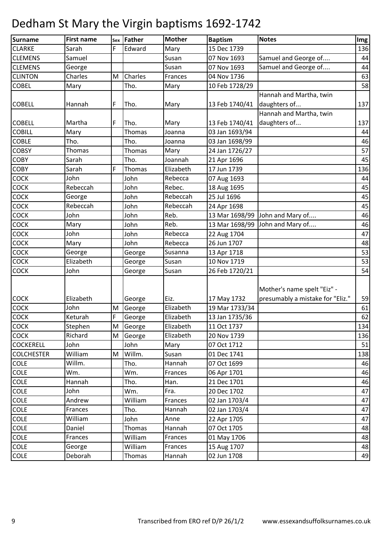| Surname           | <b>First name</b> | Sex | Father  | <b>Mother</b> | <b>Baptism</b> | <b>Notes</b>                     | Img |
|-------------------|-------------------|-----|---------|---------------|----------------|----------------------------------|-----|
| <b>CLARKE</b>     | Sarah             | F   | Edward  | Mary          | 15 Dec 1739    |                                  | 136 |
| <b>CLEMENS</b>    | Samuel            |     |         | Susan         | 07 Nov 1693    | Samuel and George of             | 44  |
| <b>CLEMENS</b>    | George            |     |         | Susan         | 07 Nov 1693    | Samuel and George of             | 44  |
| <b>CLINTON</b>    | Charles           | M   | Charles | Frances       | 04 Nov 1736    |                                  | 63  |
| <b>COBEL</b>      | Mary              |     | Tho.    | Mary          | 10 Feb 1728/29 |                                  | 58  |
|                   |                   |     |         |               |                | Hannah and Martha, twin          |     |
| <b>COBELL</b>     | Hannah            | F   | Tho.    | Mary          | 13 Feb 1740/41 | daughters of                     | 137 |
|                   |                   |     |         |               |                | Hannah and Martha, twin          |     |
| <b>COBELL</b>     | Martha            | F   | Tho.    | Mary          | 13 Feb 1740/41 | daughters of                     | 137 |
| <b>COBILL</b>     | Mary              |     | Thomas  | Joanna        | 03 Jan 1693/94 |                                  | 44  |
| <b>COBLE</b>      | Tho.              |     | Tho.    | Joanna        | 03 Jan 1698/99 |                                  | 46  |
| <b>COBSY</b>      | Thomas            |     | Thomas  | Mary          | 24 Jan 1726/27 |                                  | 57  |
| <b>COBY</b>       | Sarah             |     | Tho.    | Joannah       | 21 Apr 1696    |                                  | 45  |
| <b>COBY</b>       | Sarah             | F   | Thomas  | Elizabeth     | 17 Jun 1739    |                                  | 136 |
| COCK              | John              |     | John    | Rebecca       | 07 Aug 1693    |                                  | 44  |
| <b>COCK</b>       | Rebeccah          |     | John    | Rebec.        | 18 Aug 1695    |                                  | 45  |
| COCK              | George            |     | John    | Rebeccah      | 25 Jul 1696    |                                  | 45  |
| COCK              | Rebeccah          |     | John    | Rebeccah      | 24 Apr 1698    |                                  | 45  |
| COCK              | John              |     | John    | Reb.          | 13 Mar 1698/99 | John and Mary of                 | 46  |
| COCK              | Mary              |     | John    | Reb.          | 13 Mar 1698/99 | John and Mary of                 | 46  |
| COCK              | John              |     | John    | Rebecca       | 22 Aug 1704    |                                  | 47  |
| COCK              | Mary              |     | John    | Rebecca       | 26 Jun 1707    |                                  | 48  |
| COCK              | George            |     | George  | Susanna       | 13 Apr 1718    |                                  | 53  |
| COCK              | Elizabeth         |     | George  | Susan         | 10 Nov 1719    |                                  | 53  |
| COCK              | John              |     | George  | Susan         | 26 Feb 1720/21 |                                  | 54  |
|                   |                   |     |         |               |                |                                  |     |
|                   |                   |     |         |               |                | Mother's name spelt "Eiz" -      |     |
| <b>COCK</b>       | Elizabeth         |     | George  | Eiz.          | 17 May 1732    | presumably a mistake for "Eliz." | 59  |
| COCK              | John              | M   | George  | Elizabeth     | 19 Mar 1733/34 |                                  | 61  |
| <b>COCK</b>       | Keturah           | F   | George  | Elizabeth     | 13 Jan 1735/36 |                                  | 62  |
| <b>COCK</b>       | Stephen           | M   | George  | Elizabeth     | 11 Oct 1737    |                                  | 134 |
| <b>COCK</b>       | Richard           | M   | George  | Elizabeth     | 20 Nov 1739    |                                  | 136 |
| <b>COCKERELL</b>  | John              |     | John    | Mary          | 07 Oct 1712    |                                  | 51  |
| <b>COLCHESTER</b> | William           | M   | Willm.  | Susan         | 01 Dec 1741    |                                  | 138 |
| COLE              | Willm.            |     | Tho.    | Hannah        | 07 Oct 1699    |                                  | 46  |
| COLE              | Wm.               |     | Wm.     | Frances       | 06 Apr 1701    |                                  | 46  |
| <b>COLE</b>       | Hannah            |     | Tho.    | Han.          | 21 Dec 1701    |                                  | 46  |
| COLE              | John              |     | Wm.     | Fra.          | 20 Dec 1702    |                                  | 47  |
| <b>COLE</b>       | Andrew            |     | William | Frances       | 02 Jan 1703/4  |                                  | 47  |
| COLE              | Frances           |     | Tho.    | Hannah        | 02 Jan 1703/4  |                                  | 47  |
| COLE              | William           |     | John    | Anne          | 22 Apr 1705    |                                  | 47  |
| COLE              | Daniel            |     | Thomas  | Hannah        | 07 Oct 1705    |                                  | 48  |
| COLE              | Frances           |     | William | Frances       | 01 May 1706    |                                  | 48  |
| <b>COLE</b>       | George            |     | William | Frances       | 15 Aug 1707    |                                  | 48  |
| <b>COLE</b>       | Deborah           |     | Thomas  | Hannah        | 02 Jun 1708    |                                  | 49  |
|                   |                   |     |         |               |                |                                  |     |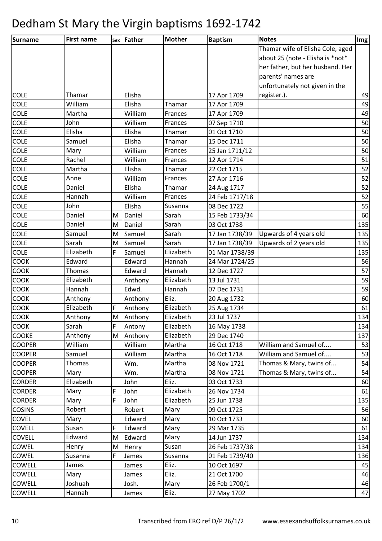| Surname       | <b>First name</b> |   | sex Father | <b>Mother</b> | <b>Baptism</b> | <b>Notes</b>                     | Img |
|---------------|-------------------|---|------------|---------------|----------------|----------------------------------|-----|
|               |                   |   |            |               |                | Thamar wife of Elisha Cole, aged |     |
|               |                   |   |            |               |                | about 25 (note - Elisha is *not* |     |
|               |                   |   |            |               |                | her father, but her husband. Her |     |
|               |                   |   |            |               |                | parents' names are               |     |
|               |                   |   |            |               |                | unfortunately not given in the   |     |
| <b>COLE</b>   | Thamar            |   | Elisha     |               | 17 Apr 1709    | register.).                      | 49  |
| <b>COLE</b>   | William           |   | Elisha     | Thamar        | 17 Apr 1709    |                                  | 49  |
| <b>COLE</b>   | Martha            |   | William    | Frances       | 17 Apr 1709    |                                  | 49  |
| <b>COLE</b>   | John              |   | William    | Frances       | 07 Sep 1710    |                                  | 50  |
| <b>COLE</b>   | Elisha            |   | Elisha     | Thamar        | 01 Oct 1710    |                                  | 50  |
| <b>COLE</b>   | Samuel            |   | Elisha     | Thamar        | 15 Dec 1711    |                                  | 50  |
| <b>COLE</b>   | Mary              |   | William    | Frances       | 25 Jan 1711/12 |                                  | 50  |
| <b>COLE</b>   | Rachel            |   | William    | Frances       | 12 Apr 1714    |                                  | 51  |
| <b>COLE</b>   | Martha            |   | Elisha     | Thamar        | 22 Oct 1715    |                                  | 52  |
| <b>COLE</b>   | Anne              |   | William    | Frances       | 27 Apr 1716    |                                  | 52  |
| <b>COLE</b>   | Daniel            |   | Elisha     | Thamar        | 24 Aug 1717    |                                  | 52  |
| <b>COLE</b>   | Hannah            |   | William    | Frances       | 24 Feb 1717/18 |                                  | 52  |
| <b>COLE</b>   | John              |   | Elisha     | Susanna       | 08 Dec 1722    |                                  | 55  |
| <b>COLE</b>   | Daniel            | M | Daniel     | Sarah         | 15 Feb 1733/34 |                                  | 60  |
| <b>COLE</b>   | Daniel            | M | Daniel     | Sarah         | 03 Oct 1738    |                                  | 135 |
| <b>COLE</b>   | Samuel            | M | Samuel     | Sarah         | 17 Jan 1738/39 | Upwards of 4 years old           | 135 |
| <b>COLE</b>   | Sarah             | M | Samuel     | Sarah         | 17 Jan 1738/39 | Upwards of 2 years old           | 135 |
| <b>COLE</b>   | Elizabeth         | F | Samuel     | Elizabeth     | 01 Mar 1738/39 |                                  | 135 |
| <b>COOK</b>   | Edward            |   | Edward     | Hannah        | 24 Mar 1724/25 |                                  | 56  |
| <b>COOK</b>   | Thomas            |   | Edward     | Hannah        | 12 Dec 1727    |                                  | 57  |
| <b>COOK</b>   | Elizabeth         |   | Anthony    | Elizabeth     | 13 Jul 1731    |                                  | 59  |
| <b>COOK</b>   | Hannah            |   | Edwd.      | Hannah        | 07 Dec 1731    |                                  | 59  |
| <b>COOK</b>   | Anthony           |   | Anthony    | Eliz.         | 20 Aug 1732    |                                  | 60  |
| <b>COOK</b>   | Elizabeth         | F | Anthony    | Elizabeth     | 25 Aug 1734    |                                  | 61  |
| <b>COOK</b>   | Anthony           | M | Anthony    | Elizabeth     | 23 Jul 1737    |                                  | 134 |
| <b>COOK</b>   | Sarah             | F | Antony     | Elizabeth     | 16 May 1738    |                                  | 134 |
| <b>COOKE</b>  | Anthony           | M | Anthony    | Elizabeth     | 29 Dec 1740    |                                  | 137 |
| <b>COOPER</b> | William           |   | William    | Martha        | 16 Oct 1718    | William and Samuel of            | 53  |
| <b>COOPER</b> | Samuel            |   | William    | Martha        | 16 Oct 1718    | William and Samuel of            | 53  |
| <b>COOPER</b> | Thomas            |   | Wm.        | Martha        | 08 Nov 1721    | Thomas & Mary, twins of          | 54  |
| <b>COOPER</b> | Mary              |   | Wm.        | Martha        | 08 Nov 1721    | Thomas & Mary, twins of          | 54  |
| <b>CORDER</b> | Elizabeth         |   | John       | Eliz.         | 03 Oct 1733    |                                  | 60  |
| <b>CORDER</b> | Mary              | F | John       | Elizabeth     | 26 Nov 1734    |                                  | 61  |
| <b>CORDER</b> | Mary              | F | John       | Elizabeth     | 25 Jun 1738    |                                  | 135 |
| <b>COSINS</b> | Robert            |   | Robert     | Mary          | 09 Oct 1725    |                                  | 56  |
| <b>COVEL</b>  | Mary              |   | Edward     | Mary          | 10 Oct 1733    |                                  | 60  |
| <b>COVELL</b> | Susan             | F | Edward     | Mary          | 29 Mar 1735    |                                  | 61  |
| <b>COVELL</b> | Edward            | M | Edward     | Mary          | 14 Jun 1737    |                                  | 134 |
| COWEL         | Henry             | M | Henry      | Susan         | 26 Feb 1737/38 |                                  | 134 |
| COWEL         | Susanna           | F | James      | Susanna       | 01 Feb 1739/40 |                                  | 136 |
| <b>COWELL</b> | James             |   | James      | Eliz.         | 10 Oct 1697    |                                  | 45  |
| <b>COWELL</b> | Mary              |   | James      | Eliz.         | 21 Oct 1700    |                                  | 46  |
| <b>COWELL</b> | Joshuah           |   | Josh.      | Mary          | 26 Feb 1700/1  |                                  | 46  |
| <b>COWELL</b> | Hannah            |   | James      | Eliz.         | 27 May 1702    |                                  | 47  |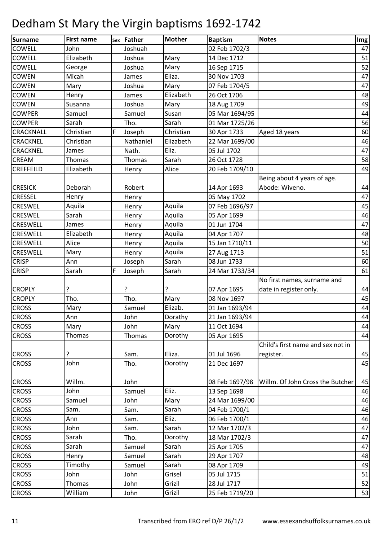| Surname          | <b>First name</b> |   | sex Father | <b>Mother</b> | <b>Baptism</b> | <b>Notes</b>                                  | Img |
|------------------|-------------------|---|------------|---------------|----------------|-----------------------------------------------|-----|
| <b>COWELL</b>    | John              |   | Joshuah    |               | 02 Feb 1702/3  |                                               | 47  |
| <b>COWELL</b>    | Elizabeth         |   | Joshua     | Mary          | 14 Dec 1712    |                                               | 51  |
| <b>COWELL</b>    | George            |   | Joshua     | Mary          | 16 Sep 1715    |                                               | 52  |
| <b>COWEN</b>     | Micah             |   | James      | Eliza.        | 30 Nov 1703    |                                               | 47  |
| <b>COWEN</b>     | Mary              |   | Joshua     | Mary          | 07 Feb 1704/5  |                                               | 47  |
| <b>COWEN</b>     | Henry             |   | James      | Elizabeth     | 26 Oct 1706    |                                               | 48  |
| <b>COWEN</b>     | Susanna           |   | Joshua     | Mary          | 18 Aug 1709    |                                               | 49  |
| <b>COWPER</b>    | Samuel            |   | Samuel     | Susan         | 05 Mar 1694/95 |                                               | 44  |
| <b>COWPER</b>    | Sarah             |   | Tho.       | Sarah         | 01 Mar 1725/26 |                                               | 56  |
| <b>CRACKNALL</b> | Christian         | F | Joseph     | Christian     | 30 Apr 1733    | Aged 18 years                                 | 60  |
| <b>CRACKNEL</b>  | Christian         |   | Nathaniel  | Elizabeth     | 22 Mar 1699/00 |                                               | 46  |
| <b>CRACKNEL</b>  | James             |   | Nath.      | Eliz.         | 05 Jul 1702    |                                               | 47  |
| <b>CREAM</b>     | Thomas            |   | Thomas     | Sarah         | 26 Oct 1728    |                                               | 58  |
| <b>CREFFEILD</b> | Elizabeth         |   | Henry      | Alice         | 20 Feb 1709/10 |                                               | 49  |
| <b>CRESICK</b>   | Deborah           |   | Robert     |               | 14 Apr 1693    | Being about 4 years of age.<br>Abode: Wiveno. | 44  |
| <b>CRESSEL</b>   | Henry             |   | Henry      |               | 05 May 1702    |                                               | 47  |
| <b>CRESWEL</b>   | Aquila            |   | Henry      | Aquila        | 07 Feb 1696/97 |                                               | 45  |
| <b>CRESWEL</b>   | Sarah             |   | Henry      | Aquila        | 05 Apr 1699    |                                               | 46  |
| <b>CRESWELL</b>  | James             |   | Henry      | Aquila        | 01 Jun 1704    |                                               | 47  |
| <b>CRESWELL</b>  | Elizabeth         |   | Henry      | Aquila        | 04 Apr 1707    |                                               | 48  |
| <b>CRESWELL</b>  | Alice             |   | Henry      | Aquila        | 15 Jan 1710/11 |                                               | 50  |
| <b>CRESWELL</b>  | Mary              |   | Henry      | Aquila        | 27 Aug 1713    |                                               | 51  |
| <b>CRISP</b>     | Ann               |   | Joseph     | Sarah         | 08 Jun 1733    |                                               | 60  |
| <b>CRISP</b>     | Sarah             | F | Joseph     | Sarah         | 24 Mar 1733/34 |                                               | 61  |
|                  |                   |   |            |               |                | No first names, surname and                   |     |
| <b>CROPLY</b>    | ç                 |   | ?          | ς             | 07 Apr 1695    | date in register only.                        | 44  |
| <b>CROPLY</b>    | Tho.              |   | Tho.       | Mary          | 08 Nov 1697    |                                               | 45  |
| <b>CROSS</b>     | Mary              |   | Samuel     | Elizab.       | 01 Jan 1693/94 |                                               | 44  |
| <b>CROSS</b>     | Ann               |   | John       | Dorathy       | 21 Jan 1693/94 |                                               | 44  |
| <b>CROSS</b>     | Mary              |   | John       | Mary          | 11 Oct 1694    |                                               | 44  |
| <b>CROSS</b>     | Thomas            |   | Thomas     | Dorothy       | 05 Apr 1695    |                                               | 44  |
|                  |                   |   |            |               |                | Child's first name and sex not in             |     |
| <b>CROSS</b>     |                   |   | Sam.       | Eliza.        | 01 Jul 1696    | register.                                     | 45  |
| <b>CROSS</b>     | John              |   | Tho.       | Dorothy       | 21 Dec 1697    |                                               | 45  |
| <b>CROSS</b>     | Willm.            |   | John       |               | 08 Feb 1697/98 | Willm. Of John Cross the Butcher              | 45  |
| <b>CROSS</b>     | John              |   | Samuel     | Eliz.         | 13 Sep 1698    |                                               | 46  |
| <b>CROSS</b>     | Samuel            |   | John       | Mary          | 24 Mar 1699/00 |                                               | 46  |
| <b>CROSS</b>     | Sam.              |   | Sam.       | Sarah         | 04 Feb 1700/1  |                                               | 46  |
| <b>CROSS</b>     | Ann               |   | Sam.       | Eliz.         | 06 Feb 1700/1  |                                               | 46  |
| <b>CROSS</b>     | John              |   | Sam.       | Sarah         | 12 Mar 1702/3  |                                               | 47  |
| <b>CROSS</b>     | Sarah             |   | Tho.       | Dorothy       | 18 Mar 1702/3  |                                               | 47  |
| <b>CROSS</b>     | Sarah             |   | Samuel     | Sarah         | 25 Apr 1705    |                                               | 47  |
| <b>CROSS</b>     | Henry             |   | Samuel     | Sarah         | 29 Apr 1707    |                                               | 48  |
| <b>CROSS</b>     | Timothy           |   | Samuel     | Sarah         | 08 Apr 1709    |                                               | 49  |
| <b>CROSS</b>     | John              |   | John       | Grisel        | 05 Jul 1715    |                                               | 51  |
| <b>CROSS</b>     | Thomas            |   | John       | Grizil        | 28 Jul 1717    |                                               | 52  |
| <b>CROSS</b>     | William           |   | John       | Grizil        | 25 Feb 1719/20 |                                               | 53  |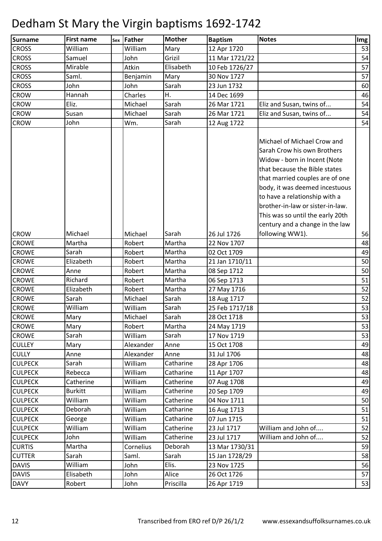| Surname        | <b>First name</b> | Sex | Father    | <b>Mother</b> | <b>Baptism</b> | <b>Notes</b>                                                                                                                                                                                                                                                                                              | Img |
|----------------|-------------------|-----|-----------|---------------|----------------|-----------------------------------------------------------------------------------------------------------------------------------------------------------------------------------------------------------------------------------------------------------------------------------------------------------|-----|
| <b>CROSS</b>   | William           |     | William   | Mary          | 12 Apr 1720    |                                                                                                                                                                                                                                                                                                           | 53  |
| <b>CROSS</b>   | Samuel            |     | John      | Grizil        | 11 Mar 1721/22 |                                                                                                                                                                                                                                                                                                           | 54  |
| <b>CROSS</b>   | Mirable           |     | Atkin     | Elisabeth     | 10 Feb 1726/27 |                                                                                                                                                                                                                                                                                                           | 57  |
| <b>CROSS</b>   | Saml.             |     | Benjamin  | Mary          | 30 Nov 1727    |                                                                                                                                                                                                                                                                                                           | 57  |
| <b>CROSS</b>   | John              |     | John      | Sarah         | 23 Jun 1732    |                                                                                                                                                                                                                                                                                                           | 60  |
| <b>CROW</b>    | Hannah            |     | Charles   | Η.            | 14 Dec 1699    |                                                                                                                                                                                                                                                                                                           | 46  |
| <b>CROW</b>    | Eliz.             |     | Michael   | Sarah         | 26 Mar 1721    | Eliz and Susan, twins of                                                                                                                                                                                                                                                                                  | 54  |
| <b>CROW</b>    | Susan             |     | Michael   | Sarah         | 26 Mar 1721    | Eliz and Susan, twins of                                                                                                                                                                                                                                                                                  | 54  |
| <b>CROW</b>    | John              |     | Wm.       | Sarah         | 12 Aug 1722    |                                                                                                                                                                                                                                                                                                           | 54  |
|                |                   |     |           |               |                | Michael of Michael Crow and<br>Sarah Crow his own Brothers<br>Widow - born in Incent (Note<br>that because the Bible states<br>that married couples are of one<br>body, it was deemed incestuous<br>to have a relationship with a<br>brother-in-law or sister-in-law.<br>This was so until the early 20th |     |
|                |                   |     |           |               |                | century and a change in the law                                                                                                                                                                                                                                                                           |     |
| <b>CROW</b>    | Michael           |     | Michael   | Sarah         | 26 Jul 1726    | following WW1).                                                                                                                                                                                                                                                                                           | 56  |
| <b>CROWE</b>   | Martha            |     | Robert    | Martha        | 22 Nov 1707    |                                                                                                                                                                                                                                                                                                           | 48  |
| <b>CROWE</b>   | Sarah             |     | Robert    | Martha        | 02 Oct 1709    |                                                                                                                                                                                                                                                                                                           | 49  |
| <b>CROWE</b>   | Elizabeth         |     | Robert    | Martha        | 21 Jan 1710/11 |                                                                                                                                                                                                                                                                                                           | 50  |
| <b>CROWE</b>   | Anne              |     | Robert    | Martha        | 08 Sep 1712    |                                                                                                                                                                                                                                                                                                           | 50  |
| <b>CROWE</b>   | Richard           |     | Robert    | Martha        | 06 Sep 1713    |                                                                                                                                                                                                                                                                                                           | 51  |
| <b>CROWE</b>   | Elizabeth         |     | Robert    | Martha        | 27 May 1716    |                                                                                                                                                                                                                                                                                                           | 52  |
| <b>CROWE</b>   | Sarah             |     | Michael   | Sarah         | 18 Aug 1717    |                                                                                                                                                                                                                                                                                                           | 52  |
| <b>CROWE</b>   | William           |     | William   | Sarah         | 25 Feb 1717/18 |                                                                                                                                                                                                                                                                                                           | 53  |
| <b>CROWE</b>   | Mary              |     | Michael   | Sarah         | 28 Oct 1718    |                                                                                                                                                                                                                                                                                                           | 53  |
| <b>CROWE</b>   | Mary              |     | Robert    | Martha        | 24 May 1719    |                                                                                                                                                                                                                                                                                                           | 53  |
| <b>CROWE</b>   | Sarah             |     | William   | Sarah         | 17 Nov 1719    |                                                                                                                                                                                                                                                                                                           | 53  |
| <b>CULLEY</b>  | Mary              |     | Alexander | Anne          | 15 Oct 1708    |                                                                                                                                                                                                                                                                                                           | 49  |
| <b>CULLY</b>   | Anne              |     | Alexander | Anne          | 31 Jul 1706    |                                                                                                                                                                                                                                                                                                           | 48  |
| <b>CULPECK</b> | Sarah             |     | William   | Catharine     | 28 Apr 1706    |                                                                                                                                                                                                                                                                                                           | 48  |
| <b>CULPECK</b> | Rebecca           |     | William   | Catharine     | 11 Apr 1707    |                                                                                                                                                                                                                                                                                                           | 48  |
| <b>CULPECK</b> | Catherine         |     | William   | Catherine     | 07 Aug 1708    |                                                                                                                                                                                                                                                                                                           | 49  |
| <b>CULPECK</b> | <b>Burkitt</b>    |     | William   | Catherine     | 20 Sep 1709    |                                                                                                                                                                                                                                                                                                           | 49  |
| <b>CULPECK</b> | William           |     | William   | Catherine     | 04 Nov 1711    |                                                                                                                                                                                                                                                                                                           | 50  |
| <b>CULPECK</b> | Deborah           |     | William   | Catharine     | 16 Aug 1713    |                                                                                                                                                                                                                                                                                                           | 51  |
| <b>CULPECK</b> | George            |     | William   | Catharine     | 07 Jun 1715    |                                                                                                                                                                                                                                                                                                           | 51  |
| <b>CULPECK</b> | William           |     | William   | Catherine     | 23 Jul 1717    | William and John of                                                                                                                                                                                                                                                                                       | 52  |
| <b>CULPECK</b> | John              |     | William   | Catherine     | 23 Jul 1717    | William and John of                                                                                                                                                                                                                                                                                       | 52  |
| <b>CURTIS</b>  | Martha            |     | Cornelius | Deborah       | 13 Mar 1730/31 |                                                                                                                                                                                                                                                                                                           | 59  |
| <b>CUTTER</b>  | Sarah             |     | Saml.     | Sarah         | 15 Jan 1728/29 |                                                                                                                                                                                                                                                                                                           | 58  |
| <b>DAVIS</b>   | William           |     | John      | Elis.         | 23 Nov 1725    |                                                                                                                                                                                                                                                                                                           | 56  |
| <b>DAVIS</b>   | Elisabeth         |     | John      | Alice         | 26 Oct 1726    |                                                                                                                                                                                                                                                                                                           | 57  |
| <b>DAVY</b>    | Robert            |     | John      | Priscilla     | 26 Apr 1719    |                                                                                                                                                                                                                                                                                                           | 53  |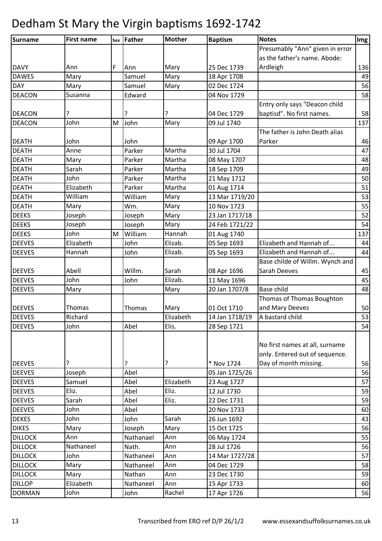| <b>Surname</b> | <b>First name</b> |   | sex Father | <b>Mother</b> | <b>Baptism</b> | <b>Notes</b>                    | Img |
|----------------|-------------------|---|------------|---------------|----------------|---------------------------------|-----|
|                |                   |   |            |               |                | Presumably "Ann" given in error |     |
|                |                   |   |            |               |                | as the father's name. Abode:    |     |
| <b>DAVY</b>    | Ann               | F | Ann        | Mary          | 25 Dec 1739    | Ardleigh                        | 136 |
| <b>DAWES</b>   | Mary              |   | Samuel     | Mary          | 18 Apr 1708    |                                 | 49  |
| <b>DAY</b>     | Mary              |   | Samuel     | Mary          | 02 Dec 1724    |                                 | 56  |
| <b>DEACON</b>  | Susanna           |   | Edward     |               | 04 Nov 1729    |                                 | 58  |
|                |                   |   |            |               |                | Entry only says "Deacon child   |     |
| <b>DEACON</b>  | ?                 |   | ?          | ?             | 04 Dec 1729    | baptisd". No first names.       | 58  |
| <b>DEACON</b>  | John              | M | John       | Mary          | 09 Jul 1740    |                                 | 137 |
|                |                   |   |            |               |                | The father is John Death alias  |     |
| <b>DEATH</b>   | John              |   | John       |               | 09 Apr 1700    | Parker                          | 46  |
| <b>DEATH</b>   | Anne              |   | Parker     | Martha        | 30 Jul 1704    |                                 | 47  |
| <b>DEATH</b>   | Mary              |   | Parker     | Martha        | 08 May 1707    |                                 | 48  |
| <b>DEATH</b>   | Sarah             |   | Parker     | Martha        | 18 Sep 1709    |                                 | 49  |
| <b>DEATH</b>   | John              |   | Parker     | Martha        | 21 May 1712    |                                 | 50  |
| <b>DEATH</b>   | Elizabeth         |   | Parker     | Martha        | 01 Aug 1714    |                                 | 51  |
| <b>DEATH</b>   | William           |   | William    | Mary          | 13 Mar 1719/20 |                                 | 53  |
| <b>DEATH</b>   | Mary              |   | Wm.        | Mary          | 10 Nov 1723    |                                 | 55  |
| <b>DEEKS</b>   | Joseph            |   | Joseph     | Mary          | 23 Jan 1717/18 |                                 | 52  |
| <b>DEEKS</b>   | Joseph            |   | Joseph     | Mary          | 24 Feb 1721/22 |                                 | 54  |
| <b>DEEKS</b>   | John              | M | William    | Hannah        | 01 Aug 1740    |                                 | 137 |
| <b>DEEVES</b>  | Elizabeth         |   | John       | Elizab.       | 05 Sep 1693    | Elizabeth and Hannah of         | 44  |
| <b>DEEVES</b>  | Hannah            |   | John       | Elizab.       | 05 Sep 1693    | Elizabeth and Hannah of         | 44  |
|                |                   |   |            |               |                | Base childe of Willm. Wynch and |     |
| <b>DEEVES</b>  | Abell             |   | Willm.     | Sarah         | 08 Apr 1696    | Sarah Deeves                    | 45  |
| <b>DEEVES</b>  | John              |   | John       | Elizab.       | 11 May 1696    |                                 | 45  |
| <b>DEEVES</b>  | Mary              |   |            | Mary          | 20 Jan 1707/8  | Base child                      | 48  |
|                |                   |   |            |               |                | Thomas of Thomas Boughton       |     |
| <b>DEEVES</b>  | Thomas            |   | Thomas     | Mary          | 01 Oct 1710    | and Mary Deeves                 | 50  |
| <b>DEEVES</b>  | Richard           |   |            | Elizabeth     | 14 Jan 1718/19 | A bastard child                 | 53  |
| <b>DEEVES</b>  | John              |   | Abel       | Elis.         | 28 Sep 1721    |                                 | 54  |
|                |                   |   |            |               |                |                                 |     |
|                |                   |   |            |               |                | No first names at all, surname  |     |
|                |                   |   |            |               |                | only. Entered out of sequence.  |     |
| <b>DEEVES</b>  | ?                 |   | ?          | ?             | * Nov 1724     | Day of month missing.           | 56  |
| <b>DEEVES</b>  | Joseph            |   | Abel       |               | 05 Jan 1725/26 |                                 | 56  |
| <b>DEEVES</b>  | Samuel            |   | Abel       | Elizabeth     | 23 Aug 1727    |                                 | 57  |
| <b>DEEVES</b>  | Eliz.             |   | Abel       | Eliz.         | 12 Jul 1730    |                                 | 59  |
| <b>DEEVES</b>  | Sarah             |   | Abel       | Eliz.         | 22 Dec 1731    |                                 | 59  |
| <b>DEEVES</b>  | John              |   | Abel       |               | 20 Nov 1733    |                                 | 60  |
| <b>DEKES</b>   | John              |   | John       | Sarah         | 26 Jun 1692    |                                 | 43  |
| <b>DIKES</b>   | Mary              |   | Joseph     | Mary          | 15 Oct 1725    |                                 | 56  |
| <b>DILLOCK</b> | Ann               |   | Nathanael  | Ann           | 06 May 1724    |                                 | 55  |
| <b>DILLOCK</b> | Nathaneel         |   | Nath.      | Ann           | 28 Jul 1726    |                                 | 56  |
| <b>DILLOCK</b> | John              |   | Nathaneel  | Ann           | 14 Mar 1727/28 |                                 | 57  |
| <b>DILLOCK</b> | Mary              |   | Nathaneel  | Ann           | 04 Dec 1729    |                                 | 58  |
| <b>DILLOCK</b> | Mary              |   | Nathan     | Ann           | 23 Dec 1730    |                                 | 59  |
| <b>DILLOP</b>  | Elizabeth         |   | Nathaneel  | Ann           | 15 Apr 1733    |                                 | 60  |
| <b>DORMAN</b>  | John              |   | John       | Rachel        | 17 Apr 1726    |                                 | 56  |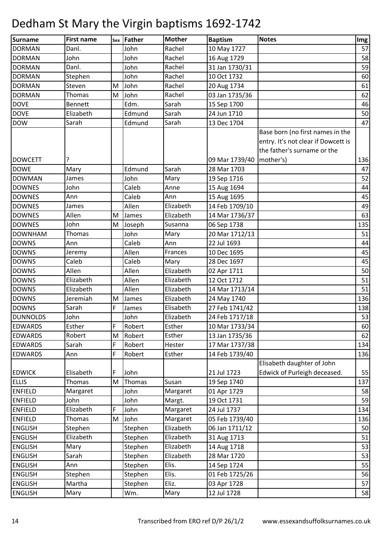| <b>Surname</b>                 | <b>First name</b> | Sex | Father  | <b>Mother</b> | <b>Baptism</b>                            | <b>Notes</b>                                                                                           | Img      |
|--------------------------------|-------------------|-----|---------|---------------|-------------------------------------------|--------------------------------------------------------------------------------------------------------|----------|
| <b>DORMAN</b>                  | Danl.             |     | John    | Rachel        | 10 May 1727                               |                                                                                                        | 57       |
| <b>DORMAN</b>                  | John              |     | John    | Rachel        | 16 Aug 1729                               |                                                                                                        | 58       |
| <b>DORMAN</b>                  | Danl.             |     | John    | Rachel        | 31 Jan 1730/31                            |                                                                                                        | 59       |
| <b>DORMAN</b>                  | Stephen           |     | John    | Rachel        | 10 Oct 1732                               |                                                                                                        | 60       |
| <b>DORMAN</b>                  | Steven            | M   | John    | Rachel        | 20 Aug 1734                               |                                                                                                        | 61       |
| <b>DORMAN</b>                  | Thomas            | M   | John    | Rachel        | 03 Jan 1735/36                            |                                                                                                        | 62       |
| <b>DOVE</b>                    | <b>Bennett</b>    |     | Edm.    | Sarah         | 15 Sep 1700                               |                                                                                                        | 46       |
| <b>DOVE</b>                    | Elizabeth         |     | Edmund  | Sarah         | 24 Jun 1710                               |                                                                                                        | 50       |
| <b>DOW</b>                     | Sarah             |     | Edmund  | Sarah         | 13 Dec 1704                               |                                                                                                        | 47       |
| <b>DOWCETT</b>                 |                   |     |         |               |                                           | Base born (no first names in the<br>entry. It's not clear if Dowcett is<br>the father's surname or the | 136      |
| <b>DOWE</b>                    | ?                 |     | Edmund  | Sarah         | 09 Mar 1739/40   mother's)<br>28 Mar 1703 |                                                                                                        | 47       |
| <b>DOWMAN</b>                  | Mary              |     | John    |               | 19 Sep 1716                               |                                                                                                        | 52       |
|                                | James<br>John     |     | Caleb   | Mary          |                                           |                                                                                                        |          |
| <b>DOWNES</b><br><b>DOWNES</b> | Ann               |     | Caleb   | Anne<br>Ann   | 15 Aug 1694<br>15 Aug 1695                |                                                                                                        | 44<br>45 |
| <b>DOWNES</b>                  | James             |     | Allen   | Elizabeth     | 14 Feb 1709/10                            |                                                                                                        | 49       |
| <b>DOWNES</b>                  | Allen             | M   | James   | Elizabeth     | 14 Mar 1736/37                            |                                                                                                        | 63       |
| <b>DOWNES</b>                  | John              | M   | Joseph  | Susanna       | 06 Sep 1738                               |                                                                                                        | 135      |
| <b>DOWNHAM</b>                 | Thomas            |     | John    | Mary          | 20 Mar 1712/13                            |                                                                                                        | 51       |
| <b>DOWNS</b>                   | Ann               |     | Caleb   | Ann           | 22 Jul 1693                               |                                                                                                        | 44       |
| <b>DOWNS</b>                   | Jeremy            |     | Allen   | Frances       | 10 Dec 1695                               |                                                                                                        | 45       |
| <b>DOWNS</b>                   | Caleb             |     | Caleb   | Mary          | 28 Dec 1697                               |                                                                                                        | 45       |
| <b>DOWNS</b>                   | Allen             |     | Allen   | Elizabeth     | 02 Apr 1711                               |                                                                                                        | 50       |
| <b>DOWNS</b>                   | Elizabeth         |     | Allen   | Elizabeth     | 12 Oct 1712                               |                                                                                                        | 51       |
| <b>DOWNS</b>                   | Elizabeth         |     | Allen   | Elizabeth     | 14 Mar 1713/14                            |                                                                                                        | 51       |
| <b>DOWNS</b>                   | Jeremiah          | M   | James   | Elizabeth     | 24 May 1740                               |                                                                                                        | 136      |
| <b>DOWNS</b>                   | Sarah             | F   | James   | Elisabeth     | 27 Feb 1741/42                            |                                                                                                        | 138      |
| <b>DUNNOLDS</b>                | John              |     | John    | Elizabeth     | 24 Feb 1717/18                            |                                                                                                        | 53       |
| <b>EDWARDS</b>                 | Esther            | F   | Robert  | Esther        | 10 Mar 1733/34                            |                                                                                                        | 60       |
| <b>EDWARDS</b>                 | Robert            | M   | Robert  | Esther        | 13 Jan 1735/36                            |                                                                                                        | 62       |
| <b>EDWARDS</b>                 | Sarah             | F   | Robert  | Hester        | 17 Mar 1737/38                            |                                                                                                        | 134      |
| <b>EDWARDS</b>                 | Ann               | F   | Robert  | Esther        | 14 Feb 1739/40                            |                                                                                                        | 136      |
| <b>EDWICK</b>                  | Elisabeth         | F   | John    |               | 21 Jul 1723                               | Elisabeth daughter of John<br>Edwick of Purleigh deceased.                                             | 55       |
| <b>ELLIS</b>                   | Thomas            | M   | Thomas  | Susan         | 19 Sep 1740                               |                                                                                                        | 137      |
| <b>ENFIELD</b>                 | Margaret          |     | John    | Margaret      | 01 Apr 1729                               |                                                                                                        | 58       |
| <b>ENFIELD</b>                 | John              |     | John    | Margt.        | 19 Oct 1731                               |                                                                                                        | 59       |
| <b>ENFIELD</b>                 | Elizabeth         | F   | John    | Margaret      | 24 Jul 1737                               |                                                                                                        | 134      |
| <b>ENFIELD</b>                 | Thomas            | M   | John    | Margaret      | 05 Feb 1739/40                            |                                                                                                        | 136      |
| <b>ENGLISH</b>                 | Stephen           |     | Stephen | Elizabeth     | 06 Jan 1711/12                            |                                                                                                        | 50       |
| <b>ENGLISH</b>                 | Elizabeth         |     | Stephen | Elizabeth     | 31 Aug 1713                               |                                                                                                        | 51       |
| <b>ENGLISH</b>                 | Mary              |     | Stephen | Elizabeth     | 14 Aug 1718                               |                                                                                                        | 53       |
| <b>ENGLISH</b>                 | Sarah             |     | Stephen | Elizabeth     | 28 Mar 1720                               |                                                                                                        | 53       |
| <b>ENGLISH</b>                 | Ann               |     | Stephen | Elis.         | 14 Sep 1724                               |                                                                                                        | 55       |
| <b>ENGLISH</b>                 | Stephen           |     | Stephen | Elis.         | 01 Feb 1725/26                            |                                                                                                        | 56       |
| <b>ENGLISH</b>                 | Martha            |     | Stephen | Eliz.         | 03 Apr 1728                               |                                                                                                        | 57       |
| <b>ENGLISH</b>                 | Mary              |     | Wm.     | Mary          | 12 Jul 1728                               |                                                                                                        | 58       |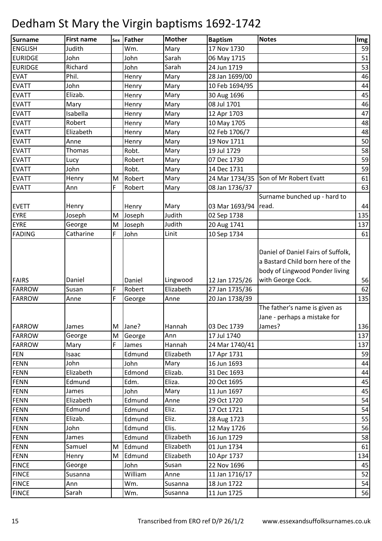| <b>Surname</b> | <b>First name</b> |   | sex Father | <b>Mother</b> | <b>Baptism</b> | <b>Notes</b>                                                                                             | Im <sub>g</sub> |
|----------------|-------------------|---|------------|---------------|----------------|----------------------------------------------------------------------------------------------------------|-----------------|
| <b>ENGLISH</b> | Judith            |   | Wm.        | Mary          | 17 Nov 1730    |                                                                                                          | 59              |
| <b>EURIDGE</b> | John              |   | John       | Sarah         | 06 May 1715    |                                                                                                          | 51              |
| <b>EURIDGE</b> | Richard           |   | John       | Sarah         | 24 Jun 1719    |                                                                                                          | 53              |
| <b>EVAT</b>    | Phil.             |   | Henry      | Mary          | 28 Jan 1699/00 |                                                                                                          | 46              |
| <b>EVATT</b>   | John              |   | Henry      | Mary          | 10 Feb 1694/95 |                                                                                                          | 44              |
| <b>EVATT</b>   | Elizab.           |   | Henry      | Mary          | 30 Aug 1696    |                                                                                                          | 45              |
| <b>EVATT</b>   | Mary              |   | Henry      | Mary          | 08 Jul 1701    |                                                                                                          | 46              |
| <b>EVATT</b>   | Isabella          |   | Henry      | Mary          | 12 Apr 1703    |                                                                                                          | 47              |
| <b>EVATT</b>   | Robert            |   | Henry      | Mary          | 10 May 1705    |                                                                                                          | 48              |
| <b>EVATT</b>   | Elizabeth         |   | Henry      | Mary          | 02 Feb 1706/7  |                                                                                                          | 48              |
| <b>EVATT</b>   | Anne              |   | Henry      | Mary          | 19 Nov 1711    |                                                                                                          | 50              |
| <b>EVATT</b>   | Thomas            |   | Robt.      | Mary          | 19 Jul 1729    |                                                                                                          | 58              |
| <b>EVATT</b>   | Lucy              |   | Robert     | Mary          | 07 Dec 1730    |                                                                                                          | 59              |
| <b>EVATT</b>   | John              |   | Robt.      | Mary          | 14 Dec 1731    |                                                                                                          | 59              |
| <b>EVATT</b>   | Henry             | M | Robert     | Mary          | 24 Mar 1734/35 | Son of Mr Robert Evatt                                                                                   | 61              |
| <b>EVATT</b>   | Ann               | F | Robert     | Mary          | 08 Jan 1736/37 |                                                                                                          | 63              |
|                |                   |   |            |               |                | Surname bunched up - hard to                                                                             |                 |
| <b>EVETT</b>   | Henry             |   | Henry      | Mary          | 03 Mar 1693/94 | read.                                                                                                    | 44              |
| <b>EYRE</b>    | Joseph            | M | Joseph     | Judith        | 02 Sep 1738    |                                                                                                          | 135             |
| <b>EYRE</b>    | George            | M | Joseph     | Judith        | 20 Aug 1741    |                                                                                                          | 137             |
| <b>FADING</b>  | Catharine         | F | John       | Linit         | 10 Sep 1734    |                                                                                                          | 61              |
|                |                   |   |            |               |                | Daniel of Daniel Fairs of Suffolk,<br>a Bastard Child born here of the<br>body of Lingwood Ponder living |                 |
| <b>FAIRS</b>   | Daniel            |   | Daniel     | Lingwood      | 12 Jan 1725/26 | with George Cock.                                                                                        | 56              |
| <b>FARROW</b>  | Susan             | F | Robert     | Elizabeth     | 27 Jan 1735/36 |                                                                                                          | 62              |
| <b>FARROW</b>  | Anne              | F | George     | Anne          | 20 Jan 1738/39 |                                                                                                          | 135             |
| <b>FARROW</b>  | James             | M | Jane?      | Hannah        | 03 Dec 1739    | The father's name is given as<br>Jane - perhaps a mistake for<br>James?                                  | 136             |
| <b>FARROW</b>  | George            | M | George     | Ann           | 17 Jul 1740    |                                                                                                          | 137             |
| <b>FARROW</b>  | Mary              | F | James      | Hannah        | 24 Mar 1740/41 |                                                                                                          | 137             |
| <b>FEN</b>     | Isaac             |   | Edmund     | Elizabeth     | 17 Apr 1731    |                                                                                                          | 59              |
| <b>FENN</b>    | John              |   | John       | Mary          | 16 Jun 1693    |                                                                                                          | 44              |
| <b>FENN</b>    | Elizabeth         |   | Edmond     | Elizab.       | 31 Dec 1693    |                                                                                                          | 44              |
| <b>FENN</b>    | Edmund            |   | Edm.       | Eliza.        | 20 Oct 1695    |                                                                                                          | 45              |
| <b>FENN</b>    | James             |   | John       | Mary          | 11 Jun 1697    |                                                                                                          | 45              |
| <b>FENN</b>    | Elizabeth         |   | Edmund     | Anne          | 29 Oct 1720    |                                                                                                          | 54              |
| <b>FENN</b>    | Edmund            |   | Edmund     | Eliz.         | 17 Oct 1721    |                                                                                                          | 54              |
| <b>FENN</b>    | Elizab.           |   | Edmund     | Eliz.         | 28 Aug 1723    |                                                                                                          | 55              |
| <b>FENN</b>    | John              |   | Edmund     | Elis.         | 12 May 1726    |                                                                                                          | 56              |
| <b>FENN</b>    | James             |   | Edmund     | Elizabeth     | 16 Jun 1729    |                                                                                                          | 58              |
| <b>FENN</b>    | Samuel            | M | Edmund     | Elizabeth     | 01 Jun 1734    |                                                                                                          | 61              |
| <b>FENN</b>    | Henry             | M | Edmund     | Elizabeth     | 10 Apr 1737    |                                                                                                          | 134             |
| <b>FINCE</b>   | George            |   | John       | Susan         | 22 Nov 1696    |                                                                                                          | 45              |
| <b>FINCE</b>   | Susanna           |   | William    | Anne          | 11 Jan 1716/17 |                                                                                                          | 52              |
| <b>FINCE</b>   | Ann               |   | Wm.        | Susanna       | 18 Jun 1722    |                                                                                                          | 54              |
| <b>FINCE</b>   | Sarah             |   | Wm.        | Susanna       | 11 Jun 1725    |                                                                                                          | 56              |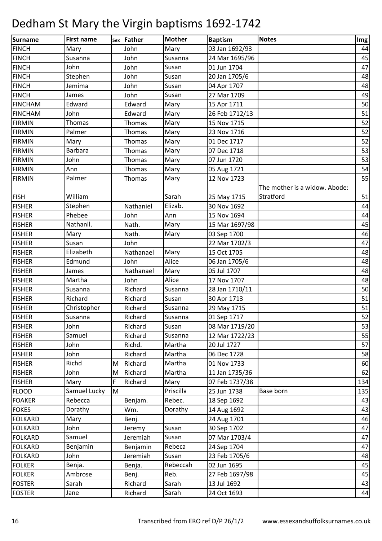| <b>Surname</b> | <b>First name</b> |   | sex Father | <b>Mother</b> | <b>Baptism</b> | <b>Notes</b>                  | Im <sub>g</sub> |
|----------------|-------------------|---|------------|---------------|----------------|-------------------------------|-----------------|
| <b>FINCH</b>   | Mary              |   | John       | Mary          | 03 Jan 1692/93 |                               | 44              |
| <b>FINCH</b>   | Susanna           |   | John       | Susanna       | 24 Mar 1695/96 |                               | 45              |
| <b>FINCH</b>   | John              |   | John       | Susan         | 01 Jun 1704    |                               | 47              |
| <b>FINCH</b>   | Stephen           |   | John       | Susan         | 20 Jan 1705/6  |                               | 48              |
| <b>FINCH</b>   | Jemima            |   | John       | Susan         | 04 Apr 1707    |                               | 48              |
| <b>FINCH</b>   | James             |   | John       | Susan         | 27 Mar 1709    |                               | 49              |
| <b>FINCHAM</b> | Edward            |   | Edward     | Mary          | 15 Apr 1711    |                               | 50              |
| <b>FINCHAM</b> | John              |   | Edward     | Mary          | 26 Feb 1712/13 |                               | 51              |
| <b>FIRMIN</b>  | Thomas            |   | Thomas     | Mary          | 15 Nov 1715    |                               | 52              |
| <b>FIRMIN</b>  | Palmer            |   | Thomas     | Mary          | 23 Nov 1716    |                               | 52              |
| <b>FIRMIN</b>  | Mary              |   | Thomas     | Mary          | 01 Dec 1717    |                               | 52              |
| <b>FIRMIN</b>  | <b>Barbara</b>    |   | Thomas     | Mary          | 07 Dec 1718    |                               | 53              |
| <b>FIRMIN</b>  | John              |   | Thomas     | Mary          | 07 Jun 1720    |                               | 53              |
| <b>FIRMIN</b>  | Ann               |   | Thomas     | Mary          | 05 Aug 1721    |                               | 54              |
| <b>FIRMIN</b>  | Palmer            |   | Thomas     | Mary          | 12 Nov 1723    |                               | 55              |
|                |                   |   |            |               |                | The mother is a widow. Abode: |                 |
| <b>FISH</b>    | William           |   |            | Sarah         | 25 May 1715    | Stratford                     | 51              |
| <b>FISHER</b>  | Stephen           |   | Nathaniel  | Elizab.       | 30 Nov 1692    |                               | 44              |
| <b>FISHER</b>  | Phebee            |   | John       | Ann           | 15 Nov 1694    |                               | 44              |
| <b>FISHER</b>  | Nathanll.         |   | Nath.      | Mary          | 15 Mar 1697/98 |                               | 45              |
| <b>FISHER</b>  | Mary              |   | Nath.      | Mary          | 03 Sep 1700    |                               | 46              |
| <b>FISHER</b>  | Susan             |   | John       |               | 22 Mar 1702/3  |                               | 47              |
| <b>FISHER</b>  | Elizabeth         |   | Nathanael  | Mary          | 15 Oct 1705    |                               | 48              |
| <b>FISHER</b>  | Edmund            |   | John       | Alice         | 06 Jan 1705/6  |                               | 48              |
| <b>FISHER</b>  | James             |   | Nathanael  | Mary          | 05 Jul 1707    |                               | 48              |
| <b>FISHER</b>  | Martha            |   | John       | Alice         | 17 Nov 1707    |                               | 48              |
| <b>FISHER</b>  | Susanna           |   | Richard    | Susanna       | 28 Jan 1710/11 |                               | 50              |
| <b>FISHER</b>  | Richard           |   | Richard    | Susan         | 30 Apr 1713    |                               | 51              |
| <b>FISHER</b>  | Christopher       |   | Richard    | Susanna       | 29 May 1715    |                               | 51              |
| <b>FISHER</b>  | Susanna           |   | Richard    | Susanna       | 01 Sep 1717    |                               | 52              |
| <b>FISHER</b>  | John              |   | Richard    | Susan         | 08 Mar 1719/20 |                               | 53              |
| <b>FISHER</b>  | Samuel            |   | Richard    | Susanna       | 12 Mar 1722/23 |                               | 55              |
| <b>FISHER</b>  | John              |   | Richd.     | Martha        | 20 Jul 1727    |                               | 57              |
| <b>FISHER</b>  | John              |   | Richard    | Martha        | 06 Dec 1728    |                               | 58              |
| <b>FISHER</b>  | Richd             | M | Richard    | Martha        | 01 Nov 1733    |                               | 60              |
| <b>FISHER</b>  | John              | M | Richard    | Martha        | 11 Jan 1735/36 |                               | 62              |
| <b>FISHER</b>  | Mary              | F | Richard    | Mary          | 07 Feb 1737/38 |                               | 134             |
| <b>FLOOD</b>   | Samuel Lucky      | M |            | Priscilla     | 25 Jun 1738    | Base born                     | 135             |
| <b>FOAKER</b>  | Rebecca           |   | Benjam.    | Rebec.        | 18 Sep 1692    |                               | 43              |
| <b>FOKES</b>   | Dorathy           |   | Wm.        | Dorathy       | 14 Aug 1692    |                               | 43              |
| <b>FOLKARD</b> | Mary              |   | Benj.      |               | 24 Aug 1701    |                               | 46              |
| <b>FOLKARD</b> | John              |   | Jeremy     | Susan         | 30 Sep 1702    |                               | 47              |
| <b>FOLKARD</b> | Samuel            |   | Jeremiah   | Susan         | 07 Mar 1703/4  |                               | 47              |
| <b>FOLKARD</b> | Benjamin          |   | Benjamin   | Rebeca        | 24 Sep 1704    |                               | 47              |
| <b>FOLKARD</b> | John              |   | Jeremiah   | Susan         | 23 Feb 1705/6  |                               | 48              |
| <b>FOLKER</b>  | Benja.            |   | Benja.     | Rebeccah      | 02 Jun 1695    |                               | 45              |
| <b>FOLKER</b>  | Ambrose           |   | Benj.      | Reb.          | 27 Feb 1697/98 |                               | 45              |
| <b>FOSTER</b>  | Sarah             |   | Richard    | Sarah         | 13 Jul 1692    |                               | 43              |
| <b>FOSTER</b>  | Jane              |   | Richard    | Sarah         | 24 Oct 1693    |                               | 44              |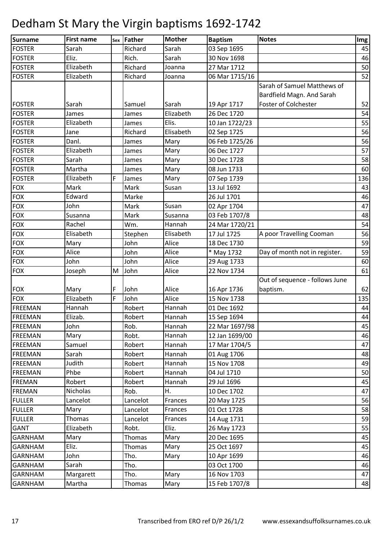| Surname                        | <b>First name</b>  |   | sex Father       | <b>Mother</b>    | <b>Baptism</b>             | <b>Notes</b>                   | Img      |
|--------------------------------|--------------------|---|------------------|------------------|----------------------------|--------------------------------|----------|
| <b>FOSTER</b>                  | Sarah              |   | Richard          | Sarah            | 03 Sep 1695                |                                | 45       |
| <b>FOSTER</b>                  | Eliz.              |   | Rich.            | Sarah            | 30 Nov 1698                |                                | 46       |
| <b>FOSTER</b>                  | Elizabeth          |   | Richard          | Joanna           | 27 Mar 1712                |                                | 50       |
| <b>FOSTER</b>                  | Elizabeth          |   | Richard          | Joanna           | 06 Mar 1715/16             |                                | 52       |
|                                |                    |   |                  |                  |                            | Sarah of Samuel Matthews of    |          |
|                                |                    |   |                  |                  |                            | Bardfield Magn. And Sarah      |          |
| <b>FOSTER</b>                  | Sarah              |   | Samuel           | Sarah            | 19 Apr 1717                | Foster of Colchester           | 52       |
| <b>FOSTER</b>                  | James              |   | James            | Elizabeth        | 26 Dec 1720                |                                | 54       |
| <b>FOSTER</b>                  | Elizabeth          |   | James            | Elis.            | 10 Jan 1722/23             |                                | 55       |
| <b>FOSTER</b>                  | Jane               |   | Richard          | Elisabeth        | 02 Sep 1725                |                                | 56       |
| <b>FOSTER</b>                  | Danl.              |   | James            | Mary             | 06 Feb 1725/26             |                                | 56       |
| <b>FOSTER</b>                  | Elizabeth          |   | James            | Mary             | 06 Dec 1727                |                                | 57       |
| <b>FOSTER</b>                  | Sarah              |   | James            | Mary             | 30 Dec 1728                |                                | 58       |
| <b>FOSTER</b>                  | Martha             |   | James            | Mary             | 08 Jun 1733                |                                | 60       |
| <b>FOSTER</b>                  | Elizabeth          | F | James            | Mary             | 07 Sep 1739                |                                | 136      |
| <b>FOX</b>                     | Mark               |   | Mark             | Susan            | 13 Jul 1692                |                                | 43       |
| <b>FOX</b>                     | Edward             |   | Marke            |                  | 26 Jul 1701                |                                | 46       |
| <b>FOX</b>                     | John               |   | Mark             | Susan            | 02 Apr 1704                |                                | 47       |
| <b>FOX</b>                     | Susanna            |   | Mark             | Susanna          | 03 Feb 1707/8              |                                | 48       |
| <b>FOX</b>                     | Rachel             |   | Wm.              | Hannah           | 24 Mar 1720/21             |                                | 54       |
| <b>FOX</b>                     | Elisabeth          |   | Stephen          | Elisabeth        | 17 Jul 1725                | A poor Travelling Cooman       | 56       |
| <b>FOX</b>                     | Mary               |   | John             | Alice            | 18 Dec 1730                |                                | 59       |
| <b>FOX</b>                     | Alice              |   | John             | Alice            | * May 1732                 | Day of month not in register.  | 59       |
| <b>FOX</b>                     | John               |   | John             | Alice            | 29 Aug 1733                |                                | 60       |
| <b>FOX</b>                     | Joseph             | M | John             | Alice            | 22 Nov 1734                |                                | 61       |
|                                |                    |   |                  |                  |                            | Out of sequence - follows June |          |
| <b>FOX</b>                     | Mary               | F | John             | Alice            | 16 Apr 1736                | baptism.                       | 62       |
| <b>FOX</b>                     | Elizabeth          | F | John             | Alice            | 15 Nov 1738                |                                | 135      |
| <b>FREEMAN</b>                 | Hannah             |   | Robert           | Hannah           | 01 Dec 1692                |                                | 44       |
| FREEMAN                        | Elizab.            |   | Robert           | Hannah           | 15 Sep 1694                |                                | 44       |
| <b>FREEMAN</b>                 | John               |   | Rob.             | Hannah           | 22 Mar 1697/98             |                                | 45       |
| <b>FREEMAN</b>                 | Mary               |   | Robt.            | Hannah           | 12 Jan 1699/00             |                                | 46       |
| <b>FREEMAN</b>                 | Samuel             |   | Robert           | Hannah           | 17 Mar 1704/5              |                                | 47       |
| <b>FREEMAN</b>                 | Sarah<br>Judith    |   | Robert           | Hannah           | 01 Aug 1706                |                                | 48       |
| <b>FREEMAN</b>                 | Phbe               |   | Robert           | Hannah<br>Hannah | 15 Nov 1708                |                                | 49       |
| <b>FREEMAN</b>                 |                    |   | Robert<br>Robert |                  | 04 Jul 1710                |                                | 50       |
| <b>FREMAN</b>                  | Robert<br>Nicholas |   |                  | Hannah<br>Η.     | 29 Jul 1696<br>10 Dec 1702 |                                | 45       |
| <b>FREMAN</b><br><b>FULLER</b> | Lancelot           |   | Rob.<br>Lancelot | Frances          |                            |                                | 47<br>56 |
| <b>FULLER</b>                  | Mary               |   | Lancelot         | Frances          | 20 May 1725<br>01 Oct 1728 |                                | 58       |
| <b>FULLER</b>                  | <b>Thomas</b>      |   | Lancelot         | Frances          | 14 Aug 1731                |                                | 59       |
| <b>GANT</b>                    | Elizabeth          |   | Robt.            | Eliz.            | 26 May 1723                |                                | 55       |
| <b>GARNHAM</b>                 | Mary               |   | Thomas           | Mary             | 20 Dec 1695                |                                | 45       |
| <b>GARNHAM</b>                 | Eliz.              |   | Thomas           | Mary             | 25 Oct 1697                |                                | 45       |
| <b>GARNHAM</b>                 | John               |   | Tho.             | Mary             | 10 Apr 1699                |                                | 46       |
| <b>GARNHAM</b>                 | Sarah              |   | Tho.             |                  | 03 Oct 1700                |                                | 46       |
| <b>GARNHAM</b>                 | Margarett          |   | Tho.             | Mary             | 16 Nov 1703                |                                | 47       |
| <b>GARNHAM</b>                 | Martha             |   | Thomas           | Mary             | 15 Feb 1707/8              |                                | 48       |
|                                |                    |   |                  |                  |                            |                                |          |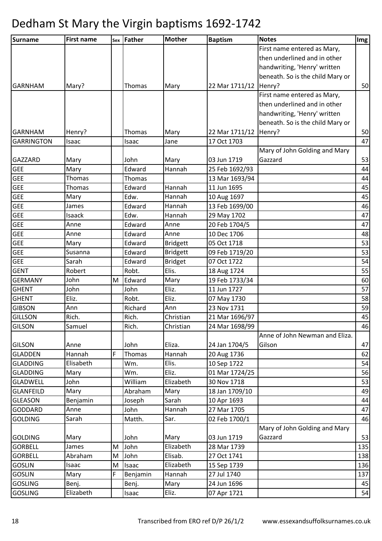| Surname           | <b>First name</b> |   | sex Father | <b>Mother</b>   | <b>Baptism</b>          | <b>Notes</b>                     | Img |
|-------------------|-------------------|---|------------|-----------------|-------------------------|----------------------------------|-----|
|                   |                   |   |            |                 |                         | First name entered as Mary,      |     |
|                   |                   |   |            |                 |                         | then underlined and in other     |     |
|                   |                   |   |            |                 |                         | handwriting, 'Henry' written     |     |
|                   |                   |   |            |                 |                         | beneath. So is the child Mary or |     |
| <b>GARNHAM</b>    | Mary?             |   | Thomas     | Mary            | 22 Mar 1711/12   Henry? |                                  | 50  |
|                   |                   |   |            |                 |                         | First name entered as Mary,      |     |
|                   |                   |   |            |                 |                         | then underlined and in other     |     |
|                   |                   |   |            |                 |                         | handwriting, 'Henry' written     |     |
|                   |                   |   |            |                 |                         | beneath. So is the child Mary or |     |
| <b>GARNHAM</b>    | Henry?            |   | Thomas     | Mary            | 22 Mar 1711/12   Henry? |                                  | 50  |
| <b>GARRINGTON</b> | Isaac             |   | Isaac      | Jane            | 17 Oct 1703             |                                  | 47  |
|                   |                   |   |            |                 |                         | Mary of John Golding and Mary    |     |
| <b>GAZZARD</b>    | Mary              |   | John       | Mary            | 03 Jun 1719             | Gazzard                          | 53  |
| <b>GEE</b>        | Mary              |   | Edward     | Hannah          | 25 Feb 1692/93          |                                  | 44  |
| <b>GEE</b>        | Thomas            |   | Thomas     |                 | 13 Mar 1693/94          |                                  | 44  |
| <b>GEE</b>        | Thomas            |   | Edward     | Hannah          | 11 Jun 1695             |                                  | 45  |
| <b>GEE</b>        | Mary              |   | Edw.       | Hannah          | 10 Aug 1697             |                                  | 45  |
| <b>GEE</b>        | James             |   | Edward     | Hannah          | 13 Feb 1699/00          |                                  | 46  |
| <b>GEE</b>        | Isaack            |   | Edw.       | Hannah          | 29 May 1702             |                                  | 47  |
| <b>GEE</b>        | Anne              |   | Edward     | Anne            | 20 Feb 1704/5           |                                  | 47  |
| <b>GEE</b>        | Anne              |   | Edward     | Anne            | 10 Dec 1706             |                                  | 48  |
| <b>GEE</b>        | Mary              |   | Edward     | <b>Bridgett</b> | 05 Oct 1718             |                                  | 53  |
| <b>GEE</b>        | Susanna           |   | Edward     | <b>Bridgett</b> | 09 Feb 1719/20          |                                  | 53  |
| <b>GEE</b>        | Sarah             |   | Edward     | <b>Bridget</b>  | 07 Oct 1722             |                                  | 54  |
| <b>GENT</b>       | Robert            |   | Robt.      | Elis.           | 18 Aug 1724             |                                  | 55  |
| <b>GERMANY</b>    | John              | M | Edward     | Mary            | 19 Feb 1733/34          |                                  | 60  |
| <b>GHENT</b>      | John              |   | John       | Eliz.           | 11 Jun 1727             |                                  | 57  |
| <b>GHENT</b>      | Eliz.             |   | Robt.      | Eliz.           | 07 May 1730             |                                  | 58  |
| <b>GIBSON</b>     | Ann               |   | Richard    | Ann             | 23 Nov 1731             |                                  | 59  |
| <b>GILLSON</b>    | Rich.             |   | Rich.      | Christian       | 21 Mar 1696/97          |                                  | 45  |
| <b>GILSON</b>     | Samuel            |   | Rich.      | Christian       | 24 Mar 1698/99          |                                  | 46  |
|                   |                   |   |            |                 |                         | Anne of John Newman and Eliza.   |     |
| <b>GILSON</b>     | Anne              |   | John       | Eliza.          | 24 Jan 1704/5           | Gilson                           | 47  |
| <b>GLADDEN</b>    | Hannah            | F | Thomas     | Hannah          | 20 Aug 1736             |                                  | 62  |
| <b>GLADDING</b>   | Elisabeth         |   | Wm.        | Elis.           | 10 Sep 1722             |                                  | 54  |
| <b>GLADDING</b>   | Mary              |   | Wm.        | Eliz.           | 01 Mar 1724/25          |                                  | 56  |
| <b>GLADWELL</b>   | John              |   | William    | Elizabeth       | 30 Nov 1718             |                                  | 53  |
| <b>GLANFEILD</b>  | Mary              |   | Abraham    | Mary            | 18 Jan 1709/10          |                                  | 49  |
| <b>GLEASON</b>    | Benjamin          |   | Joseph     | Sarah           | 10 Apr 1693             |                                  | 44  |
| GODDARD           | Anne              |   | John       | Hannah          | 27 Mar 1705             |                                  | 47  |
| <b>GOLDING</b>    | Sarah             |   | Matth.     | Sar.            | 02 Feb 1700/1           |                                  | 46  |
|                   |                   |   |            |                 |                         | Mary of John Golding and Mary    |     |
| <b>GOLDING</b>    | Mary              |   | John       | Mary            | 03 Jun 1719             | Gazzard                          | 53  |
| <b>GORBELL</b>    | James             | M | John       | Elizabeth       | 28 Mar 1739             |                                  | 135 |
| <b>GORBELL</b>    | Abraham           | M | John       | Elisab.         | 27 Oct 1741             |                                  | 138 |
| <b>GOSLIN</b>     | Isaac             | M | Isaac      | Elizabeth       | 15 Sep 1739             |                                  | 136 |
| <b>GOSLIN</b>     | Mary              | F | Benjamin   | Hannah          | 27 Jul 1740             |                                  | 137 |
| <b>GOSLING</b>    | Benj.             |   | Benj.      | Mary            | 24 Jun 1696             |                                  | 45  |
| <b>GOSLING</b>    | Elizabeth         |   | Isaac      | Eliz.           | 07 Apr 1721             |                                  | 54  |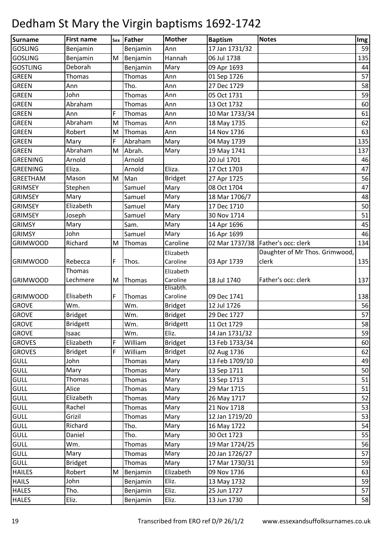| Surname<br><b>Mother</b><br><b>Notes</b><br>sex Father<br><b>Baptism</b>                      | Img |
|-----------------------------------------------------------------------------------------------|-----|
| <b>GOSLING</b><br>Benjamin<br>Ann<br>17 Jan 1731/32<br>Benjamin                               | 59  |
| Hannah<br>06 Jul 1738<br><b>GOSLING</b><br>Benjamin<br>M<br>Benjamin                          | 135 |
| Deborah<br><b>GOSTLING</b><br>Benjamin<br>09 Apr 1693<br>Mary                                 | 44  |
| <b>GREEN</b><br>Thomas<br>Ann<br>Thomas<br>01 Sep 1726                                        | 57  |
| <b>GREEN</b><br>Tho.<br>27 Dec 1729<br>Ann<br>Ann                                             | 58  |
| John<br><b>GREEN</b><br><b>Thomas</b><br>Ann<br>05 Oct 1731                                   | 59  |
| <b>GREEN</b><br>Abraham<br>Thomas<br>Ann<br>13 Oct 1732                                       | 60  |
| F<br><b>GREEN</b><br>Ann<br>Thomas<br>Ann<br>10 Mar 1733/34                                   | 61  |
| Abraham<br><b>GREEN</b><br>Ann<br>M<br>Thomas<br>18 May 1735                                  | 62  |
| <b>GREEN</b><br>Robert<br>M<br>Thomas<br>Ann<br>14 Nov 1736                                   | 63  |
| F<br>Mary<br><b>GREEN</b><br>Mary<br>Abraham<br>04 May 1739                                   | 135 |
| Abraham<br><b>GREEN</b><br>Abrah.<br>Mary<br>M<br>19 May 1741                                 | 137 |
| Arnold<br>20 Jul 1701<br><b>GREENING</b><br>Arnold                                            | 46  |
| Eliza.<br>Eliza.<br>Arnold<br><b>GREENING</b><br>17 Oct 1703                                  | 47  |
| <b>Bridget</b><br><b>GREETHAM</b><br>Mason<br>Man<br>M<br>27 Apr 1725                         | 56  |
| Mary<br><b>GRIMSEY</b><br>Stephen<br>Samuel<br>08 Oct 1704                                    | 47  |
| Mary<br><b>GRIMSEY</b><br>Samuel<br>Mary<br>18 Mar 1706/7                                     | 48  |
| Elizabeth<br>Mary<br>17 Dec 1710<br><b>GRIMSEY</b><br>Samuel                                  | 50  |
| Mary<br>Joseph<br>Samuel<br>30 Nov 1714<br><b>GRIMSEY</b>                                     | 51  |
| <b>GRIMSY</b><br>Mary<br>Sam.<br>Mary<br>14 Apr 1696                                          | 45  |
| John<br><b>GRIMSY</b><br>Samuel<br>Mary<br>16 Apr 1699                                        | 46  |
| Richard<br>Caroline<br>02 Mar 1737/38   Father's occ: clerk<br><b>GRIMWOOD</b><br>M<br>Thomas | 134 |
| Daughter of Mr Thos. Grimwood,<br>Elizabeth                                                   |     |
| clerk<br>Rebecca<br>F<br>Caroline<br>03 Apr 1739<br><b>GRIMWOOD</b><br>Thos.                  | 135 |
| Thomas<br>Elizabeth                                                                           |     |
| Father's occ: clerk<br>Lechmere<br>Caroline<br>18 Jul 1740<br><b>GRIMWOOD</b><br>M<br>Thomas  | 137 |
| Elisabth.                                                                                     |     |
| Elisabeth<br>F<br>Caroline<br>09 Dec 1741<br><b>GRIMWOOD</b><br>Thomas                        | 138 |
| <b>GROVE</b><br>Wm.<br>12 Jul 1726<br>Wm.<br><b>Bridget</b>                                   | 56  |
| <b>Bridget</b><br><b>GROVE</b><br><b>Bridget</b><br>Wm.<br>29 Dec 1727                        | 57  |
| <b>GROVE</b><br><b>Bridgett</b><br>Wm.<br><b>Bridgett</b><br>11 Oct 1729                      | 58  |
| Eliz.<br><b>GROVE</b><br>Isaac<br>Wm.<br>14 Jan 1731/32                                       | 59  |
| Elizabeth<br>William<br><b>Bridget</b><br><b>GROVES</b><br>F<br>13 Feb 1733/34                | 60  |
| <b>GROVES</b><br>F<br>William<br><b>Bridget</b><br><b>Bridget</b><br>02 Aug 1736              | 62  |
| <b>GULL</b><br>John<br>Mary<br>13 Feb 1709/10<br>Thomas                                       | 49  |
| <b>GULL</b><br>Mary<br>Thomas<br>Mary<br>13 Sep 1711                                          | 50  |
| Thomas<br>Mary<br>13 Sep 1713<br><b>GULL</b><br>Thomas                                        | 51  |
| <b>GULL</b><br>Alice<br>Thomas<br>Mary<br>29 Mar 1715                                         | 51  |
| Elizabeth<br><b>GULL</b><br>Mary<br>Thomas<br>26 May 1717                                     | 52  |
| <b>GULL</b><br>21 Nov 1718<br>Rachel<br>Mary<br>Thomas                                        | 53  |
| <b>GULL</b><br>Grizil<br>12 Jan 1719/20<br>Thomas<br>Mary                                     | 53  |
| <b>GULL</b><br>Richard<br>Tho.<br>16 May 1722<br>Mary                                         | 54  |
| <b>GULL</b><br>30 Oct 1723<br>Daniel<br>Tho.<br>Mary                                          | 55  |
| <b>GULL</b><br>Wm.<br>Mary<br>19 Mar 1724/25<br>Thomas                                        | 56  |
| <b>GULL</b><br>Mary<br>Mary<br>20 Jan 1726/27<br>Thomas                                       | 57  |
| <b>GULL</b><br>17 Mar 1730/31<br>Thomas<br>Mary<br><b>Bridget</b>                             | 59  |
| Elizabeth<br>Robert<br>09 Nov 1736<br><b>HAILES</b><br>M<br>Benjamin                          | 63  |
| Eliz.<br><b>HAILS</b><br>John<br>13 May 1732<br>Benjamin                                      | 59  |
| Eliz.<br><b>HALES</b><br>Tho.<br>25 Jun 1727<br>Benjamin                                      | 57  |
| Eliz.<br>Eliz.<br><b>HALES</b><br>13 Jun 1730<br>Benjamin                                     | 58  |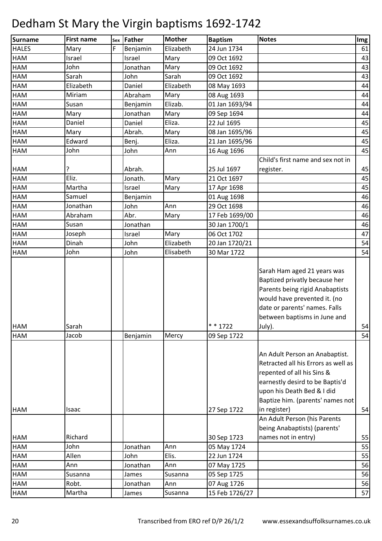| <b>Surname</b> | <b>First name</b> | Sex | Father   | <b>Mother</b> | <b>Baptism</b> | <b>Notes</b>                                                                                                                                                                                               | Img |
|----------------|-------------------|-----|----------|---------------|----------------|------------------------------------------------------------------------------------------------------------------------------------------------------------------------------------------------------------|-----|
| <b>HALES</b>   | Mary              | F   | Benjamin | Elizabeth     | 24 Jun 1734    |                                                                                                                                                                                                            | 61  |
| HAM            | Israel            |     | Israel   | Mary          | 09 Oct 1692    |                                                                                                                                                                                                            | 43  |
| HAM            | John              |     | Jonathan | Mary          | 09 Oct 1692    |                                                                                                                                                                                                            | 43  |
| HAM            | Sarah             |     | John     | Sarah         | 09 Oct 1692    |                                                                                                                                                                                                            | 43  |
| HAM            | Elizabeth         |     | Daniel   | Elizabeth     | 08 May 1693    |                                                                                                                                                                                                            | 44  |
| HAM            | Miriam            |     | Abraham  | Mary          | 08 Aug 1693    |                                                                                                                                                                                                            | 44  |
| HAM            | Susan             |     | Benjamin | Elizab.       | 01 Jan 1693/94 |                                                                                                                                                                                                            | 44  |
| HAM            | Mary              |     | Jonathan | Mary          | 09 Sep 1694    |                                                                                                                                                                                                            | 44  |
| <b>HAM</b>     | Daniel            |     | Daniel   | Eliza.        | 22 Jul 1695    |                                                                                                                                                                                                            | 45  |
| HAM            | Mary              |     | Abrah.   | Mary          | 08 Jan 1695/96 |                                                                                                                                                                                                            | 45  |
| HAM            | Edward            |     | Benj.    | Eliza.        | 21 Jan 1695/96 |                                                                                                                                                                                                            | 45  |
| HAM            | John              |     | John     | Ann           | 16 Aug 1696    |                                                                                                                                                                                                            | 45  |
|                |                   |     |          |               |                | Child's first name and sex not in                                                                                                                                                                          |     |
| <b>HAM</b>     |                   |     | Abrah.   |               | 25 Jul 1697    | register.                                                                                                                                                                                                  | 45  |
| <b>HAM</b>     | Eliz.             |     | Jonath.  | Mary          | 21 Oct 1697    |                                                                                                                                                                                                            | 45  |
| <b>HAM</b>     | Martha            |     | Israel   | Mary          | 17 Apr 1698    |                                                                                                                                                                                                            | 45  |
| HAM            | Samuel            |     | Benjamin |               | 01 Aug 1698    |                                                                                                                                                                                                            | 46  |
| <b>HAM</b>     | Jonathan          |     | John     | Ann           | 29 Oct 1698    |                                                                                                                                                                                                            | 46  |
| <b>HAM</b>     | Abraham           |     | Abr.     | Mary          | 17 Feb 1699/00 |                                                                                                                                                                                                            | 46  |
| <b>HAM</b>     | Susan             |     | Jonathan |               | 30 Jan 1700/1  |                                                                                                                                                                                                            | 46  |
| <b>HAM</b>     | Joseph            |     | Israel   | Mary          | 06 Oct 1702    |                                                                                                                                                                                                            | 47  |
| HAM            | Dinah             |     | John     | Elizabeth     | 20 Jan 1720/21 |                                                                                                                                                                                                            | 54  |
| <b>HAM</b>     | John              |     | John     | Elisabeth     | 30 Mar 1722    |                                                                                                                                                                                                            | 54  |
| <b>HAM</b>     | Sarah             |     |          |               | $* * 1722$     | Sarah Ham aged 21 years was<br>Baptized privatly because her<br>Parents being rigid Anabaptists<br>would have prevented it. (no<br>date or parents' names. Falls<br>between baptisms in June and<br>July). | 54  |
| <b>HAM</b>     | Jacob             |     | Benjamin | Mercy         | 09 Sep 1722    |                                                                                                                                                                                                            | 54  |
|                |                   |     |          |               |                | An Adult Person an Anabaptist.<br>Retracted all his Errors as well as<br>repented of all his Sins &<br>earnestly desird to be Baptis'd<br>upon his Death Bed & I did<br>Baptize him. (parents' names not   |     |
| <b>HAM</b>     | Isaac             |     |          |               | 27 Sep 1722    | in register)                                                                                                                                                                                               | 54  |
|                |                   |     |          |               |                | An Adult Person (his Parents<br>being Anabaptists) (parents'                                                                                                                                               |     |
| HAM            | Richard           |     |          |               | 30 Sep 1723    | names not in entry)                                                                                                                                                                                        | 55  |
| <b>HAM</b>     | John              |     | Jonathan | Ann           | 05 May 1724    |                                                                                                                                                                                                            | 55  |
| <b>HAM</b>     | Allen             |     | John     | Elis.         | 22 Jun 1724    |                                                                                                                                                                                                            | 55  |
| HAM            | Ann               |     | Jonathan | Ann           | 07 May 1725    |                                                                                                                                                                                                            | 56  |
| HAM            | Susanna           |     | James    | Susanna       | 05 Sep 1725    |                                                                                                                                                                                                            | 56  |
| HAM            | Robt.             |     | Jonathan | Ann           | 07 Aug 1726    |                                                                                                                                                                                                            | 56  |
| HAM            | Martha            |     | James    | Susanna       | 15 Feb 1726/27 |                                                                                                                                                                                                            | 57  |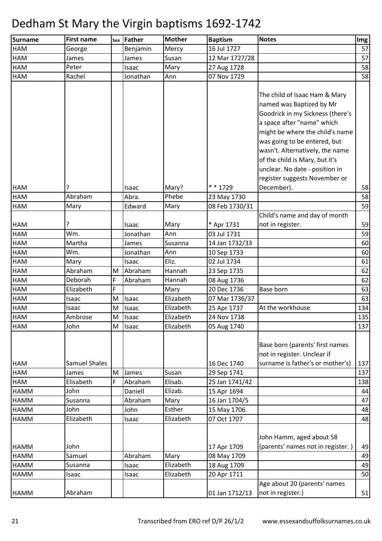| <b>Surname</b> | <b>First name</b>    |   | sex Father   | <b>Mother</b> | <b>Baptism</b> | <b>Notes</b>                      | Img |
|----------------|----------------------|---|--------------|---------------|----------------|-----------------------------------|-----|
| <b>HAM</b>     | George               |   | Benjamin     | Mercy         | 16 Jul 1727    |                                   | 57  |
| <b>HAM</b>     | James                |   | James        | Susan         | 12 Mar 1727/28 |                                   | 57  |
| HAM            | Peter                |   | Isaac        | Mary          | 27 Aug 1728    |                                   | 58  |
| <b>HAM</b>     | Rachel               |   | Jonathan     | Ann           | 07 Nov 1729    |                                   | 58  |
|                |                      |   |              |               |                |                                   |     |
|                |                      |   |              |               |                | The child of Isaac Ham & Mary     |     |
|                |                      |   |              |               |                | named was Baptized by Mr          |     |
|                |                      |   |              |               |                | Goodrick in my Sickness (there's  |     |
|                |                      |   |              |               |                | a space after "name" which        |     |
|                |                      |   |              |               |                | might be where the child's name   |     |
|                |                      |   |              |               |                | was going to be entered, but      |     |
|                |                      |   |              |               |                | wasn't. Alternatively, the name   |     |
|                |                      |   |              |               |                | of the child is Mary, but it's    |     |
|                |                      |   |              |               |                | unclear. No date - position in    |     |
|                |                      |   |              |               |                | register suggests November or     |     |
| <b>HAM</b>     |                      |   | Isaac        | Mary?         | * * 1729       | December).                        | 58  |
| <b>HAM</b>     | Abraham              |   | Abra.        | Phebe         | 23 May 1730    |                                   | 58  |
| <b>HAM</b>     | Mary                 |   | Edward       | Mary          | 08 Feb 1730/31 |                                   | 59  |
|                |                      |   |              |               |                | Child's name and day of month     |     |
| <b>HAM</b>     | ?                    |   | Isaac        | Mary          | * Apr 1731     | not in register.                  | 59  |
| <b>HAM</b>     | Wm.                  |   | Jonathan     | Ann           | 03 Jul 1731    |                                   | 59  |
| <b>HAM</b>     | Martha               |   | James        | Susanna       | 14 Jan 1732/33 |                                   | 60  |
| <b>HAM</b>     | Wm.                  |   | Jonathan     | Ann           | 10 Sep 1733    |                                   | 60  |
| HAM            | Mary                 |   | Isaac        | Eliz.         | 02 Jul 1734    |                                   | 61  |
| <b>HAM</b>     | Abraham              |   | M Abraham    | Hannah        | 23 Sep 1735    |                                   | 62  |
| HAM            | Deborah              | F | Abraham      | Hannah        | 08 Aug 1736    |                                   | 62  |
| <b>HAM</b>     | Elizabeth            | F |              | Mary          | 20 Dec 1736    | Base born                         | 63  |
| <b>HAM</b>     | Isaac                | M | Isaac        | Elizabeth     | 07 Mar 1736/37 |                                   | 63  |
| <b>HAM</b>     | Isaac                | M | Isaac        | Elizabeth     | 25 Apr 1737    | At the workhouse                  | 134 |
| HAM            | Ambrose              | M | <b>Isaac</b> | Elizabeth     | 24 Nov 1738    |                                   | 135 |
| <b>HAM</b>     | John                 | M | <b>Isaac</b> | Elizabeth     | 05 Aug 1740    |                                   | 137 |
|                |                      |   |              |               |                |                                   |     |
|                |                      |   |              |               |                | Base born (parents' first names   |     |
|                |                      |   |              |               |                | not in register. Unclear if       |     |
| <b>HAM</b>     | <b>Samuel Shales</b> |   |              |               | 16 Dec 1740    | surname is father's or mother's)  | 137 |
| <b>HAM</b>     | James                | M | James        | Susan         | 29 Sep 1741    |                                   | 137 |
| <b>HAM</b>     | Elisabeth            | F | Abraham      | Elisab.       | 25 Jan 1741/42 |                                   | 138 |
| <b>HAMM</b>    | John                 |   | Daniell      | Elizab.       | 15 Apr 1694    |                                   | 44  |
| <b>HAMM</b>    | Susanna              |   | Abraham      | Mary          | 16 Jan 1704/5  |                                   | 47  |
| <b>HAMM</b>    | John                 |   | John         | Esther        | 15 May 1706    |                                   | 48  |
| <b>HAMM</b>    | Elizabeth            |   | Isaac        | Elizabeth     | 07 Oct 1707    |                                   | 48  |
|                |                      |   |              |               |                |                                   |     |
|                |                      |   |              |               |                | John Hamm, aged about 58          |     |
| <b>HAMM</b>    | John                 |   |              |               | 17 Apr 1709    | (parents' names not in register.) | 49  |
| <b>HAMM</b>    | Samuel               |   | Abraham      | Mary          | 08 May 1709    |                                   | 49  |
| <b>HAMM</b>    | Susanna              |   | Isaac        | Elizabeth     | 18 Aug 1709    |                                   | 49  |
| <b>HAMM</b>    | Isaac                |   | Isaac        | Elizabeth     | 20 Apr 1711    |                                   | 50  |
|                |                      |   |              |               |                | Age about 20 (parents' names      |     |
| HAMM           | Abraham              |   |              |               | 01 Jan 1712/13 | not in register.)                 | 51  |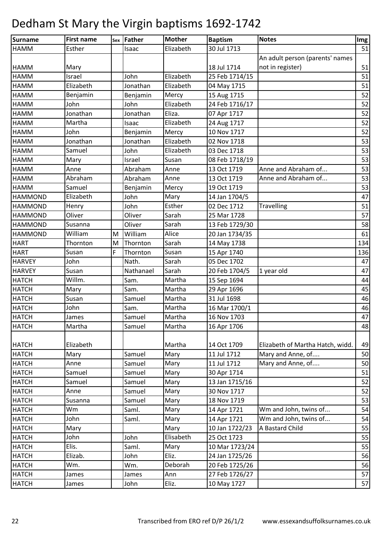| Surname        | <b>First name</b> |   | sex Father | <b>Mother</b> | <b>Baptism</b> | <b>Notes</b>                     | Img |
|----------------|-------------------|---|------------|---------------|----------------|----------------------------------|-----|
| <b>HAMM</b>    | Esther            |   | Isaac      | Elizabeth     | 30 Jul 1713    |                                  | 51  |
|                |                   |   |            |               |                | An adult person (parents' names  |     |
| <b>HAMM</b>    | Mary              |   |            |               | 18 Jul 1714    | not in register)                 | 51  |
| <b>HAMM</b>    | Israel            |   | John       | Elizabeth     | 25 Feb 1714/15 |                                  | 51  |
| <b>HAMM</b>    | Elizabeth         |   | Jonathan   | Elizabeth     | 04 May 1715    |                                  | 51  |
| <b>HAMM</b>    | Benjamin          |   | Benjamin   | Mercy         | 15 Aug 1715    |                                  | 52  |
| <b>HAMM</b>    | John              |   | John       | Elizabeth     | 24 Feb 1716/17 |                                  | 52  |
| <b>HAMM</b>    | Jonathan          |   | Jonathan   | Eliza.        | 07 Apr 1717    |                                  | 52  |
| <b>HAMM</b>    | Martha            |   | Isaac      | Elizabeth     | 24 Aug 1717    |                                  | 52  |
| <b>HAMM</b>    | John              |   | Benjamin   | Mercy         | 10 Nov 1717    |                                  | 52  |
| <b>HAMM</b>    | Jonathan          |   | Jonathan   | Elizabeth     | 02 Nov 1718    |                                  | 53  |
| <b>HAMM</b>    | Samuel            |   | John       | Elizabeth     | 03 Dec 1718    |                                  | 53  |
| <b>HAMM</b>    | Mary              |   | Israel     | Susan         | 08 Feb 1718/19 |                                  | 53  |
| <b>HAMM</b>    | Anne              |   | Abraham    | Anne          | 13 Oct 1719    | Anne and Abraham of              | 53  |
| <b>HAMM</b>    | Abraham           |   | Abraham    | Anne          | 13 Oct 1719    | Anne and Abraham of              | 53  |
| <b>HAMM</b>    | Samuel            |   | Benjamin   | Mercy         | 19 Oct 1719    |                                  | 53  |
| <b>HAMMOND</b> | Elizabeth         |   | John       | Mary          | 14 Jan 1704/5  |                                  | 47  |
| <b>HAMMOND</b> | Henry             |   | John       | Esther        | 02 Dec 1712    | <b>Travelling</b>                | 51  |
| <b>HAMMOND</b> | Oliver            |   | Oliver     | Sarah         | 25 Mar 1728    |                                  | 57  |
| <b>HAMMOND</b> | Susanna           |   | Oliver     | Sarah         | 13 Feb 1729/30 |                                  | 58  |
| <b>HAMMOND</b> | William           | M | William    | Alice         | 20 Jan 1734/35 |                                  | 61  |
| <b>HART</b>    | Thornton          | M | Thornton   | Sarah         | 14 May 1738    |                                  | 134 |
| <b>HART</b>    | Susan             | F | Thornton   | Susan         | 15 Apr 1740    |                                  | 136 |
| <b>HARVEY</b>  | John              |   | Nath.      | Sarah         | 05 Dec 1702    |                                  | 47  |
| <b>HARVEY</b>  | Susan             |   | Nathanael  | Sarah         | 20 Feb 1704/5  | 1 year old                       | 47  |
| <b>HATCH</b>   | Willm.            |   | Sam.       | Martha        | 15 Sep 1694    |                                  | 44  |
| <b>HATCH</b>   | Mary              |   | Sam.       | Martha        | 29 Apr 1696    |                                  | 45  |
| <b>HATCH</b>   | Susan             |   | Samuel     | Martha        | 31 Jul 1698    |                                  | 46  |
| <b>HATCH</b>   | John              |   | Sam.       | Martha        | 16 Mar 1700/1  |                                  | 46  |
| <b>HATCH</b>   | James             |   | Samuel     | Martha        | 16 Nov 1703    |                                  | 47  |
| <b>HATCH</b>   | Martha            |   | Samuel     | Martha        | 16 Apr 1706    |                                  | 48  |
|                |                   |   |            |               |                |                                  |     |
| <b>HATCH</b>   | Elizabeth         |   |            | Martha        | 14 Oct 1709    | Elizabeth of Martha Hatch, widd. | 49  |
| <b>HATCH</b>   | Mary              |   | Samuel     | Mary          | 11 Jul 1712    | Mary and Anne, of                | 50  |
| <b>HATCH</b>   | Anne              |   | Samuel     | Mary          | 11 Jul 1712    | Mary and Anne, of                | 50  |
| <b>HATCH</b>   | Samuel            |   | Samuel     | Mary          | 30 Apr 1714    |                                  | 51  |
| <b>HATCH</b>   | Samuel            |   | Samuel     | Mary          | 13 Jan 1715/16 |                                  | 52  |
| <b>HATCH</b>   | Anne              |   | Samuel     | Mary          | 30 Nov 1717    |                                  | 52  |
| <b>HATCH</b>   | Susanna           |   | Samuel     | Mary          | 18 Nov 1719    |                                  | 53  |
| <b>HATCH</b>   | Wm                |   | Saml.      | Mary          | 14 Apr 1721    | Wm and John, twins of            | 54  |
| <b>HATCH</b>   | John              |   | Saml.      | Mary          | 14 Apr 1721    | Wm and John, twins of            | 54  |
| <b>HATCH</b>   | Mary              |   |            | Mary          | 10 Jan 1722/23 | A Bastard Child                  | 55  |
| <b>HATCH</b>   | John              |   | John       | Elisabeth     | 25 Oct 1723    |                                  | 55  |
| <b>HATCH</b>   | Elis.             |   | Saml.      | Mary          | 10 Mar 1723/24 |                                  | 55  |
| <b>HATCH</b>   | Elizab.           |   | John       | Eliz.         | 24 Jan 1725/26 |                                  | 56  |
| <b>HATCH</b>   | Wm.               |   | Wm.        | Deborah       | 20 Feb 1725/26 |                                  | 56  |
| <b>HATCH</b>   | James             |   | James      | Ann           | 27 Feb 1726/27 |                                  | 57  |
| <b>HATCH</b>   | James             |   | John       | Eliz.         | 10 May 1727    |                                  | 57  |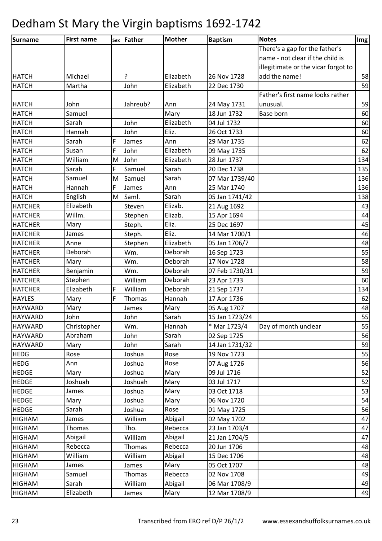| Surname        | <b>First name</b> |   | sex Father | <b>Mother</b> | <b>Baptism</b> | <b>Notes</b>                        | <b>Img</b> |
|----------------|-------------------|---|------------|---------------|----------------|-------------------------------------|------------|
|                |                   |   |            |               |                | There's a gap for the father's      |            |
|                |                   |   |            |               |                | name - not clear if the child is    |            |
|                |                   |   |            |               |                | illegitimate or the vicar forgot to |            |
| <b>HATCH</b>   | Michael           |   | ?          | Elizabeth     | 26 Nov 1728    | add the name!                       | 58         |
| <b>HATCH</b>   | Martha            |   | John       | Elizabeth     | 22 Dec 1730    |                                     | 59         |
|                |                   |   |            |               |                | Father's first name looks rather    |            |
| <b>HATCH</b>   | John              |   | Jahreub?   | Ann           | 24 May 1731    | unusual.                            | 59         |
| <b>HATCH</b>   | Samuel            |   |            | Mary          | 18 Jun 1732    | Base born                           | 60         |
| <b>HATCH</b>   | Sarah             |   | John       | Elizabeth     | 04 Jul 1732    |                                     | 60         |
| <b>HATCH</b>   | Hannah            |   | John       | Eliz.         | 26 Oct 1733    |                                     | 60         |
| <b>HATCH</b>   | Sarah             | F | James      | Ann           | 29 Mar 1735    |                                     | 62         |
| <b>HATCH</b>   | Susan             | F | John       | Elizabeth     | 09 May 1735    |                                     | 62         |
| <b>HATCH</b>   | William           | M | John       | Elizabeth     | 28 Jun 1737    |                                     | 134        |
| <b>HATCH</b>   | Sarah             | F | Samuel     | Sarah         | 20 Dec 1738    |                                     | 135        |
| <b>HATCH</b>   | Samuel            | M | Samuel     | Sarah         | 07 Mar 1739/40 |                                     | 136        |
| <b>HATCH</b>   | Hannah            | F | James      | Ann           | 25 Mar 1740    |                                     | 136        |
| <b>HATCH</b>   | English           | M | Saml.      | Sarah         | 05 Jan 1741/42 |                                     | 138        |
| <b>HATCHER</b> | Elizabeth         |   | Steven     | Elizab.       | 21 Aug 1692    |                                     | 43         |
| <b>HATCHER</b> | Willm.            |   | Stephen    | Elizab.       | 15 Apr 1694    |                                     | 44         |
| <b>HATCHER</b> | Mary              |   | Steph.     | Eliz.         | 25 Dec 1697    |                                     | 45         |
| <b>HATCHER</b> | James             |   | Steph.     | Eliz.         | 14 Mar 1700/1  |                                     | 46         |
| <b>HATCHER</b> | Anne              |   | Stephen    | Elizabeth     | 05 Jan 1706/7  |                                     | 48         |
| <b>HATCHER</b> | Deborah           |   | Wm.        | Deborah       | 16 Sep 1723    |                                     | 55         |
| <b>HATCHER</b> | Mary              |   | Wm.        | Deborah       | 17 Nov 1728    |                                     | 58         |
| <b>HATCHER</b> | Benjamin          |   | Wm.        | Deborah       | 07 Feb 1730/31 |                                     | 59         |
| <b>HATCHER</b> | Stephen           |   | William    | Deborah       | 23 Apr 1733    |                                     | 60         |
| <b>HATCHER</b> | Elizabeth         | F | William    | Deborah       | 21 Sep 1737    |                                     | 134        |
| <b>HAYLES</b>  | Mary              | F | Thomas     | Hannah        | 17 Apr 1736    |                                     | 62         |
| <b>HAYWARD</b> | Mary              |   | James      | Mary          | 05 Aug 1707    |                                     | 48         |
| <b>HAYWARD</b> | John              |   | John       | Sarah         | 15 Jan 1723/24 |                                     | 55         |
| <b>HAYWARD</b> | Christopher       |   | Wm.        | Hannah        | * Mar 1723/4   | Day of month unclear                | 55         |
| <b>HAYWARD</b> | Abraham           |   | John       | Sarah         | 02 Sep 1725    |                                     | 56         |
| <b>HAYWARD</b> | Mary              |   | John       | Sarah         | 14 Jan 1731/32 |                                     | 59         |
| <b>HEDG</b>    | Rose              |   | Joshua     | Rose          | 19 Nov 1723    |                                     | 55         |
| <b>HEDG</b>    | Ann               |   | Joshua     | Rose          | 07 Aug 1726    |                                     | 56         |
| <b>HEDGE</b>   | Mary              |   | Joshua     | Mary          | 09 Jul 1716    |                                     | 52         |
| <b>HEDGE</b>   | Joshuah           |   | Joshuah    | Mary          | 03 Jul 1717    |                                     | 52         |
| <b>HEDGE</b>   | James             |   | Joshua     | Mary          | 03 Oct 1718    |                                     | 53         |
| <b>HEDGE</b>   | Mary              |   | Joshua     | Mary          | 06 Nov 1720    |                                     | 54         |
| <b>HEDGE</b>   | Sarah             |   | Joshua     | Rose          | 01 May 1725    |                                     | 56         |
| <b>HIGHAM</b>  | James             |   | William    | Abigail       | 02 May 1702    |                                     | 47         |
| <b>HIGHAM</b>  | Thomas            |   | Tho.       | Rebecca       | 23 Jan 1703/4  |                                     | 47         |
| <b>HIGHAM</b>  | Abigail           |   | William    | Abigail       | 21 Jan 1704/5  |                                     | 47         |
| <b>HIGHAM</b>  | Rebecca           |   | Thomas     | Rebecca       | 20 Jun 1706    |                                     | 48         |
| <b>HIGHAM</b>  | William           |   | William    | Abigail       | 15 Dec 1706    |                                     | 48         |
| <b>HIGHAM</b>  | James             |   | James      | Mary          | 05 Oct 1707    |                                     | 48         |
| <b>HIGHAM</b>  | Samuel            |   | Thomas     | Rebecca       | 02 Nov 1708    |                                     | 49         |
| <b>HIGHAM</b>  | Sarah             |   | William    | Abigail       | 06 Mar 1708/9  |                                     | 49         |
| <b>HIGHAM</b>  | Elizabeth         |   | James      | Mary          | 12 Mar 1708/9  |                                     | 49         |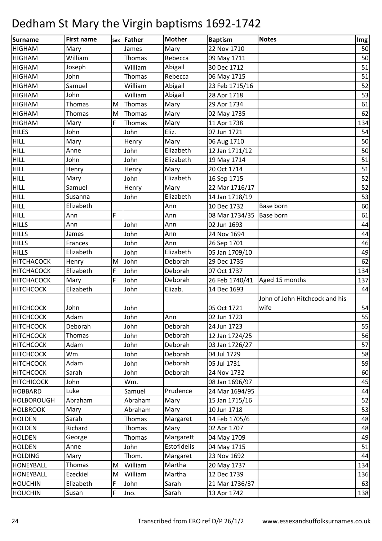| Surname           | <b>First name</b> |   | sex Father | <b>Mother</b> | <b>Baptism</b>           | <b>Notes</b>                   | Img |
|-------------------|-------------------|---|------------|---------------|--------------------------|--------------------------------|-----|
| <b>HIGHAM</b>     | Mary              |   | James      | Mary          | 22 Nov 1710              |                                | 50  |
| <b>HIGHAM</b>     | William           |   | Thomas     | Rebecca       | 09 May 1711              |                                | 50  |
| <b>HIGHAM</b>     | Joseph            |   | William    | Abigail       | 30 Dec 1712              |                                | 51  |
| <b>HIGHAM</b>     | John              |   | Thomas     | Rebecca       | 06 May 1715              |                                | 51  |
| <b>HIGHAM</b>     | Samuel            |   | William    | Abigail       | 23 Feb 1715/16           |                                | 52  |
| <b>HIGHAM</b>     | John              |   | William    | Abigail       | 28 Apr 1718              |                                | 53  |
| <b>HIGHAM</b>     | Thomas            | M | Thomas     | Mary          | 29 Apr 1734              |                                | 61  |
| <b>HIGHAM</b>     | <b>Thomas</b>     | M | Thomas     | Mary          | 02 May 1735              |                                | 62  |
| <b>HIGHAM</b>     | Mary              | F | Thomas     | Mary          | 11 Apr 1738              |                                | 134 |
| <b>HILES</b>      | John              |   | John       | Eliz.         | 07 Jun 1721              |                                | 54  |
| <b>HILL</b>       | Mary              |   | Henry      | Mary          | 06 Aug 1710              |                                | 50  |
| <b>HILL</b>       | Anne              |   | John       | Elizabeth     | 12 Jan 1711/12           |                                | 50  |
| <b>FHILL</b>      | John              |   | John       | Elizabeth     | 19 May 1714              |                                | 51  |
| <b>HILL</b>       | Henry             |   | Henry      | Mary          | 20 Oct 1714              |                                | 51  |
| <b>HILL</b>       | Mary              |   | John       | Elizabeth     | 16 Sep 1715              |                                | 52  |
| <b>HILL</b>       | Samuel            |   | Henry      | Mary          | 22 Mar 1716/17           |                                | 52  |
| <b>HILL</b>       | Susanna           |   | John       | Elizabeth     | 14 Jan 1718/19           |                                | 53  |
| HILL              | Elizabeth         |   |            | Ann           | 10 Dec 1732              | <b>Base born</b>               | 60  |
| <b>HILL</b>       | Ann               | F |            | Ann           | 08 Mar 1734/35 Base born |                                | 61  |
| <b>HILLS</b>      | Ann               |   | John       | Ann           | 02 Jun 1693              |                                | 44  |
| <b>HILLS</b>      | James             |   | John       | Ann           | 24 Nov 1694              |                                | 44  |
| <b>HILLS</b>      | Frances           |   | John       | Ann           | 26 Sep 1701              |                                | 46  |
| <b>HILLS</b>      | Elizabeth         |   | John       | Elizabeth     | 05 Jan 1709/10           |                                | 49  |
| <b>HITCHACOCK</b> | Henry             | M | John       | Deborah       | 29 Dec 1735              |                                | 62  |
| <b>HITCHACOCK</b> | Elizabeth         | F | John       | Deborah       | 07 Oct 1737              |                                | 134 |
| <b>HITCHACOCK</b> | Mary              | F | John       | Deborah       | 26 Feb 1740/41           | Aged 15 months                 | 137 |
| <b>HITCHCOCK</b>  | Elizabeth         |   | John       | Elizab.       | 14 Dec 1693              |                                | 44  |
|                   |                   |   |            |               |                          | John of John Hitchcock and his |     |
| <b>HITCHCOCK</b>  | John              |   | John       |               | 05 Oct 1721              | wife                           | 54  |
| <b>HITCHCOCK</b>  | Adam              |   | John       | Ann           | 02 Jun 1723              |                                | 55  |
| <b>HITCHCOCK</b>  | Deborah           |   | John       | Deborah       | 24 Jun 1723              |                                | 55  |
| <b>HITCHCOCK</b>  | Thomas            |   | John       | Deborah       | 12 Jan 1724/25           |                                | 56  |
| <b>HITCHCOCK</b>  | Adam              |   | John       | Deborah       | 03 Jan 1726/27           |                                | 57  |
| <b>HITCHCOCK</b>  | Wm.               |   | John       | Deborah       | 04 Jul 1729              |                                | 58  |
| <b>HITCHCOCK</b>  | Adam              |   | John       | Deborah       | 05 Jul 1731              |                                | 59  |
| <b>HITCHCOCK</b>  | Sarah             |   | John       | Deborah       | 24 Nov 1732              |                                | 60  |
| <b>HITCHICOCK</b> | John              |   | Wm.        |               | 08 Jan 1696/97           |                                | 45  |
| <b>HOBBARD</b>    | Luke              |   | Samuel     | Prudence      | 24 Mar 1694/95           |                                | 44  |
| <b>HOLBOROUGH</b> | Abraham           |   | Abraham    | Mary          | 15 Jan 1715/16           |                                | 52  |
| <b>HOLBROOK</b>   | Mary              |   | Abraham    | Mary          | 10 Jun 1718              |                                | 53  |
| <b>HOLDEN</b>     | Sarah             |   | Thomas     | Margaret      | 14 Feb 1705/6            |                                | 48  |
| <b>HOLDEN</b>     | Richard           |   | Thomas     | Mary          | 02 Apr 1707              |                                | 48  |
| <b>HOLDEN</b>     | George            |   | Thomas     | Margarett     | 04 May 1709              |                                | 49  |
| <b>HOLDEN</b>     | Anne              |   | John       | Estofidelis   | 04 May 1715              |                                | 51  |
| <b>HOLDING</b>    | Mary              |   | Thom.      | Margaret      | 23 Nov 1692              |                                | 44  |
| <b>HONEYBALL</b>  | Thomas            | M | William    | Martha        | 20 May 1737              |                                | 134 |
| <b>HONEYBALL</b>  | Ezeckiel          | M | William    | Martha        | 12 Dec 1739              |                                | 136 |
| <b>HOUCHIN</b>    | Elizabeth         | F | John       | Sarah         | 21 Mar 1736/37           |                                | 63  |
| <b>HOUCHIN</b>    | Susan             | F | Jno.       | Sarah         | 13 Apr 1742              |                                | 138 |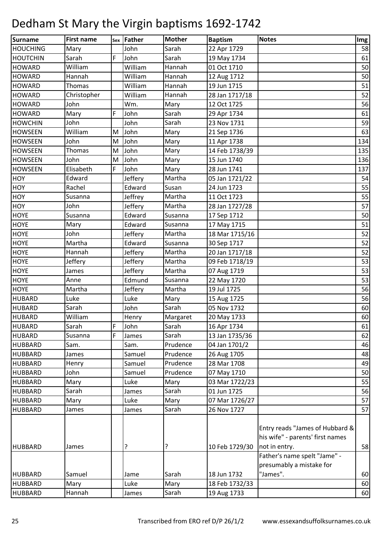| <b>Surname</b>  | <b>First name</b> | Sex | Father  | <b>Mother</b> | <b>Baptism</b> | <b>Notes</b>                                                                                                         | Img |
|-----------------|-------------------|-----|---------|---------------|----------------|----------------------------------------------------------------------------------------------------------------------|-----|
| <b>HOUCHING</b> | Mary              |     | John    | Sarah         | 22 Apr 1729    |                                                                                                                      | 58  |
| <b>HOUTCHIN</b> | Sarah             | F   | John    | Sarah         | 19 May 1734    |                                                                                                                      | 61  |
| <b>HOWARD</b>   | William           |     | William | Hannah        | 01 Oct 1710    |                                                                                                                      | 50  |
| <b>HOWARD</b>   | Hannah            |     | William | Hannah        | 12 Aug 1712    |                                                                                                                      | 50  |
| <b>HOWARD</b>   | Thomas            |     | William | Hannah        | 19 Jun 1715    |                                                                                                                      | 51  |
| <b>HOWARD</b>   | Christopher       |     | William | Hannah        | 28 Jan 1717/18 |                                                                                                                      | 52  |
| <b>HOWARD</b>   | John              |     | Wm.     | Mary          | 12 Oct 1725    |                                                                                                                      | 56  |
| <b>HOWARD</b>   | Mary              | F   | John    | Sarah         | 29 Apr 1734    |                                                                                                                      | 61  |
| <b>HOWCHIN</b>  | John              |     | John    | Sarah         | 23 Nov 1731    |                                                                                                                      | 59  |
| <b>HOWSEEN</b>  | William           | M   | John    | Mary          | 21 Sep 1736    |                                                                                                                      | 63  |
| <b>HOWSEEN</b>  | John              | M   | John    | Mary          | 11 Apr 1738    |                                                                                                                      | 134 |
| <b>HOWSEEN</b>  | <b>Thomas</b>     | M   | John    | Mary          | 14 Feb 1738/39 |                                                                                                                      | 135 |
| <b>HOWSEEN</b>  | John              | M   | John    | Mary          | 15 Jun 1740    |                                                                                                                      | 136 |
| <b>HOWSEEN</b>  | Elisabeth         | F   | John    | Mary          | 28 Jun 1741    |                                                                                                                      | 137 |
| HOY             | Edward            |     | Jeffery | Martha        | 05 Jan 1721/22 |                                                                                                                      | 54  |
| HOY             | Rachel            |     | Edward  | Susan         | 24 Jun 1723    |                                                                                                                      | 55  |
| <b>HOY</b>      | Susanna           |     | Jeffrey | Martha        | 11 Oct 1723    |                                                                                                                      | 55  |
| <b>HOY</b>      | John              |     | Jeffery | Martha        | 28 Jan 1727/28 |                                                                                                                      | 57  |
| <b>HOYE</b>     | Susanna           |     | Edward  | Susanna       | 17 Sep 1712    |                                                                                                                      | 50  |
| <b>HOYE</b>     | Mary              |     | Edward  | Susanna       | 17 May 1715    |                                                                                                                      | 51  |
| <b>HOYE</b>     | John              |     | Jeffery | Martha        | 18 Mar 1715/16 |                                                                                                                      | 52  |
| <b>HOYE</b>     | Martha            |     | Edward  | Susanna       | 30 Sep 1717    |                                                                                                                      | 52  |
| <b>HOYE</b>     | Hannah            |     | Jeffery | Martha        | 20 Jan 1717/18 |                                                                                                                      | 52  |
| <b>HOYE</b>     | Jeffery           |     | Jeffery | Martha        | 09 Feb 1718/19 |                                                                                                                      | 53  |
| <b>HOYE</b>     | James             |     | Jeffery | Martha        | 07 Aug 1719    |                                                                                                                      | 53  |
| <b>HOYE</b>     | Anne              |     | Edmund  | Susanna       | 22 May 1720    |                                                                                                                      | 53  |
| <b>HOYE</b>     | Martha            |     | Jeffery | Martha        | 19 Jul 1725    |                                                                                                                      | 56  |
| <b>HUBARD</b>   | Luke              |     | Luke    | Mary          | 15 Aug 1725    |                                                                                                                      | 56  |
| <b>HUBARD</b>   | Sarah             |     | John    | Sarah         | 05 Nov 1732    |                                                                                                                      | 60  |
| <b>HUBARD</b>   | William           |     | Henry   | Margaret      | 20 May 1733    |                                                                                                                      | 60  |
| <b>HUBARD</b>   | Sarah             | F   | John    | Sarah         | 16 Apr 1734    |                                                                                                                      | 61  |
| <b>HUBARD</b>   | Susanna           | F   | James   | Sarah         | 13 Jan 1735/36 |                                                                                                                      | 62  |
| <b>HUBBARD</b>  | Sam.              |     | Sam.    | Prudence      | 04 Jan 1701/2  |                                                                                                                      | 46  |
| <b>HUBBARD</b>  | James             |     | Samuel  | Prudence      | 26 Aug 1705    |                                                                                                                      | 48  |
| <b>HUBBARD</b>  | Henry             |     | Samuel  | Prudence      | 28 Mar 1708    |                                                                                                                      | 49  |
| <b>HUBBARD</b>  | John              |     | Samuel  | Prudence      | 07 May 1710    |                                                                                                                      | 50  |
| <b>HUBBARD</b>  | Mary              |     | Luke    | Mary          | 03 Mar 1722/23 |                                                                                                                      | 55  |
| <b>HUBBARD</b>  | Sarah             |     | James   | Sarah         | 01 Jun 1725    |                                                                                                                      | 56  |
| <b>HUBBARD</b>  | Mary              |     | Luke    | Mary          | 07 Mar 1726/27 |                                                                                                                      | 57  |
| <b>HUBBARD</b>  | James             |     | James   | Sarah         | 26 Nov 1727    |                                                                                                                      | 57  |
| <b>HUBBARD</b>  | James             |     | ?       | ?             | 10 Feb 1729/30 | Entry reads "James of Hubbard &<br>his wife" - parents' first names<br>not in entry.<br>Father's name spelt "Jame" - | 58  |
|                 |                   |     |         |               |                | presumably a mistake for                                                                                             |     |
| <b>HUBBARD</b>  | Samuel            |     | Jame    | Sarah         | 18 Jun 1732    | "James".                                                                                                             | 60  |
| <b>HUBBARD</b>  | Mary              |     | Luke    | Mary          | 18 Feb 1732/33 |                                                                                                                      | 60  |
| <b>HUBBARD</b>  | Hannah            |     | James   | Sarah         | 19 Aug 1733    |                                                                                                                      | 60  |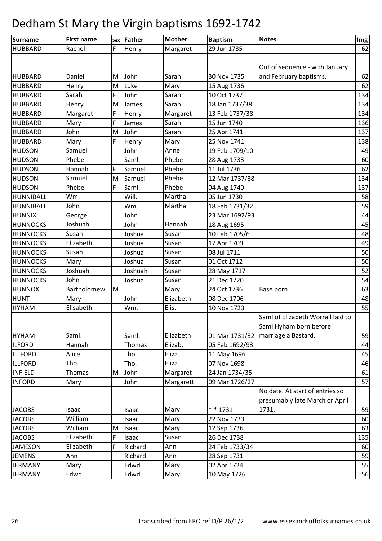| F<br>62<br>Rachel<br>Margaret<br>29 Jun 1735<br>Henry<br>Out of sequence - with January<br>and February baptisms.<br>62<br>Daniel<br>John<br>Sarah<br>30 Nov 1735<br>M<br>Luke<br>62<br><b>HUBBARD</b><br>M<br>Mary<br>15 Aug 1736<br>Henry<br>Sarah<br>F<br>John<br>Sarah<br>134<br>10 Oct 1737<br>Henry<br>Sarah<br>134<br>M<br>James<br>18 Jan 1737/38<br>F<br>134<br>13 Feb 1737/38<br><b>HUBBARD</b><br>Margaret<br>Margaret<br>Henry<br>F<br>Sarah<br>15 Jun 1740<br>136<br>Mary<br>James<br>137<br>John<br>M<br>John<br>Sarah<br>25 Apr 1741<br>F<br>Mary<br>25 Nov 1741<br>138<br>Mary<br>Henry<br>Samuel<br>19 Feb 1709/10<br>John<br>Anne<br>49<br>Phebe<br>60<br>Phebe<br>Saml.<br>28 Aug 1733<br>Phebe<br>Hannah<br>F<br>11 Jul 1736<br>62<br>Samuel<br>Phebe<br>12 Mar 1737/38<br>134<br>M<br>Samuel<br>Samuel<br>Phebe<br>F<br>Phebe<br>Saml.<br>137<br>04 Aug 1740<br>Wm.<br>Will.<br>Martha<br>05 Jun 1730<br>58<br>John<br>59<br>Martha<br>Wm.<br>18 Feb 1731/32<br>George<br>John<br>23 Mar 1692/93<br>44<br>45<br>Joshuah<br>John<br>Hannah<br>18 Aug 1695<br>Susan<br>48<br>Susan<br>10 Feb 1705/6<br>Joshua<br>Susan<br>49<br>Elizabeth<br>Joshua<br>17 Apr 1709<br>Susan<br>Susan<br>08 Jul 1711<br>50<br>Joshua<br>Mary<br>Joshua<br>01 Oct 1712<br>50<br>Susan<br>Joshuah<br>Joshuah<br>52<br>Susan<br>28 May 1717<br>54<br>John<br>Susan<br>21 Dec 1720<br>Joshua<br>63<br>Bartholomew<br>M<br>Mary<br>24 Oct 1736<br>Base born<br>Elizabeth<br>John<br>08 Dec 1706<br>48<br>Mary<br>Elisabeth<br>Elis.<br>55<br>10 Nov 1723<br>Wm.<br>Saml of Elizabeth Worrall laid to<br>Saml Hyham born before<br>marriage a Bastard.<br>59<br>Saml.<br>Saml.<br>Elizabeth<br>01 Mar 1731/32<br>Hannah<br>Elizab.<br>05 Feb 1692/93<br>44<br>Thomas<br>Eliza.<br>Alice<br>45<br>11 May 1696<br>Tho.<br>Eliza.<br>46<br>Tho.<br>Tho.<br>07 Nov 1698<br>Thomas<br>Margaret<br>M<br>John<br>24 Jan 1734/35<br>61<br>John<br>57<br>Margarett<br>09 Mar 1726/27<br>Mary<br>No date. At start of entries so<br>presumably late March or April<br>$* * 1731$<br>1731.<br>59<br>Mary<br>Isaac<br>Isaac<br>William<br>Mary<br>22 Nov 1733<br>60<br>Isaac<br>63<br>William<br>12 Sep 1736<br>M<br>Mary<br>Isaac<br>Elizabeth<br>F<br>Susan<br>135<br>26 Dec 1738<br>Isaac<br>F<br>Elizabeth<br>Richard<br>24 Feb 1733/34<br>60<br>Ann<br>Ann<br>59<br>Richard<br>Ann<br>28 Sep 1731<br>Edwd.<br>02 Apr 1724<br>55<br>Mary<br>Mary | <b>Surname</b>  | <b>First name</b> | sex Father | <b>Mother</b> | <b>Baptism</b> | <b>Notes</b> | Img |
|--------------------------------------------------------------------------------------------------------------------------------------------------------------------------------------------------------------------------------------------------------------------------------------------------------------------------------------------------------------------------------------------------------------------------------------------------------------------------------------------------------------------------------------------------------------------------------------------------------------------------------------------------------------------------------------------------------------------------------------------------------------------------------------------------------------------------------------------------------------------------------------------------------------------------------------------------------------------------------------------------------------------------------------------------------------------------------------------------------------------------------------------------------------------------------------------------------------------------------------------------------------------------------------------------------------------------------------------------------------------------------------------------------------------------------------------------------------------------------------------------------------------------------------------------------------------------------------------------------------------------------------------------------------------------------------------------------------------------------------------------------------------------------------------------------------------------------------------------------------------------------------------------------------------------------------------------------------------------------------------------------------------------------------------------------------------------------------------------------------------------------------------------------------------------------------------------------------------------------------------------------------------------------------------------------------------------------------------------------------------------------------------------------------------------------------|-----------------|-------------------|------------|---------------|----------------|--------------|-----|
|                                                                                                                                                                                                                                                                                                                                                                                                                                                                                                                                                                                                                                                                                                                                                                                                                                                                                                                                                                                                                                                                                                                                                                                                                                                                                                                                                                                                                                                                                                                                                                                                                                                                                                                                                                                                                                                                                                                                                                                                                                                                                                                                                                                                                                                                                                                                                                                                                                      | <b>HUBBARD</b>  |                   |            |               |                |              |     |
|                                                                                                                                                                                                                                                                                                                                                                                                                                                                                                                                                                                                                                                                                                                                                                                                                                                                                                                                                                                                                                                                                                                                                                                                                                                                                                                                                                                                                                                                                                                                                                                                                                                                                                                                                                                                                                                                                                                                                                                                                                                                                                                                                                                                                                                                                                                                                                                                                                      |                 |                   |            |               |                |              |     |
|                                                                                                                                                                                                                                                                                                                                                                                                                                                                                                                                                                                                                                                                                                                                                                                                                                                                                                                                                                                                                                                                                                                                                                                                                                                                                                                                                                                                                                                                                                                                                                                                                                                                                                                                                                                                                                                                                                                                                                                                                                                                                                                                                                                                                                                                                                                                                                                                                                      |                 |                   |            |               |                |              |     |
|                                                                                                                                                                                                                                                                                                                                                                                                                                                                                                                                                                                                                                                                                                                                                                                                                                                                                                                                                                                                                                                                                                                                                                                                                                                                                                                                                                                                                                                                                                                                                                                                                                                                                                                                                                                                                                                                                                                                                                                                                                                                                                                                                                                                                                                                                                                                                                                                                                      | <b>HUBBARD</b>  |                   |            |               |                |              |     |
|                                                                                                                                                                                                                                                                                                                                                                                                                                                                                                                                                                                                                                                                                                                                                                                                                                                                                                                                                                                                                                                                                                                                                                                                                                                                                                                                                                                                                                                                                                                                                                                                                                                                                                                                                                                                                                                                                                                                                                                                                                                                                                                                                                                                                                                                                                                                                                                                                                      |                 |                   |            |               |                |              |     |
|                                                                                                                                                                                                                                                                                                                                                                                                                                                                                                                                                                                                                                                                                                                                                                                                                                                                                                                                                                                                                                                                                                                                                                                                                                                                                                                                                                                                                                                                                                                                                                                                                                                                                                                                                                                                                                                                                                                                                                                                                                                                                                                                                                                                                                                                                                                                                                                                                                      | <b>HUBBARD</b>  |                   |            |               |                |              |     |
|                                                                                                                                                                                                                                                                                                                                                                                                                                                                                                                                                                                                                                                                                                                                                                                                                                                                                                                                                                                                                                                                                                                                                                                                                                                                                                                                                                                                                                                                                                                                                                                                                                                                                                                                                                                                                                                                                                                                                                                                                                                                                                                                                                                                                                                                                                                                                                                                                                      | <b>HUBBARD</b>  |                   |            |               |                |              |     |
|                                                                                                                                                                                                                                                                                                                                                                                                                                                                                                                                                                                                                                                                                                                                                                                                                                                                                                                                                                                                                                                                                                                                                                                                                                                                                                                                                                                                                                                                                                                                                                                                                                                                                                                                                                                                                                                                                                                                                                                                                                                                                                                                                                                                                                                                                                                                                                                                                                      |                 |                   |            |               |                |              |     |
|                                                                                                                                                                                                                                                                                                                                                                                                                                                                                                                                                                                                                                                                                                                                                                                                                                                                                                                                                                                                                                                                                                                                                                                                                                                                                                                                                                                                                                                                                                                                                                                                                                                                                                                                                                                                                                                                                                                                                                                                                                                                                                                                                                                                                                                                                                                                                                                                                                      | <b>HUBBARD</b>  |                   |            |               |                |              |     |
|                                                                                                                                                                                                                                                                                                                                                                                                                                                                                                                                                                                                                                                                                                                                                                                                                                                                                                                                                                                                                                                                                                                                                                                                                                                                                                                                                                                                                                                                                                                                                                                                                                                                                                                                                                                                                                                                                                                                                                                                                                                                                                                                                                                                                                                                                                                                                                                                                                      | <b>HUBBARD</b>  |                   |            |               |                |              |     |
|                                                                                                                                                                                                                                                                                                                                                                                                                                                                                                                                                                                                                                                                                                                                                                                                                                                                                                                                                                                                                                                                                                                                                                                                                                                                                                                                                                                                                                                                                                                                                                                                                                                                                                                                                                                                                                                                                                                                                                                                                                                                                                                                                                                                                                                                                                                                                                                                                                      | <b>HUBBARD</b>  |                   |            |               |                |              |     |
|                                                                                                                                                                                                                                                                                                                                                                                                                                                                                                                                                                                                                                                                                                                                                                                                                                                                                                                                                                                                                                                                                                                                                                                                                                                                                                                                                                                                                                                                                                                                                                                                                                                                                                                                                                                                                                                                                                                                                                                                                                                                                                                                                                                                                                                                                                                                                                                                                                      | <b>HUDSON</b>   |                   |            |               |                |              |     |
|                                                                                                                                                                                                                                                                                                                                                                                                                                                                                                                                                                                                                                                                                                                                                                                                                                                                                                                                                                                                                                                                                                                                                                                                                                                                                                                                                                                                                                                                                                                                                                                                                                                                                                                                                                                                                                                                                                                                                                                                                                                                                                                                                                                                                                                                                                                                                                                                                                      | <b>HUDSON</b>   |                   |            |               |                |              |     |
|                                                                                                                                                                                                                                                                                                                                                                                                                                                                                                                                                                                                                                                                                                                                                                                                                                                                                                                                                                                                                                                                                                                                                                                                                                                                                                                                                                                                                                                                                                                                                                                                                                                                                                                                                                                                                                                                                                                                                                                                                                                                                                                                                                                                                                                                                                                                                                                                                                      | <b>HUDSON</b>   |                   |            |               |                |              |     |
|                                                                                                                                                                                                                                                                                                                                                                                                                                                                                                                                                                                                                                                                                                                                                                                                                                                                                                                                                                                                                                                                                                                                                                                                                                                                                                                                                                                                                                                                                                                                                                                                                                                                                                                                                                                                                                                                                                                                                                                                                                                                                                                                                                                                                                                                                                                                                                                                                                      | <b>HUDSON</b>   |                   |            |               |                |              |     |
|                                                                                                                                                                                                                                                                                                                                                                                                                                                                                                                                                                                                                                                                                                                                                                                                                                                                                                                                                                                                                                                                                                                                                                                                                                                                                                                                                                                                                                                                                                                                                                                                                                                                                                                                                                                                                                                                                                                                                                                                                                                                                                                                                                                                                                                                                                                                                                                                                                      | <b>HUDSON</b>   |                   |            |               |                |              |     |
|                                                                                                                                                                                                                                                                                                                                                                                                                                                                                                                                                                                                                                                                                                                                                                                                                                                                                                                                                                                                                                                                                                                                                                                                                                                                                                                                                                                                                                                                                                                                                                                                                                                                                                                                                                                                                                                                                                                                                                                                                                                                                                                                                                                                                                                                                                                                                                                                                                      | HUNNIBALL       |                   |            |               |                |              |     |
|                                                                                                                                                                                                                                                                                                                                                                                                                                                                                                                                                                                                                                                                                                                                                                                                                                                                                                                                                                                                                                                                                                                                                                                                                                                                                                                                                                                                                                                                                                                                                                                                                                                                                                                                                                                                                                                                                                                                                                                                                                                                                                                                                                                                                                                                                                                                                                                                                                      | HUNNIBALL       |                   |            |               |                |              |     |
|                                                                                                                                                                                                                                                                                                                                                                                                                                                                                                                                                                                                                                                                                                                                                                                                                                                                                                                                                                                                                                                                                                                                                                                                                                                                                                                                                                                                                                                                                                                                                                                                                                                                                                                                                                                                                                                                                                                                                                                                                                                                                                                                                                                                                                                                                                                                                                                                                                      | <b>HUNNIX</b>   |                   |            |               |                |              |     |
|                                                                                                                                                                                                                                                                                                                                                                                                                                                                                                                                                                                                                                                                                                                                                                                                                                                                                                                                                                                                                                                                                                                                                                                                                                                                                                                                                                                                                                                                                                                                                                                                                                                                                                                                                                                                                                                                                                                                                                                                                                                                                                                                                                                                                                                                                                                                                                                                                                      | <b>HUNNOCKS</b> |                   |            |               |                |              |     |
|                                                                                                                                                                                                                                                                                                                                                                                                                                                                                                                                                                                                                                                                                                                                                                                                                                                                                                                                                                                                                                                                                                                                                                                                                                                                                                                                                                                                                                                                                                                                                                                                                                                                                                                                                                                                                                                                                                                                                                                                                                                                                                                                                                                                                                                                                                                                                                                                                                      | <b>HUNNOCKS</b> |                   |            |               |                |              |     |
|                                                                                                                                                                                                                                                                                                                                                                                                                                                                                                                                                                                                                                                                                                                                                                                                                                                                                                                                                                                                                                                                                                                                                                                                                                                                                                                                                                                                                                                                                                                                                                                                                                                                                                                                                                                                                                                                                                                                                                                                                                                                                                                                                                                                                                                                                                                                                                                                                                      | <b>HUNNOCKS</b> |                   |            |               |                |              |     |
|                                                                                                                                                                                                                                                                                                                                                                                                                                                                                                                                                                                                                                                                                                                                                                                                                                                                                                                                                                                                                                                                                                                                                                                                                                                                                                                                                                                                                                                                                                                                                                                                                                                                                                                                                                                                                                                                                                                                                                                                                                                                                                                                                                                                                                                                                                                                                                                                                                      | <b>HUNNOCKS</b> |                   |            |               |                |              |     |
|                                                                                                                                                                                                                                                                                                                                                                                                                                                                                                                                                                                                                                                                                                                                                                                                                                                                                                                                                                                                                                                                                                                                                                                                                                                                                                                                                                                                                                                                                                                                                                                                                                                                                                                                                                                                                                                                                                                                                                                                                                                                                                                                                                                                                                                                                                                                                                                                                                      | <b>HUNNOCKS</b> |                   |            |               |                |              |     |
|                                                                                                                                                                                                                                                                                                                                                                                                                                                                                                                                                                                                                                                                                                                                                                                                                                                                                                                                                                                                                                                                                                                                                                                                                                                                                                                                                                                                                                                                                                                                                                                                                                                                                                                                                                                                                                                                                                                                                                                                                                                                                                                                                                                                                                                                                                                                                                                                                                      | <b>HUNNOCKS</b> |                   |            |               |                |              |     |
|                                                                                                                                                                                                                                                                                                                                                                                                                                                                                                                                                                                                                                                                                                                                                                                                                                                                                                                                                                                                                                                                                                                                                                                                                                                                                                                                                                                                                                                                                                                                                                                                                                                                                                                                                                                                                                                                                                                                                                                                                                                                                                                                                                                                                                                                                                                                                                                                                                      | <b>HUNNOCKS</b> |                   |            |               |                |              |     |
|                                                                                                                                                                                                                                                                                                                                                                                                                                                                                                                                                                                                                                                                                                                                                                                                                                                                                                                                                                                                                                                                                                                                                                                                                                                                                                                                                                                                                                                                                                                                                                                                                                                                                                                                                                                                                                                                                                                                                                                                                                                                                                                                                                                                                                                                                                                                                                                                                                      | <b>HUNNOX</b>   |                   |            |               |                |              |     |
|                                                                                                                                                                                                                                                                                                                                                                                                                                                                                                                                                                                                                                                                                                                                                                                                                                                                                                                                                                                                                                                                                                                                                                                                                                                                                                                                                                                                                                                                                                                                                                                                                                                                                                                                                                                                                                                                                                                                                                                                                                                                                                                                                                                                                                                                                                                                                                                                                                      | <b>HUNT</b>     |                   |            |               |                |              |     |
|                                                                                                                                                                                                                                                                                                                                                                                                                                                                                                                                                                                                                                                                                                                                                                                                                                                                                                                                                                                                                                                                                                                                                                                                                                                                                                                                                                                                                                                                                                                                                                                                                                                                                                                                                                                                                                                                                                                                                                                                                                                                                                                                                                                                                                                                                                                                                                                                                                      | <b>HYHAM</b>    |                   |            |               |                |              |     |
|                                                                                                                                                                                                                                                                                                                                                                                                                                                                                                                                                                                                                                                                                                                                                                                                                                                                                                                                                                                                                                                                                                                                                                                                                                                                                                                                                                                                                                                                                                                                                                                                                                                                                                                                                                                                                                                                                                                                                                                                                                                                                                                                                                                                                                                                                                                                                                                                                                      |                 |                   |            |               |                |              |     |
|                                                                                                                                                                                                                                                                                                                                                                                                                                                                                                                                                                                                                                                                                                                                                                                                                                                                                                                                                                                                                                                                                                                                                                                                                                                                                                                                                                                                                                                                                                                                                                                                                                                                                                                                                                                                                                                                                                                                                                                                                                                                                                                                                                                                                                                                                                                                                                                                                                      |                 |                   |            |               |                |              |     |
|                                                                                                                                                                                                                                                                                                                                                                                                                                                                                                                                                                                                                                                                                                                                                                                                                                                                                                                                                                                                                                                                                                                                                                                                                                                                                                                                                                                                                                                                                                                                                                                                                                                                                                                                                                                                                                                                                                                                                                                                                                                                                                                                                                                                                                                                                                                                                                                                                                      | <b>HYHAM</b>    |                   |            |               |                |              |     |
|                                                                                                                                                                                                                                                                                                                                                                                                                                                                                                                                                                                                                                                                                                                                                                                                                                                                                                                                                                                                                                                                                                                                                                                                                                                                                                                                                                                                                                                                                                                                                                                                                                                                                                                                                                                                                                                                                                                                                                                                                                                                                                                                                                                                                                                                                                                                                                                                                                      | <b>ILFORD</b>   |                   |            |               |                |              |     |
|                                                                                                                                                                                                                                                                                                                                                                                                                                                                                                                                                                                                                                                                                                                                                                                                                                                                                                                                                                                                                                                                                                                                                                                                                                                                                                                                                                                                                                                                                                                                                                                                                                                                                                                                                                                                                                                                                                                                                                                                                                                                                                                                                                                                                                                                                                                                                                                                                                      | <b>ILLFORD</b>  |                   |            |               |                |              |     |
|                                                                                                                                                                                                                                                                                                                                                                                                                                                                                                                                                                                                                                                                                                                                                                                                                                                                                                                                                                                                                                                                                                                                                                                                                                                                                                                                                                                                                                                                                                                                                                                                                                                                                                                                                                                                                                                                                                                                                                                                                                                                                                                                                                                                                                                                                                                                                                                                                                      | <b>ILLFORD</b>  |                   |            |               |                |              |     |
|                                                                                                                                                                                                                                                                                                                                                                                                                                                                                                                                                                                                                                                                                                                                                                                                                                                                                                                                                                                                                                                                                                                                                                                                                                                                                                                                                                                                                                                                                                                                                                                                                                                                                                                                                                                                                                                                                                                                                                                                                                                                                                                                                                                                                                                                                                                                                                                                                                      | <b>INFIELD</b>  |                   |            |               |                |              |     |
|                                                                                                                                                                                                                                                                                                                                                                                                                                                                                                                                                                                                                                                                                                                                                                                                                                                                                                                                                                                                                                                                                                                                                                                                                                                                                                                                                                                                                                                                                                                                                                                                                                                                                                                                                                                                                                                                                                                                                                                                                                                                                                                                                                                                                                                                                                                                                                                                                                      | <b>INFORD</b>   |                   |            |               |                |              |     |
|                                                                                                                                                                                                                                                                                                                                                                                                                                                                                                                                                                                                                                                                                                                                                                                                                                                                                                                                                                                                                                                                                                                                                                                                                                                                                                                                                                                                                                                                                                                                                                                                                                                                                                                                                                                                                                                                                                                                                                                                                                                                                                                                                                                                                                                                                                                                                                                                                                      |                 |                   |            |               |                |              |     |
|                                                                                                                                                                                                                                                                                                                                                                                                                                                                                                                                                                                                                                                                                                                                                                                                                                                                                                                                                                                                                                                                                                                                                                                                                                                                                                                                                                                                                                                                                                                                                                                                                                                                                                                                                                                                                                                                                                                                                                                                                                                                                                                                                                                                                                                                                                                                                                                                                                      |                 |                   |            |               |                |              |     |
|                                                                                                                                                                                                                                                                                                                                                                                                                                                                                                                                                                                                                                                                                                                                                                                                                                                                                                                                                                                                                                                                                                                                                                                                                                                                                                                                                                                                                                                                                                                                                                                                                                                                                                                                                                                                                                                                                                                                                                                                                                                                                                                                                                                                                                                                                                                                                                                                                                      | <b>JACOBS</b>   |                   |            |               |                |              |     |
|                                                                                                                                                                                                                                                                                                                                                                                                                                                                                                                                                                                                                                                                                                                                                                                                                                                                                                                                                                                                                                                                                                                                                                                                                                                                                                                                                                                                                                                                                                                                                                                                                                                                                                                                                                                                                                                                                                                                                                                                                                                                                                                                                                                                                                                                                                                                                                                                                                      | <b>JACOBS</b>   |                   |            |               |                |              |     |
|                                                                                                                                                                                                                                                                                                                                                                                                                                                                                                                                                                                                                                                                                                                                                                                                                                                                                                                                                                                                                                                                                                                                                                                                                                                                                                                                                                                                                                                                                                                                                                                                                                                                                                                                                                                                                                                                                                                                                                                                                                                                                                                                                                                                                                                                                                                                                                                                                                      | <b>JACOBS</b>   |                   |            |               |                |              |     |
|                                                                                                                                                                                                                                                                                                                                                                                                                                                                                                                                                                                                                                                                                                                                                                                                                                                                                                                                                                                                                                                                                                                                                                                                                                                                                                                                                                                                                                                                                                                                                                                                                                                                                                                                                                                                                                                                                                                                                                                                                                                                                                                                                                                                                                                                                                                                                                                                                                      | <b>JACOBS</b>   |                   |            |               |                |              |     |
|                                                                                                                                                                                                                                                                                                                                                                                                                                                                                                                                                                                                                                                                                                                                                                                                                                                                                                                                                                                                                                                                                                                                                                                                                                                                                                                                                                                                                                                                                                                                                                                                                                                                                                                                                                                                                                                                                                                                                                                                                                                                                                                                                                                                                                                                                                                                                                                                                                      | <b>JAMESON</b>  |                   |            |               |                |              |     |
|                                                                                                                                                                                                                                                                                                                                                                                                                                                                                                                                                                                                                                                                                                                                                                                                                                                                                                                                                                                                                                                                                                                                                                                                                                                                                                                                                                                                                                                                                                                                                                                                                                                                                                                                                                                                                                                                                                                                                                                                                                                                                                                                                                                                                                                                                                                                                                                                                                      | <b>JEMENS</b>   |                   |            |               |                |              |     |
|                                                                                                                                                                                                                                                                                                                                                                                                                                                                                                                                                                                                                                                                                                                                                                                                                                                                                                                                                                                                                                                                                                                                                                                                                                                                                                                                                                                                                                                                                                                                                                                                                                                                                                                                                                                                                                                                                                                                                                                                                                                                                                                                                                                                                                                                                                                                                                                                                                      | <b>JERMANY</b>  |                   |            |               |                |              |     |
|                                                                                                                                                                                                                                                                                                                                                                                                                                                                                                                                                                                                                                                                                                                                                                                                                                                                                                                                                                                                                                                                                                                                                                                                                                                                                                                                                                                                                                                                                                                                                                                                                                                                                                                                                                                                                                                                                                                                                                                                                                                                                                                                                                                                                                                                                                                                                                                                                                      | <b>JERMANY</b>  | Edwd.             | Edwd.      | Mary          | 10 May 1726    |              | 56  |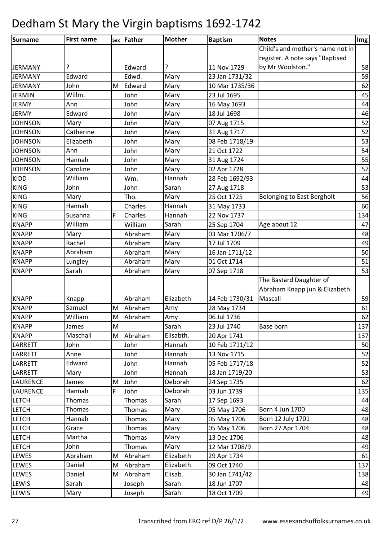| Surname         | <b>First name</b> |   | sex Father | <b>Mother</b> | <b>Baptism</b> | <b>Notes</b>                      | Img |
|-----------------|-------------------|---|------------|---------------|----------------|-----------------------------------|-----|
|                 |                   |   |            |               |                | Child's and mother's name not in  |     |
|                 |                   |   |            |               |                | register. A note says "Baptised   |     |
| <b>JERMANY</b>  | ?                 |   | Edward     | ?             | 11 Nov 1729    | by Mr Woolston."                  | 58  |
| <b>JERMANY</b>  | Edward            |   | Edwd.      | Mary          | 23 Jan 1731/32 |                                   | 59  |
| <b>JERMANY</b>  | John              | M | Edward     | Mary          | 10 Mar 1735/36 |                                   | 62  |
| <b>JERMIN</b>   | Willm.            |   | John       | Mary          | 23 Jul 1695    |                                   | 45  |
| <b>JERMY</b>    | Ann               |   | John       | Mary          | 16 May 1693    |                                   | 44  |
| <b>JERMY</b>    | Edward            |   | John       | Mary          | 18 Jul 1698    |                                   | 46  |
| <b>JOHNSON</b>  | Mary              |   | John       | Mary          | 07 Aug 1715    |                                   | 52  |
| <b>JOHNSON</b>  | Catherine         |   | John       | Mary          | 31 Aug 1717    |                                   | 52  |
| <b>JOHNSON</b>  | Elizabeth         |   | John       | Mary          | 08 Feb 1718/19 |                                   | 53  |
| <b>JOHNSON</b>  | Ann               |   | John       | Mary          | 21 Oct 1722    |                                   | 54  |
| <b>JOHNSON</b>  | Hannah            |   | John       | Mary          | 31 Aug 1724    |                                   | 55  |
| <b>JOHNSON</b>  | Caroline          |   | John       | Mary          | 02 Apr 1728    |                                   | 57  |
| <b>KIDD</b>     | William           |   | Wm.        | Hannah        | 28 Feb 1692/93 |                                   | 44  |
| <b>KING</b>     | John              |   | John       | Sarah         | 27 Aug 1718    |                                   | 53  |
| <b>KING</b>     | Mary              |   | Tho.       | Mary          | 25 Oct 1725    | <b>Belonging to East Bergholt</b> | 56  |
| <b>KING</b>     | Hannah            |   | Charles    | Hannah        | 31 May 1733    |                                   | 60  |
| <b>KING</b>     | Susanna           | F | Charles    | Hannah        | 22 Nov 1737    |                                   | 134 |
| <b>KNAPP</b>    | William           |   | William    | Sarah         | 25 Sep 1704    | Age about 12                      | 47  |
| <b>KNAPP</b>    | Mary              |   | Abraham    | Mary          | 03 Mar 1706/7  |                                   | 48  |
| <b>KNAPP</b>    | Rachel            |   | Abraham    | Mary          | 17 Jul 1709    |                                   | 49  |
| <b>KNAPP</b>    | Abraham           |   | Abraham    | Mary          | 16 Jan 1711/12 |                                   | 50  |
| <b>KNAPP</b>    | Lungley           |   | Abraham    | Mary          | 01 Oct 1714    |                                   | 51  |
| <b>KNAPP</b>    | Sarah             |   | Abraham    | Mary          | 07 Sep 1718    |                                   | 53  |
|                 |                   |   |            |               |                | The Bastard Daughter of           |     |
|                 |                   |   |            |               |                | Abraham Knapp jun & Elizabeth     |     |
| <b>KNAPP</b>    | Knapp             |   | Abraham    | Elizabeth     | 14 Feb 1730/31 | Mascall                           | 59  |
| <b>KNAPP</b>    | Samuel            | M | Abraham    | Amy           | 28 May 1734    |                                   | 61  |
| <b>KNAPP</b>    | William           | M | Abraham    | Amy           | 06 Jul 1736    |                                   | 62  |
| <b>KNAPP</b>    | James             | M |            | Sarah         | 23 Jul 1740    | Base born                         | 137 |
| <b>KNAPP</b>    | Maschall          | M | Abraham    | Elisabth.     | 20 Apr 1741    |                                   | 137 |
| LARRETT         | John              |   | John       | Hannah        | 10 Feb 1711/12 |                                   | 50  |
| LARRETT         | Anne              |   | John       | Hannah        | 13 Nov 1715    |                                   | 52  |
| LARRETT         | Edward            |   | John       | Hannah        | 05 Feb 1717/18 |                                   | 52  |
| LARRETT         | Mary              |   | John       | Hannah        | 18 Jan 1719/20 |                                   | 53  |
| <b>LAURENCE</b> | James             | М | John       | Deborah       | 24 Sep 1735    |                                   | 62  |
| LAURENCE        | Hannah            | F | John       | Deborah       | 03 Jun 1739    |                                   | 135 |
| <b>LETCH</b>    | Thomas            |   | Thomas     | Sarah         | 17 Sep 1693    |                                   | 44  |
| <b>LETCH</b>    | Thomas            |   | Thomas     | Mary          | 05 May 1706    | Born 4 Jun 1700                   | 48  |
| <b>LETCH</b>    | Hannah            |   | Thomas     | Mary          | 05 May 1706    | Born 12 July 1701                 | 48  |
| <b>LETCH</b>    | Grace             |   | Thomas     | Mary          | 05 May 1706    | Born 27 Apr 1704                  | 48  |
| <b>LETCH</b>    | Martha            |   | Thomas     | Mary          | 13 Dec 1706    |                                   | 48  |
| <b>LETCH</b>    | John              |   | Thomas     | Mary          | 12 Mar 1708/9  |                                   | 49  |
| LEWES           | Abraham           | M | Abraham    | Elizabeth     | 29 Apr 1734    |                                   | 61  |
| LEWES           | Daniel            | M | Abraham    | Elizabeth     | 09 Oct 1740    |                                   | 137 |
| LEWES           | Daniel            | M | Abraham    | Elisab.       | 30 Jan 1741/42 |                                   | 138 |
| LEWIS           | Sarah             |   | Joseph     | Sarah         | 18 Jun 1707    |                                   | 48  |
| LEWIS           | Mary              |   | Joseph     | Sarah         | 18 Oct 1709    |                                   | 49  |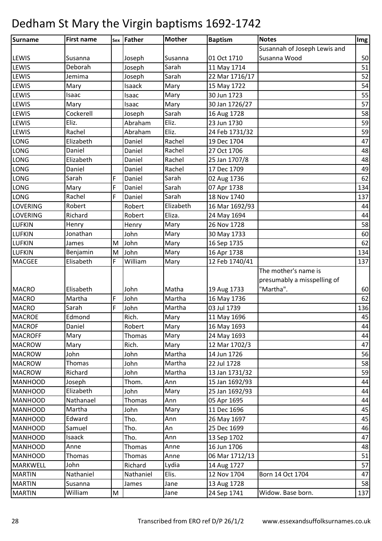| <b>Surname</b>  | <b>First name</b> |           | sex Father    | <b>Mother</b> | <b>Baptism</b> | <b>Notes</b>                 | Img |
|-----------------|-------------------|-----------|---------------|---------------|----------------|------------------------------|-----|
|                 |                   |           |               |               |                | Susannah of Joseph Lewis and |     |
| <b>LEWIS</b>    | Susanna           |           | Joseph        | Susanna       | 01 Oct 1710    | Susanna Wood                 | 50  |
| <b>LEWIS</b>    | Deborah           |           | Joseph        | Sarah         | 11 May 1714    |                              | 51  |
| LEWIS           | Jemima            |           | Joseph        | Sarah         | 22 Mar 1716/17 |                              | 52  |
| LEWIS           | Mary              |           | Isaack        | Mary          | 15 May 1722    |                              | 54  |
| LEWIS           | Isaac             |           | Isaac         | Mary          | 30 Jun 1723    |                              | 55  |
| LEWIS           | Mary              |           | Isaac         | Mary          | 30 Jan 1726/27 |                              | 57  |
| LEWIS           | Cockerell         |           | Joseph        | Sarah         | 16 Aug 1728    |                              | 58  |
| LEWIS           | Eliz.             |           | Abraham       | Eliz.         | 23 Jun 1730    |                              | 59  |
| LEWIS           | Rachel            |           | Abraham       | Eliz.         | 24 Feb 1731/32 |                              | 59  |
| <b>LONG</b>     | Elizabeth         |           | Daniel        | Rachel        | 19 Dec 1704    |                              | 47  |
| <b>LONG</b>     | Daniel            |           | Daniel        | Rachel        | 27 Oct 1706    |                              | 48  |
| LONG            | Elizabeth         |           | Daniel        | Rachel        | 25 Jan 1707/8  |                              | 48  |
| LONG            | Daniel            |           | Daniel        | Rachel        | 17 Dec 1709    |                              | 49  |
| LONG            | Sarah             | F         | Daniel        | Sarah         | 02 Aug 1736    |                              | 62  |
| <b>LONG</b>     | Mary              | F         | Daniel        | Sarah         | 07 Apr 1738    |                              | 134 |
| <b>LONG</b>     | Rachel            | F         | Daniel        | Sarah         | 18 Nov 1740    |                              | 137 |
| <b>LOVERING</b> | Robert            |           | Robert        | Elizabeth     | 16 Mar 1692/93 |                              | 44  |
| <b>LOVERING</b> | Richard           |           | Robert        | Eliza.        | 24 May 1694    |                              | 44  |
| <b>LUFKIN</b>   | Henry             |           | Henry         | Mary          | 26 Nov 1728    |                              | 58  |
| <b>LUFKIN</b>   | Jonathan          |           | John          | Mary          | 30 May 1733    |                              | 60  |
| <b>LUFKIN</b>   | James             | M         | John          | Mary          | 16 Sep 1735    |                              | 62  |
| <b>LUFKIN</b>   | Benjamin          | ${\sf M}$ | John          | Mary          | 16 Apr 1738    |                              | 134 |
| <b>MACGEE</b>   | Elisabeth         | F         | William       | Mary          | 12 Feb 1740/41 |                              | 137 |
|                 |                   |           |               |               |                | The mother's name is         |     |
|                 |                   |           |               |               |                | presumably a misspelling of  |     |
| <b>MACRO</b>    | Elisabeth         |           | John          | Matha         | 19 Aug 1733    | "Martha".                    | 60  |
| <b>MACRO</b>    | Martha            | F         | John          | Martha        | 16 May 1736    |                              | 62  |
| <b>MACRO</b>    | Sarah             | F         | John          | Martha        | 03 Jul 1739    |                              | 136 |
| <b>MACROE</b>   | Edmond            |           | Rich.         | Mary          | 11 May 1696    |                              | 45  |
| <b>MACROF</b>   | Daniel            |           | Robert        | Mary          | 16 May 1693    |                              | 44  |
| <b>MACROFF</b>  | Mary              |           | <b>Thomas</b> | Mary          | 24 May 1693    |                              | 44  |
| <b>MACROW</b>   | Mary              |           | Rich.         | Mary          | 12 Mar 1702/3  |                              | 47  |
| <b>MACROW</b>   | John              |           | John          | Martha        | 14 Jun 1726    |                              | 56  |
| <b>MACROW</b>   | Thomas            |           | John          | Martha        | 22 Jul 1728    |                              | 58  |
| <b>MACROW</b>   | Richard           |           | John          | Martha        | 13 Jan 1731/32 |                              | 59  |
| <b>MANHOOD</b>  | Joseph            |           | Thom.         | Ann           | 15 Jan 1692/93 |                              | 44  |
| <b>MANHOOD</b>  | Elizabeth         |           | John          | Mary          | 25 Jan 1692/93 |                              | 44  |
| <b>MANHOOD</b>  | Nathanael         |           | Thomas        | Ann           | 05 Apr 1695    |                              | 44  |
| <b>MANHOOD</b>  | Martha            |           | John          | Mary          | 11 Dec 1696    |                              | 45  |
| <b>MANHOOD</b>  | Edward            |           | Tho.          | Ann           | 26 May 1697    |                              | 45  |
| <b>MANHOOD</b>  | Samuel            |           | Tho.          | An            | 25 Dec 1699    |                              | 46  |
| <b>MANHOOD</b>  | Isaack            |           | Tho.          | Ann           | 13 Sep 1702    |                              | 47  |
| <b>MANHOOD</b>  | Anne              |           | Thomas        | Anne          | 16 Jun 1706    |                              | 48  |
| <b>MANHOOD</b>  | Thomas            |           | Thomas        | Anne          | 06 Mar 1712/13 |                              | 51  |
| <b>MARKWELL</b> | John              |           | Richard       | Lydia         | 14 Aug 1727    |                              | 57  |
| <b>MARTIN</b>   | Nathaniel         |           | Nathaniel     | Elis.         | 12 Nov 1704    | Born 14 Oct 1704             | 47  |
| <b>MARTIN</b>   | Susanna           |           | James         | Jane          | 13 Aug 1728    |                              | 58  |
| <b>MARTIN</b>   | William           | M         |               | Jane          | 24 Sep 1741    | Widow. Base born.            | 137 |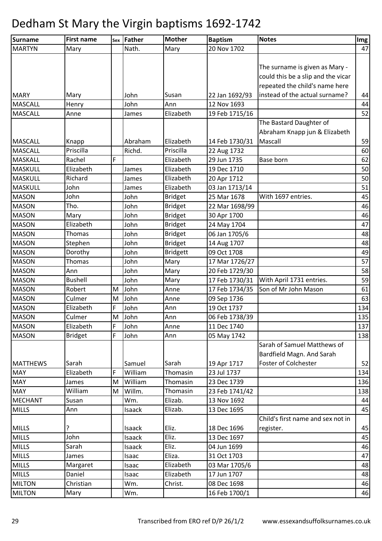| Surname         | <b>First name</b> |   | sex Father | <b>Mother</b>   | <b>Baptism</b> | <b>Notes</b>                       | Img |
|-----------------|-------------------|---|------------|-----------------|----------------|------------------------------------|-----|
| <b>MARTYN</b>   | Mary              |   | Nath.      | Mary            | 20 Nov 1702    |                                    | 47  |
|                 |                   |   |            |                 |                |                                    |     |
|                 |                   |   |            |                 |                | The surname is given as Mary -     |     |
|                 |                   |   |            |                 |                | could this be a slip and the vicar |     |
|                 |                   |   |            |                 |                | repeated the child's name here     |     |
| <b>MARY</b>     | Mary              |   | John       | Susan           | 22 Jan 1692/93 | instead of the actual surname?     | 44  |
| <b>MASCALL</b>  | Henry             |   | John       | Ann             | 12 Nov 1693    |                                    | 44  |
| <b>MASCALL</b>  | Anne              |   | James      | Elizabeth       | 19 Feb 1715/16 |                                    | 52  |
|                 |                   |   |            |                 |                | The Bastard Daughter of            |     |
|                 |                   |   |            |                 |                | Abraham Knapp jun & Elizabeth      |     |
| <b>MASCALL</b>  | Knapp             |   | Abraham    | Elizabeth       | 14 Feb 1730/31 | Mascall                            | 59  |
| <b>MASCALL</b>  | Priscilla         |   | Richd.     | Priscilla       | 22 Aug 1732    |                                    | 60  |
| <b>MASKALL</b>  | Rachel            | F |            | Elizabeth       | 29 Jun 1735    | Base born                          | 62  |
| <b>MASKULL</b>  | Elizabeth         |   | James      | Elizabeth       | 19 Dec 1710    |                                    | 50  |
| MASKULL         | Richard           |   | James      | Elizabeth       | 20 Apr 1712    |                                    | 50  |
| <b>MASKULL</b>  | John              |   | James      | Elizabeth       | 03 Jan 1713/14 |                                    | 51  |
| <b>MASON</b>    | John              |   | John       | <b>Bridget</b>  | 25 Mar 1678    | With 1697 entries.                 | 45  |
| <b>MASON</b>    | Tho.              |   | John       | <b>Bridget</b>  | 22 Mar 1698/99 |                                    | 46  |
| <b>MASON</b>    | Mary              |   | John       | <b>Bridget</b>  | 30 Apr 1700    |                                    | 46  |
| <b>MASON</b>    | Elizabeth         |   | John       | <b>Bridget</b>  | 24 May 1704    |                                    | 47  |
| <b>MASON</b>    | Thomas            |   | John       | <b>Bridget</b>  | 06 Jan 1705/6  |                                    | 48  |
| <b>MASON</b>    | Stephen           |   | John       | <b>Bridget</b>  | 14 Aug 1707    |                                    | 48  |
| <b>MASON</b>    | Dorothy           |   | John       | <b>Bridgett</b> | 09 Oct 1708    |                                    | 49  |
| <b>MASON</b>    | <b>Thomas</b>     |   | John       | Mary            | 17 Mar 1726/27 |                                    | 57  |
| <b>MASON</b>    | Ann               |   | John       | Mary            | 20 Feb 1729/30 |                                    | 58  |
| <b>MASON</b>    | <b>Bushell</b>    |   | John       | Mary            | 17 Feb 1730/31 | With April 1731 entries.           | 59  |
| <b>MASON</b>    | Robert            | M | John       | Anne            | 17 Feb 1734/35 | Son of Mr John Mason               | 61  |
| <b>MASON</b>    | Culmer            | M | John       | Anne            | 09 Sep 1736    |                                    | 63  |
| <b>MASON</b>    | Elizabeth         | F | John       | Ann             | 19 Oct 1737    |                                    | 134 |
| <b>MASON</b>    | Culmer            | M | John       | Ann             | 06 Feb 1738/39 |                                    | 135 |
| <b>MASON</b>    | Elizabeth         | F | John       | Anne            | 11 Dec 1740    |                                    | 137 |
| <b>MASON</b>    | <b>Bridget</b>    | F | John       | Ann             | 05 May 1742    |                                    | 138 |
|                 |                   |   |            |                 |                | Sarah of Samuel Matthews of        |     |
|                 |                   |   |            |                 |                | Bardfield Magn. And Sarah          |     |
| <b>MATTHEWS</b> | Sarah             |   | Samuel     | Sarah           | 19 Apr 1717    | <b>Foster of Colchester</b>        | 52  |
| <b>MAY</b>      | Elizabeth         | F | William    | Thomasin        | 23 Jul 1737    |                                    | 134 |
| <b>MAY</b>      | James             | M | William    | Thomasin        | 23 Dec 1739    |                                    | 136 |
| <b>MAY</b>      | William           | M | Willm.     | Thomasin        | 23 Feb 1741/42 |                                    | 138 |
| <b>MECHANT</b>  | Susan             |   | Wm.        | Elizab.         | 13 Nov 1692    |                                    | 44  |
| <b>MILLS</b>    | Ann               |   | Isaack     | Elizab.         | 13 Dec 1695    |                                    | 45  |
|                 |                   |   |            |                 |                | Child's first name and sex not in  |     |
| <b>MILLS</b>    |                   |   | Isaack     | Eliz.           | 18 Dec 1696    | register.                          | 45  |
| <b>MILLS</b>    | John              |   | Isaack     | Eliz.           | 13 Dec 1697    |                                    | 45  |
| <b>MILLS</b>    | Sarah             |   | Isaack     | Eliz.           | 04 Jun 1699    |                                    | 46  |
| <b>MILLS</b>    | James             |   | Isaac      | Eliza.          | 31 Oct 1703    |                                    | 47  |
| <b>MILLS</b>    | Margaret          |   | Isaac      | Elizabeth       | 03 Mar 1705/6  |                                    | 48  |
| <b>MILLS</b>    | Daniel            |   | Isaac      | Elizabeth       | 17 Jun 1707    |                                    | 48  |
| <b>MILTON</b>   | Christian         |   | Wm.        | Christ.         | 08 Dec 1698    |                                    | 46  |
| <b>MILTON</b>   | Mary              |   | Wm.        |                 | 16 Feb 1700/1  |                                    | 46  |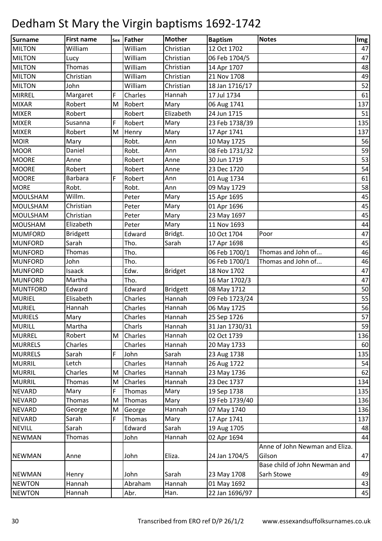| Surname         | <b>First name</b> |   | sex Father | <b>Mother</b>   | <b>Baptism</b> | <b>Notes</b>                   | Img |
|-----------------|-------------------|---|------------|-----------------|----------------|--------------------------------|-----|
| <b>MILTON</b>   | William           |   | William    | Christian       | 12 Oct 1702    |                                | 47  |
| <b>MILTON</b>   | Lucy              |   | William    | Christian       | 06 Feb 1704/5  |                                | 47  |
| <b>MILTON</b>   | Thomas            |   | William    | Christian       | 14 Apr 1707    |                                | 48  |
| <b>MILTON</b>   | Christian         |   | William    | Christian       | 21 Nov 1708    |                                | 49  |
| <b>MILTON</b>   | John              |   | William    | Christian       | 18 Jan 1716/17 |                                | 52  |
| <b>MIRREL</b>   | Margaret          | F | Charles    | Hannah          | 17 Jul 1734    |                                | 61  |
| <b>MIXAR</b>    | Robert            | M | Robert     | Mary            | 06 Aug 1741    |                                | 137 |
| <b>MIXER</b>    | Robert            |   | Robert     | Elizabeth       | 24 Jun 1715    |                                | 51  |
| <b>MIXER</b>    | Susanna           | F | Robert     | Mary            | 23 Feb 1738/39 |                                | 135 |
| <b>MIXER</b>    | Robert            | M | Henry      | Mary            | 17 Apr 1741    |                                | 137 |
| <b>MOIR</b>     | Mary              |   | Robt.      | Ann             | 10 May 1725    |                                | 56  |
| <b>MOOR</b>     | Daniel            |   | Robt.      | Ann             | 08 Feb 1731/32 |                                | 59  |
| <b>MOORE</b>    | Anne              |   | Robert     | Anne            | 30 Jun 1719    |                                | 53  |
| <b>MOORE</b>    | Robert            |   | Robert     | Anne            | 23 Dec 1720    |                                | 54  |
| <b>MOORE</b>    | Barbara           | F | Robert     | Ann             | 01 Aug 1734    |                                | 61  |
| <b>MORE</b>     | Robt.             |   | Robt.      | Ann             | 09 May 1729    |                                | 58  |
| MOULSHAM        | Willm.            |   | Peter      | Mary            | 15 Apr 1695    |                                | 45  |
| <b>MOULSHAM</b> | Christian         |   | Peter      | Mary            | 01 Apr 1696    |                                | 45  |
| <b>MOULSHAM</b> | Christian         |   | Peter      | Mary            | 23 May 1697    |                                | 45  |
| <b>MOUSHAM</b>  | Elizabeth         |   | Peter      | Mary            | 11 Nov 1693    |                                | 44  |
| <b>MUMFORD</b>  | <b>Bridgett</b>   |   | Edward     | Bridgt.         | 10 Oct 1704    | Poor                           | 47  |
| <b>MUNFORD</b>  | Sarah             |   | Tho.       | Sarah           | 17 Apr 1698    |                                | 45  |
| <b>MUNFORD</b>  | Thomas            |   | Tho.       |                 | 06 Feb 1700/1  | Thomas and John of             | 46  |
| <b>MUNFORD</b>  | John              |   | Tho.       |                 | 06 Feb 1700/1  | Thomas and John of             | 46  |
| <b>MUNFORD</b>  | Isaack            |   | Edw.       | <b>Bridget</b>  | 18 Nov 1702    |                                | 47  |
| <b>MUNFORD</b>  | Martha            |   | Tho.       |                 | 16 Mar 1702/3  |                                | 47  |
| <b>MUNTFORD</b> | Edward            |   | Edward     | <b>Bridgett</b> | 08 May 1712    |                                | 50  |
| <b>MURIEL</b>   | Elisabeth         |   | Charles    | Hannah          | 09 Feb 1723/24 |                                | 55  |
| <b>MURIEL</b>   | Hannah            |   | Charles    | Hannah          | 06 May 1725    |                                | 56  |
| <b>MURIELS</b>  | Mary              |   | Charles    | Hannah          | 25 Sep 1726    |                                | 57  |
| <b>MURILL</b>   | Martha            |   | Charls     | Hannah          | 31 Jan 1730/31 |                                | 59  |
| <b>MURREL</b>   | Robert            | M | Charles    | Hannah          | 02 Oct 1739    |                                | 136 |
| <b>MURRELS</b>  | Charles           |   | Charles    | Hannah          | 20 May 1733    |                                | 60  |
| <b>MURRELS</b>  | Sarah             | F | John       | Sarah           | 23 Aug 1738    |                                | 135 |
| <b>MURRIL</b>   | Letch             |   | Charles    | Hannah          | 26 Aug 1722    |                                | 54  |
| <b>MURRIL</b>   | Charles           | M | Charles    | Hannah          | 23 May 1736    |                                | 62  |
| <b>MURRIL</b>   | Thomas            | M | Charles    | Hannah          | 23 Dec 1737    |                                | 134 |
| <b>NEVARD</b>   | Mary              | F | Thomas     | Mary            | 19 Sep 1738    |                                | 135 |
| <b>NEVARD</b>   | Thomas            | M | Thomas     | Mary            | 19 Feb 1739/40 |                                | 136 |
| <b>NEVARD</b>   | George            | M | George     | Hannah          | 07 May 1740    |                                | 136 |
| <b>NEVARD</b>   | Sarah             | F | Thomas     | Mary            | 17 Apr 1741    |                                | 137 |
| <b>NEVILL</b>   | Sarah             |   | Edward     | Sarah           | 19 Aug 1705    |                                | 48  |
| <b>NEWMAN</b>   | Thomas            |   | John       | Hannah          | 02 Apr 1694    |                                | 44  |
|                 |                   |   |            |                 |                | Anne of John Newman and Eliza. |     |
| <b>NEWMAN</b>   | Anne              |   | John       | Eliza.          | 24 Jan 1704/5  | Gilson                         | 47  |
|                 |                   |   |            |                 |                | Base child of John Newman and  |     |
| <b>NEWMAN</b>   | Henry             |   | John       | Sarah           | 23 May 1708    | Sarh Stowe                     | 49  |
| <b>NEWTON</b>   | Hannah            |   | Abraham    | Hannah          | 01 May 1692    |                                | 43  |
| <b>NEWTON</b>   | Hannah            |   | Abr.       | Han.            | 22 Jan 1696/97 |                                | 45  |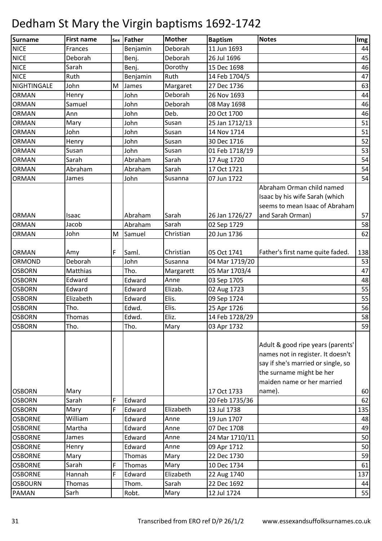| Surname        | <b>First name</b> |   | sex Father | <b>Mother</b> | <b>Baptism</b> | <b>Notes</b>                       | Img |
|----------------|-------------------|---|------------|---------------|----------------|------------------------------------|-----|
| <b>NICE</b>    | Frances           |   | Benjamin   | Deborah       | 11 Jun 1693    |                                    | 44  |
| <b>NICE</b>    | Deborah           |   | Benj.      | Deborah       | 26 Jul 1696    |                                    | 45  |
| <b>NICE</b>    | Sarah             |   | Benj.      | Dorothy       | 15 Dec 1698    |                                    | 46  |
| <b>NICE</b>    | Ruth              |   | Benjamin   | Ruth          | 14 Feb 1704/5  |                                    | 47  |
| NIGHTINGALE    | John              | M | James      | Margaret      | 27 Dec 1736    |                                    | 63  |
| <b>ORMAN</b>   | Henry             |   | John       | Deborah       | 26 Nov 1693    |                                    | 44  |
| <b>ORMAN</b>   | Samuel            |   | John       | Deborah       | 08 May 1698    |                                    | 46  |
| <b>ORMAN</b>   | Ann               |   | John       | Deb.          | 20 Oct 1700    |                                    | 46  |
| <b>ORMAN</b>   | Mary              |   | John       | Susan         | 25 Jan 1712/13 |                                    | 51  |
| <b>ORMAN</b>   | John              |   | John       | Susan         | 14 Nov 1714    |                                    | 51  |
| <b>ORMAN</b>   | Henry             |   | John       | Susan         | 30 Dec 1716    |                                    | 52  |
| <b>ORMAN</b>   | Susan             |   | John       | Susan         | 01 Feb 1718/19 |                                    | 53  |
| <b>ORMAN</b>   | Sarah             |   | Abraham    | Sarah         | 17 Aug 1720    |                                    | 54  |
| <b>ORMAN</b>   | Abraham           |   | Abraham    | Sarah         | 17 Oct 1721    |                                    | 54  |
| <b>ORMAN</b>   | James             |   | John       | Susanna       | 07 Jun 1722    |                                    | 54  |
|                |                   |   |            |               |                | Abraham Orman child named          |     |
|                |                   |   |            |               |                | Isaac by his wife Sarah (which     |     |
|                |                   |   |            |               |                | seems to mean Isaac of Abraham     |     |
| <b>ORMAN</b>   | Isaac             |   | Abraham    | Sarah         | 26 Jan 1726/27 | and Sarah Orman)                   | 57  |
| <b>ORMAN</b>   | Jacob             |   | Abraham    | Sarah         | 02 Sep 1729    |                                    | 58  |
| <b>ORMAN</b>   | John              | M | Samuel     | Christian     | 20 Jun 1736    |                                    | 62  |
|                |                   |   |            |               |                |                                    |     |
| <b>ORMAN</b>   | Amy               | F | Saml.      | Christian     | 05 Oct 1741    | Father's first name quite faded.   | 138 |
| ORMOND         | Deborah           |   | John       | Susanna       | 04 Mar 1719/20 |                                    | 53  |
| <b>OSBORN</b>  | Matthias          |   | Tho.       | Margarett     | 05 Mar 1703/4  |                                    | 47  |
| <b>OSBORN</b>  | Edward            |   | Edward     | Anne          | 03 Sep 1705    |                                    | 48  |
| <b>OSBORN</b>  | Edward            |   | Edward     | Elizab.       | 02 Aug 1723    |                                    | 55  |
| <b>OSBORN</b>  | Elizabeth         |   | Edward     | Elis.         | 09 Sep 1724    |                                    | 55  |
| <b>OSBORN</b>  | Tho.              |   | Edwd.      | Elis.         | 25 Apr 1726    |                                    | 56  |
| <b>OSBORN</b>  | Thomas            |   | Edwd.      | Eliz.         | 14 Feb 1728/29 |                                    | 58  |
| <b>OSBORN</b>  | Tho.              |   | Tho.       | Mary          | 03 Apr 1732    |                                    | 59  |
|                |                   |   |            |               |                |                                    |     |
|                |                   |   |            |               |                | Adult & good ripe years (parents'  |     |
|                |                   |   |            |               |                | names not in register. It doesn't  |     |
|                |                   |   |            |               |                | say if she's married or single, so |     |
|                |                   |   |            |               |                | the surname might be her           |     |
|                |                   |   |            |               |                | maiden name or her married         |     |
| <b>OSBORN</b>  | Mary              |   |            |               | 17 Oct 1733    | name).                             | 60  |
| <b>OSBORN</b>  | Sarah             | F | Edward     |               | 20 Feb 1735/36 |                                    | 62  |
| <b>OSBORN</b>  | Mary              | F | Edward     | Elizabeth     | 13 Jul 1738    |                                    | 135 |
| <b>OSBORNE</b> | William           |   | Edward     | Anne          | 19 Jun 1707    |                                    | 48  |
| <b>OSBORNE</b> | Martha            |   | Edward     | Anne          | 07 Dec 1708    |                                    | 49  |
| <b>OSBORNE</b> | James             |   | Edward     | Anne          | 24 Mar 1710/11 |                                    | 50  |
| <b>OSBORNE</b> | Henry             |   | Edward     | Anne          | 09 Apr 1712    |                                    | 50  |
| <b>OSBORNE</b> | Mary              |   | Thomas     | Mary          | 22 Dec 1730    |                                    | 59  |
| <b>OSBORNE</b> | Sarah             | F | Thomas     | Mary          | 10 Dec 1734    |                                    | 61  |
| <b>OSBORNE</b> | Hannah            | F | Edward     | Elizabeth     | 22 Aug 1740    |                                    | 137 |
| <b>OSBOURN</b> | Thomas            |   | Thom.      | Sarah         | 22 Dec 1692    |                                    | 44  |
| <b>PAMAN</b>   | Sarh              |   | Robt.      | Mary          | 12 Jul 1724    |                                    | 55  |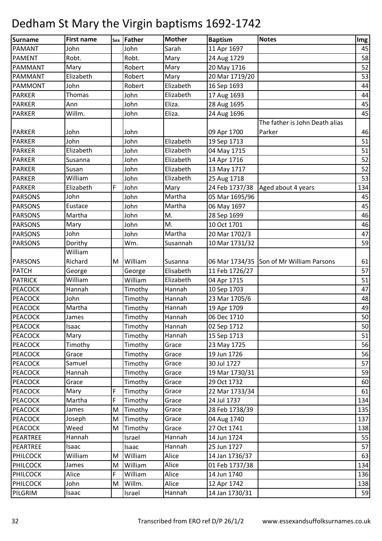| <b>Surname</b>  | <b>First name</b> |   | sex Father | <b>Mother</b> | <b>Baptism</b> | <b>Notes</b>                             | Img |
|-----------------|-------------------|---|------------|---------------|----------------|------------------------------------------|-----|
| <b>PAMANT</b>   | John              |   | John       | Sarah         | 11 Apr 1697    |                                          | 45  |
| <b>PAMENT</b>   | Robt.             |   | Robt.      | Mary          | 24 Aug 1729    |                                          | 58  |
| <b>PAMMANT</b>  | Mary              |   | Robert     | Mary          | 20 May 1716    |                                          | 52  |
| PAMMANT         | Elizabeth         |   | Robert     | Mary          | 20 Mar 1719/20 |                                          | 53  |
| PAMMONT         | John              |   | Robert     | Elizabeth     | 16 Sep 1693    |                                          | 44  |
| <b>PARKER</b>   | Thomas            |   | John       | Elizabeth     | 17 Aug 1693    |                                          | 44  |
| <b>PARKER</b>   | Ann               |   | John       | Eliza.        | 28 Aug 1695    |                                          | 45  |
| <b>PARKER</b>   | Willm.            |   | John       | Eliza.        | 24 Aug 1696    |                                          | 45  |
|                 |                   |   |            |               |                | The father is John Death alias           |     |
| <b>PARKER</b>   | John              |   | John       |               | 09 Apr 1700    | Parker                                   | 46  |
| <b>PARKER</b>   | John              |   | John       | Elizabeth     | 19 Sep 1713    |                                          | 51  |
| <b>PARKER</b>   | Elizabeth         |   | John       | Elizabeth     | 04 May 1715    |                                          | 51  |
| <b>PARKER</b>   | Susanna           |   | John       | Elizabeth     | 14 Apr 1716    |                                          | 52  |
| <b>PARKER</b>   | Susan             |   | John       | Elizabeth     | 13 May 1717    |                                          | 52  |
| <b>PARKER</b>   | William           |   | John       | Elizabeth     | 25 Aug 1718    |                                          | 53  |
| <b>PARKER</b>   | Elizabeth         | F | John       | Mary          | 24 Feb 1737/38 | Aged about 4 years                       | 134 |
| <b>PARSONS</b>  | John              |   | John       | Martha        | 05 Mar 1695/96 |                                          | 45  |
| <b>PARSONS</b>  | Eustace           |   | John       | Martha        | 06 May 1697    |                                          | 45  |
| <b>PARSONS</b>  | Martha            |   | John       | M.            | 28 Sep 1699    |                                          | 46  |
| <b>PARSONS</b>  | Mary              |   | John       | M.            | 10 Oct 1701    |                                          | 46  |
| <b>PARSONS</b>  | John              |   | John       | Martha        | 20 Mar 1702/3  |                                          | 47  |
| <b>PARSONS</b>  | Dorithy           |   | Wm.        | Susannah      | 10 Mar 1731/32 |                                          | 59  |
|                 | William           |   |            |               |                |                                          |     |
| <b>PARSONS</b>  | Richard           | M | William    | Susanna       |                | 06 Mar 1734/35 Son of Mr William Parsons | 61  |
| <b>PATCH</b>    | George            |   | George     | Elisabeth     | 11 Feb 1726/27 |                                          | 57  |
| <b>PATRICK</b>  | William           |   | William    | Elizabeth     | 04 Apr 1715    |                                          | 51  |
| <b>PEACOCK</b>  | Hannah            |   | Timothy    | Hannah        | 10 Sep 1703    |                                          | 47  |
| <b>PEACOCK</b>  | John              |   | Timothy    | Hannah        | 23 Mar 1705/6  |                                          | 48  |
| <b>PEACOCK</b>  | Martha            |   | Timothy    | Hannah        | 19 Apr 1709    |                                          | 49  |
| PEACOCK         | James             |   | Timothy    | Hannah        | 06 Dec 1710    |                                          | 50  |
| PEACOCK         | Isaac             |   | Timothy    | Hannah        | 02 Sep 1712    |                                          | 50  |
| <b>PEACOCK</b>  | Mary              |   | Timothy    | Hannah        | 15 Sep 1713    |                                          | 51  |
| <b>PEACOCK</b>  | Timothy           |   | Timothy    | Grace         | 23 May 1725    |                                          | 56  |
| <b>PEACOCK</b>  | Grace             |   | Timothy    | Grace         | 19 Jun 1726    |                                          | 56  |
| <b>PEACOCK</b>  | Samuel            |   | Timothy    | Grace         | 30 Jul 1727    |                                          | 57  |
| <b>PEACOCK</b>  | Hannah            |   | Timothy    | Grace         | 19 Mar 1730/31 |                                          | 59  |
| <b>PEACOCK</b>  | Grace             |   | Timothy    | Grace         | 29 Oct 1732    |                                          | 60  |
| <b>PEACOCK</b>  | Mary              | F | Timothy    | Grace         | 22 Mar 1733/34 |                                          | 61  |
| <b>PEACOCK</b>  | Martha            | F | Timothy    | Grace         | 24 Jul 1737    |                                          | 134 |
| <b>PEACOCK</b>  | James             | M | Timothy    | Grace         | 28 Feb 1738/39 |                                          | 135 |
| <b>PEACOCK</b>  | Joseph            | M | Timothy    | Grace         | 04 Aug 1740    |                                          | 137 |
| <b>PEACOCK</b>  | Weed              | M | Timothy    | Grace         | 27 Oct 1741    |                                          | 138 |
| <b>PEARTREE</b> | Hannah            |   | Israel     | Hannah        | 14 Jun 1724    |                                          | 55  |
| PEARTREE        | Isaac             |   | Isaac      | Hannah        | 25 Jun 1727    |                                          | 57  |
| PHILCOCK        | William           | M | William    | Alice         | 14 Jan 1736/37 |                                          | 63  |
| <b>PHILCOCK</b> | James             | M | William    | Alice         | 01 Feb 1737/38 |                                          | 134 |
| PHILCOCK        | Alice             | F | William    | Alice         | 14 Jun 1740    |                                          | 136 |
| <b>PHILCOCK</b> | John              | M | Willm.     | Alice         | 12 Apr 1742    |                                          | 138 |
| PILGRIM         | Isaac             |   | Israel     | Hannah        | 14 Jan 1730/31 |                                          | 59  |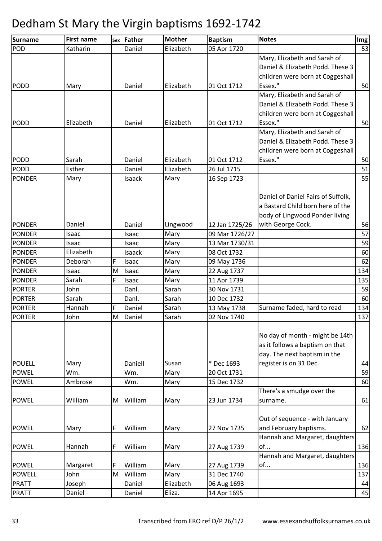| POD<br>Elizabeth<br>Katharin<br>05 Apr 1720<br>53<br>Daniel<br>Mary, Elizabeth and Sarah of<br>Daniel & Elizabeth Podd. These 3<br>children were born at Coggeshall<br>Essex."<br>50<br>Elizabeth<br>01 Oct 1712<br>Mary<br>Daniel<br>Mary, Elizabeth and Sarah of<br>Daniel & Elizabeth Podd. These 3<br>children were born at Coggeshall<br>Essex."<br>Elizabeth<br>Elizabeth<br>01 Oct 1712<br>50<br>Daniel<br>Mary, Elizabeth and Sarah of<br>Daniel & Elizabeth Podd. These 3<br>children were born at Coggeshall<br>Essex."<br>Elizabeth<br>01 Oct 1712<br>50<br>Sarah<br>Daniel<br>Elizabeth<br>Esther<br>51<br>Daniel<br>26 Jul 1715<br>55<br>16 Sep 1723<br>Mary<br>Isaack<br>Mary<br>Daniel of Daniel Fairs of Suffolk,<br>a Bastard Child born here of the<br>body of Lingwood Ponder living<br>with George Cock.<br>12 Jan 1725/26<br>56<br>Daniel<br>Daniel<br>Lingwood<br>57<br>09 Mar 1726/27<br>Mary<br>Isaac<br>Isaac<br>59<br>13 Mar 1730/31<br>Mary<br>Isaac<br>Isaac<br>Elizabeth<br>Mary<br>08 Oct 1732<br>60<br>Isaack<br>F<br>Deborah<br>Mary<br>62<br>09 May 1736<br>Isaac<br>134<br>M<br>22 Aug 1737<br>Isaac<br>Mary<br>Isaac<br>F<br>Sarah<br>11 Apr 1739<br>135<br>Mary<br>Isaac<br>30 Nov 1731<br>59<br>John<br>Danl.<br>Sarah<br>Sarah<br>Sarah<br>Danl.<br>60<br>10 Dec 1732<br>Sarah<br>Hannah<br>F<br>Surname faded, hard to read<br>Daniel<br>13 May 1738<br>134<br>02 Nov 1740<br>John<br>M<br>Daniel<br>Sarah<br>137<br>No day of month - might be 14th<br>as it follows a baptism on that<br>day. The next baptism in the<br>* Dec 1693<br>register is on 31 Dec.<br>Daniell<br>Susan<br>44<br>Mary<br>Wm.<br>20 Oct 1731<br>59<br><b>POWEL</b><br>Wm.<br>Mary<br>15 Dec 1732<br>Ambrose<br>60<br>Wm.<br>Mary<br>There's a smudge over the<br>61<br>William<br>William<br>23 Jun 1734<br>M<br>Mary<br>surname.<br>Out of sequence - with January<br>and February baptisms.<br>F<br>William<br>27 Nov 1735<br>62<br>Mary<br>Mary<br>Hannah and Margaret, daughters<br>136<br>F<br>William<br>of<br>Hannah<br>Mary<br>27 Aug 1739<br>Hannah and Margaret, daughters<br>of<br>F<br>William<br>136<br>Mary<br>27 Aug 1739<br>Margaret<br>William<br>31 Dec 1740<br>137<br>M<br>John<br>Mary<br>Elizabeth<br>Joseph<br>06 Aug 1693<br>Daniel<br>44<br>Eliza.<br>14 Apr 1695<br>45<br>Daniel<br>Daniel | Surname       | <b>First name</b> | sex Father | <b>Mother</b> | <b>Baptism</b> | <b>Notes</b> | Img |
|---------------------------------------------------------------------------------------------------------------------------------------------------------------------------------------------------------------------------------------------------------------------------------------------------------------------------------------------------------------------------------------------------------------------------------------------------------------------------------------------------------------------------------------------------------------------------------------------------------------------------------------------------------------------------------------------------------------------------------------------------------------------------------------------------------------------------------------------------------------------------------------------------------------------------------------------------------------------------------------------------------------------------------------------------------------------------------------------------------------------------------------------------------------------------------------------------------------------------------------------------------------------------------------------------------------------------------------------------------------------------------------------------------------------------------------------------------------------------------------------------------------------------------------------------------------------------------------------------------------------------------------------------------------------------------------------------------------------------------------------------------------------------------------------------------------------------------------------------------------------------------------------------------------------------------------------------------------------------------------------------------------------------------------------------------------------------------------------------------------------------------------------------------------------------------------------------------------------------------------------------------------------------------------------------------------------------------------|---------------|-------------------|------------|---------------|----------------|--------------|-----|
|                                                                                                                                                                                                                                                                                                                                                                                                                                                                                                                                                                                                                                                                                                                                                                                                                                                                                                                                                                                                                                                                                                                                                                                                                                                                                                                                                                                                                                                                                                                                                                                                                                                                                                                                                                                                                                                                                                                                                                                                                                                                                                                                                                                                                                                                                                                                       |               |                   |            |               |                |              |     |
|                                                                                                                                                                                                                                                                                                                                                                                                                                                                                                                                                                                                                                                                                                                                                                                                                                                                                                                                                                                                                                                                                                                                                                                                                                                                                                                                                                                                                                                                                                                                                                                                                                                                                                                                                                                                                                                                                                                                                                                                                                                                                                                                                                                                                                                                                                                                       |               |                   |            |               |                |              |     |
|                                                                                                                                                                                                                                                                                                                                                                                                                                                                                                                                                                                                                                                                                                                                                                                                                                                                                                                                                                                                                                                                                                                                                                                                                                                                                                                                                                                                                                                                                                                                                                                                                                                                                                                                                                                                                                                                                                                                                                                                                                                                                                                                                                                                                                                                                                                                       |               |                   |            |               |                |              |     |
|                                                                                                                                                                                                                                                                                                                                                                                                                                                                                                                                                                                                                                                                                                                                                                                                                                                                                                                                                                                                                                                                                                                                                                                                                                                                                                                                                                                                                                                                                                                                                                                                                                                                                                                                                                                                                                                                                                                                                                                                                                                                                                                                                                                                                                                                                                                                       |               |                   |            |               |                |              |     |
|                                                                                                                                                                                                                                                                                                                                                                                                                                                                                                                                                                                                                                                                                                                                                                                                                                                                                                                                                                                                                                                                                                                                                                                                                                                                                                                                                                                                                                                                                                                                                                                                                                                                                                                                                                                                                                                                                                                                                                                                                                                                                                                                                                                                                                                                                                                                       | <b>PODD</b>   |                   |            |               |                |              |     |
|                                                                                                                                                                                                                                                                                                                                                                                                                                                                                                                                                                                                                                                                                                                                                                                                                                                                                                                                                                                                                                                                                                                                                                                                                                                                                                                                                                                                                                                                                                                                                                                                                                                                                                                                                                                                                                                                                                                                                                                                                                                                                                                                                                                                                                                                                                                                       |               |                   |            |               |                |              |     |
|                                                                                                                                                                                                                                                                                                                                                                                                                                                                                                                                                                                                                                                                                                                                                                                                                                                                                                                                                                                                                                                                                                                                                                                                                                                                                                                                                                                                                                                                                                                                                                                                                                                                                                                                                                                                                                                                                                                                                                                                                                                                                                                                                                                                                                                                                                                                       |               |                   |            |               |                |              |     |
|                                                                                                                                                                                                                                                                                                                                                                                                                                                                                                                                                                                                                                                                                                                                                                                                                                                                                                                                                                                                                                                                                                                                                                                                                                                                                                                                                                                                                                                                                                                                                                                                                                                                                                                                                                                                                                                                                                                                                                                                                                                                                                                                                                                                                                                                                                                                       |               |                   |            |               |                |              |     |
|                                                                                                                                                                                                                                                                                                                                                                                                                                                                                                                                                                                                                                                                                                                                                                                                                                                                                                                                                                                                                                                                                                                                                                                                                                                                                                                                                                                                                                                                                                                                                                                                                                                                                                                                                                                                                                                                                                                                                                                                                                                                                                                                                                                                                                                                                                                                       | <b>PODD</b>   |                   |            |               |                |              |     |
|                                                                                                                                                                                                                                                                                                                                                                                                                                                                                                                                                                                                                                                                                                                                                                                                                                                                                                                                                                                                                                                                                                                                                                                                                                                                                                                                                                                                                                                                                                                                                                                                                                                                                                                                                                                                                                                                                                                                                                                                                                                                                                                                                                                                                                                                                                                                       |               |                   |            |               |                |              |     |
|                                                                                                                                                                                                                                                                                                                                                                                                                                                                                                                                                                                                                                                                                                                                                                                                                                                                                                                                                                                                                                                                                                                                                                                                                                                                                                                                                                                                                                                                                                                                                                                                                                                                                                                                                                                                                                                                                                                                                                                                                                                                                                                                                                                                                                                                                                                                       |               |                   |            |               |                |              |     |
|                                                                                                                                                                                                                                                                                                                                                                                                                                                                                                                                                                                                                                                                                                                                                                                                                                                                                                                                                                                                                                                                                                                                                                                                                                                                                                                                                                                                                                                                                                                                                                                                                                                                                                                                                                                                                                                                                                                                                                                                                                                                                                                                                                                                                                                                                                                                       |               |                   |            |               |                |              |     |
|                                                                                                                                                                                                                                                                                                                                                                                                                                                                                                                                                                                                                                                                                                                                                                                                                                                                                                                                                                                                                                                                                                                                                                                                                                                                                                                                                                                                                                                                                                                                                                                                                                                                                                                                                                                                                                                                                                                                                                                                                                                                                                                                                                                                                                                                                                                                       | <b>PODD</b>   |                   |            |               |                |              |     |
|                                                                                                                                                                                                                                                                                                                                                                                                                                                                                                                                                                                                                                                                                                                                                                                                                                                                                                                                                                                                                                                                                                                                                                                                                                                                                                                                                                                                                                                                                                                                                                                                                                                                                                                                                                                                                                                                                                                                                                                                                                                                                                                                                                                                                                                                                                                                       | PODD          |                   |            |               |                |              |     |
|                                                                                                                                                                                                                                                                                                                                                                                                                                                                                                                                                                                                                                                                                                                                                                                                                                                                                                                                                                                                                                                                                                                                                                                                                                                                                                                                                                                                                                                                                                                                                                                                                                                                                                                                                                                                                                                                                                                                                                                                                                                                                                                                                                                                                                                                                                                                       | <b>PONDER</b> |                   |            |               |                |              |     |
|                                                                                                                                                                                                                                                                                                                                                                                                                                                                                                                                                                                                                                                                                                                                                                                                                                                                                                                                                                                                                                                                                                                                                                                                                                                                                                                                                                                                                                                                                                                                                                                                                                                                                                                                                                                                                                                                                                                                                                                                                                                                                                                                                                                                                                                                                                                                       |               |                   |            |               |                |              |     |
|                                                                                                                                                                                                                                                                                                                                                                                                                                                                                                                                                                                                                                                                                                                                                                                                                                                                                                                                                                                                                                                                                                                                                                                                                                                                                                                                                                                                                                                                                                                                                                                                                                                                                                                                                                                                                                                                                                                                                                                                                                                                                                                                                                                                                                                                                                                                       |               |                   |            |               |                |              |     |
|                                                                                                                                                                                                                                                                                                                                                                                                                                                                                                                                                                                                                                                                                                                                                                                                                                                                                                                                                                                                                                                                                                                                                                                                                                                                                                                                                                                                                                                                                                                                                                                                                                                                                                                                                                                                                                                                                                                                                                                                                                                                                                                                                                                                                                                                                                                                       |               |                   |            |               |                |              |     |
|                                                                                                                                                                                                                                                                                                                                                                                                                                                                                                                                                                                                                                                                                                                                                                                                                                                                                                                                                                                                                                                                                                                                                                                                                                                                                                                                                                                                                                                                                                                                                                                                                                                                                                                                                                                                                                                                                                                                                                                                                                                                                                                                                                                                                                                                                                                                       |               |                   |            |               |                |              |     |
|                                                                                                                                                                                                                                                                                                                                                                                                                                                                                                                                                                                                                                                                                                                                                                                                                                                                                                                                                                                                                                                                                                                                                                                                                                                                                                                                                                                                                                                                                                                                                                                                                                                                                                                                                                                                                                                                                                                                                                                                                                                                                                                                                                                                                                                                                                                                       | <b>PONDER</b> |                   |            |               |                |              |     |
|                                                                                                                                                                                                                                                                                                                                                                                                                                                                                                                                                                                                                                                                                                                                                                                                                                                                                                                                                                                                                                                                                                                                                                                                                                                                                                                                                                                                                                                                                                                                                                                                                                                                                                                                                                                                                                                                                                                                                                                                                                                                                                                                                                                                                                                                                                                                       | <b>PONDER</b> |                   |            |               |                |              |     |
|                                                                                                                                                                                                                                                                                                                                                                                                                                                                                                                                                                                                                                                                                                                                                                                                                                                                                                                                                                                                                                                                                                                                                                                                                                                                                                                                                                                                                                                                                                                                                                                                                                                                                                                                                                                                                                                                                                                                                                                                                                                                                                                                                                                                                                                                                                                                       | <b>PONDER</b> |                   |            |               |                |              |     |
|                                                                                                                                                                                                                                                                                                                                                                                                                                                                                                                                                                                                                                                                                                                                                                                                                                                                                                                                                                                                                                                                                                                                                                                                                                                                                                                                                                                                                                                                                                                                                                                                                                                                                                                                                                                                                                                                                                                                                                                                                                                                                                                                                                                                                                                                                                                                       | <b>PONDER</b> |                   |            |               |                |              |     |
|                                                                                                                                                                                                                                                                                                                                                                                                                                                                                                                                                                                                                                                                                                                                                                                                                                                                                                                                                                                                                                                                                                                                                                                                                                                                                                                                                                                                                                                                                                                                                                                                                                                                                                                                                                                                                                                                                                                                                                                                                                                                                                                                                                                                                                                                                                                                       | <b>PONDER</b> |                   |            |               |                |              |     |
|                                                                                                                                                                                                                                                                                                                                                                                                                                                                                                                                                                                                                                                                                                                                                                                                                                                                                                                                                                                                                                                                                                                                                                                                                                                                                                                                                                                                                                                                                                                                                                                                                                                                                                                                                                                                                                                                                                                                                                                                                                                                                                                                                                                                                                                                                                                                       | <b>PONDER</b> |                   |            |               |                |              |     |
|                                                                                                                                                                                                                                                                                                                                                                                                                                                                                                                                                                                                                                                                                                                                                                                                                                                                                                                                                                                                                                                                                                                                                                                                                                                                                                                                                                                                                                                                                                                                                                                                                                                                                                                                                                                                                                                                                                                                                                                                                                                                                                                                                                                                                                                                                                                                       | <b>PONDER</b> |                   |            |               |                |              |     |
|                                                                                                                                                                                                                                                                                                                                                                                                                                                                                                                                                                                                                                                                                                                                                                                                                                                                                                                                                                                                                                                                                                                                                                                                                                                                                                                                                                                                                                                                                                                                                                                                                                                                                                                                                                                                                                                                                                                                                                                                                                                                                                                                                                                                                                                                                                                                       | <b>PORTER</b> |                   |            |               |                |              |     |
|                                                                                                                                                                                                                                                                                                                                                                                                                                                                                                                                                                                                                                                                                                                                                                                                                                                                                                                                                                                                                                                                                                                                                                                                                                                                                                                                                                                                                                                                                                                                                                                                                                                                                                                                                                                                                                                                                                                                                                                                                                                                                                                                                                                                                                                                                                                                       | <b>PORTER</b> |                   |            |               |                |              |     |
|                                                                                                                                                                                                                                                                                                                                                                                                                                                                                                                                                                                                                                                                                                                                                                                                                                                                                                                                                                                                                                                                                                                                                                                                                                                                                                                                                                                                                                                                                                                                                                                                                                                                                                                                                                                                                                                                                                                                                                                                                                                                                                                                                                                                                                                                                                                                       | <b>PORTER</b> |                   |            |               |                |              |     |
|                                                                                                                                                                                                                                                                                                                                                                                                                                                                                                                                                                                                                                                                                                                                                                                                                                                                                                                                                                                                                                                                                                                                                                                                                                                                                                                                                                                                                                                                                                                                                                                                                                                                                                                                                                                                                                                                                                                                                                                                                                                                                                                                                                                                                                                                                                                                       | <b>PORTER</b> |                   |            |               |                |              |     |
|                                                                                                                                                                                                                                                                                                                                                                                                                                                                                                                                                                                                                                                                                                                                                                                                                                                                                                                                                                                                                                                                                                                                                                                                                                                                                                                                                                                                                                                                                                                                                                                                                                                                                                                                                                                                                                                                                                                                                                                                                                                                                                                                                                                                                                                                                                                                       |               |                   |            |               |                |              |     |
|                                                                                                                                                                                                                                                                                                                                                                                                                                                                                                                                                                                                                                                                                                                                                                                                                                                                                                                                                                                                                                                                                                                                                                                                                                                                                                                                                                                                                                                                                                                                                                                                                                                                                                                                                                                                                                                                                                                                                                                                                                                                                                                                                                                                                                                                                                                                       |               |                   |            |               |                |              |     |
|                                                                                                                                                                                                                                                                                                                                                                                                                                                                                                                                                                                                                                                                                                                                                                                                                                                                                                                                                                                                                                                                                                                                                                                                                                                                                                                                                                                                                                                                                                                                                                                                                                                                                                                                                                                                                                                                                                                                                                                                                                                                                                                                                                                                                                                                                                                                       |               |                   |            |               |                |              |     |
|                                                                                                                                                                                                                                                                                                                                                                                                                                                                                                                                                                                                                                                                                                                                                                                                                                                                                                                                                                                                                                                                                                                                                                                                                                                                                                                                                                                                                                                                                                                                                                                                                                                                                                                                                                                                                                                                                                                                                                                                                                                                                                                                                                                                                                                                                                                                       |               |                   |            |               |                |              |     |
|                                                                                                                                                                                                                                                                                                                                                                                                                                                                                                                                                                                                                                                                                                                                                                                                                                                                                                                                                                                                                                                                                                                                                                                                                                                                                                                                                                                                                                                                                                                                                                                                                                                                                                                                                                                                                                                                                                                                                                                                                                                                                                                                                                                                                                                                                                                                       | <b>POUELL</b> |                   |            |               |                |              |     |
|                                                                                                                                                                                                                                                                                                                                                                                                                                                                                                                                                                                                                                                                                                                                                                                                                                                                                                                                                                                                                                                                                                                                                                                                                                                                                                                                                                                                                                                                                                                                                                                                                                                                                                                                                                                                                                                                                                                                                                                                                                                                                                                                                                                                                                                                                                                                       |               |                   |            |               |                |              |     |
|                                                                                                                                                                                                                                                                                                                                                                                                                                                                                                                                                                                                                                                                                                                                                                                                                                                                                                                                                                                                                                                                                                                                                                                                                                                                                                                                                                                                                                                                                                                                                                                                                                                                                                                                                                                                                                                                                                                                                                                                                                                                                                                                                                                                                                                                                                                                       | <b>POWEL</b>  |                   |            |               |                |              |     |
|                                                                                                                                                                                                                                                                                                                                                                                                                                                                                                                                                                                                                                                                                                                                                                                                                                                                                                                                                                                                                                                                                                                                                                                                                                                                                                                                                                                                                                                                                                                                                                                                                                                                                                                                                                                                                                                                                                                                                                                                                                                                                                                                                                                                                                                                                                                                       |               |                   |            |               |                |              |     |
|                                                                                                                                                                                                                                                                                                                                                                                                                                                                                                                                                                                                                                                                                                                                                                                                                                                                                                                                                                                                                                                                                                                                                                                                                                                                                                                                                                                                                                                                                                                                                                                                                                                                                                                                                                                                                                                                                                                                                                                                                                                                                                                                                                                                                                                                                                                                       | <b>POWEL</b>  |                   |            |               |                |              |     |
|                                                                                                                                                                                                                                                                                                                                                                                                                                                                                                                                                                                                                                                                                                                                                                                                                                                                                                                                                                                                                                                                                                                                                                                                                                                                                                                                                                                                                                                                                                                                                                                                                                                                                                                                                                                                                                                                                                                                                                                                                                                                                                                                                                                                                                                                                                                                       |               |                   |            |               |                |              |     |
|                                                                                                                                                                                                                                                                                                                                                                                                                                                                                                                                                                                                                                                                                                                                                                                                                                                                                                                                                                                                                                                                                                                                                                                                                                                                                                                                                                                                                                                                                                                                                                                                                                                                                                                                                                                                                                                                                                                                                                                                                                                                                                                                                                                                                                                                                                                                       |               |                   |            |               |                |              |     |
|                                                                                                                                                                                                                                                                                                                                                                                                                                                                                                                                                                                                                                                                                                                                                                                                                                                                                                                                                                                                                                                                                                                                                                                                                                                                                                                                                                                                                                                                                                                                                                                                                                                                                                                                                                                                                                                                                                                                                                                                                                                                                                                                                                                                                                                                                                                                       | <b>POWEL</b>  |                   |            |               |                |              |     |
|                                                                                                                                                                                                                                                                                                                                                                                                                                                                                                                                                                                                                                                                                                                                                                                                                                                                                                                                                                                                                                                                                                                                                                                                                                                                                                                                                                                                                                                                                                                                                                                                                                                                                                                                                                                                                                                                                                                                                                                                                                                                                                                                                                                                                                                                                                                                       |               |                   |            |               |                |              |     |
|                                                                                                                                                                                                                                                                                                                                                                                                                                                                                                                                                                                                                                                                                                                                                                                                                                                                                                                                                                                                                                                                                                                                                                                                                                                                                                                                                                                                                                                                                                                                                                                                                                                                                                                                                                                                                                                                                                                                                                                                                                                                                                                                                                                                                                                                                                                                       | <b>POWEL</b>  |                   |            |               |                |              |     |
|                                                                                                                                                                                                                                                                                                                                                                                                                                                                                                                                                                                                                                                                                                                                                                                                                                                                                                                                                                                                                                                                                                                                                                                                                                                                                                                                                                                                                                                                                                                                                                                                                                                                                                                                                                                                                                                                                                                                                                                                                                                                                                                                                                                                                                                                                                                                       |               |                   |            |               |                |              |     |
|                                                                                                                                                                                                                                                                                                                                                                                                                                                                                                                                                                                                                                                                                                                                                                                                                                                                                                                                                                                                                                                                                                                                                                                                                                                                                                                                                                                                                                                                                                                                                                                                                                                                                                                                                                                                                                                                                                                                                                                                                                                                                                                                                                                                                                                                                                                                       | <b>POWEL</b>  |                   |            |               |                |              |     |
|                                                                                                                                                                                                                                                                                                                                                                                                                                                                                                                                                                                                                                                                                                                                                                                                                                                                                                                                                                                                                                                                                                                                                                                                                                                                                                                                                                                                                                                                                                                                                                                                                                                                                                                                                                                                                                                                                                                                                                                                                                                                                                                                                                                                                                                                                                                                       | <b>POWELL</b> |                   |            |               |                |              |     |
|                                                                                                                                                                                                                                                                                                                                                                                                                                                                                                                                                                                                                                                                                                                                                                                                                                                                                                                                                                                                                                                                                                                                                                                                                                                                                                                                                                                                                                                                                                                                                                                                                                                                                                                                                                                                                                                                                                                                                                                                                                                                                                                                                                                                                                                                                                                                       | <b>PRATT</b>  |                   |            |               |                |              |     |
|                                                                                                                                                                                                                                                                                                                                                                                                                                                                                                                                                                                                                                                                                                                                                                                                                                                                                                                                                                                                                                                                                                                                                                                                                                                                                                                                                                                                                                                                                                                                                                                                                                                                                                                                                                                                                                                                                                                                                                                                                                                                                                                                                                                                                                                                                                                                       | <b>PRATT</b>  |                   |            |               |                |              |     |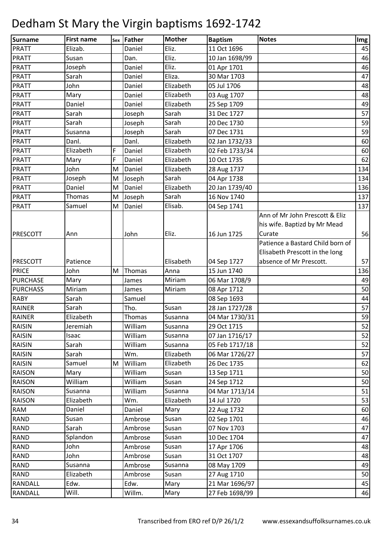| <b>Surname</b>  | <b>First name</b> |   | sex Father | <b>Mother</b> | <b>Baptism</b> | <b>Notes</b>                     | Img |
|-----------------|-------------------|---|------------|---------------|----------------|----------------------------------|-----|
| <b>PRATT</b>    | Elizab.           |   | Daniel     | Eliz.         | 11 Oct 1696    |                                  | 45  |
| <b>PRATT</b>    | Susan             |   | Dan.       | Eliz.         | 10 Jan 1698/99 |                                  | 46  |
| <b>PRATT</b>    | Joseph            |   | Daniel     | Eliz.         | 01 Apr 1701    |                                  | 46  |
| <b>PRATT</b>    | Sarah             |   | Daniel     | Eliza.        | 30 Mar 1703    |                                  | 47  |
| <b>PRATT</b>    | John              |   | Daniel     | Elizabeth     | 05 Jul 1706    |                                  | 48  |
| <b>PRATT</b>    | Mary              |   | Daniel     | Elizabeth     | 03 Aug 1707    |                                  | 48  |
| <b>PRATT</b>    | Daniel            |   | Daniel     | Elizabeth     | 25 Sep 1709    |                                  | 49  |
| <b>PRATT</b>    | Sarah             |   | Joseph     | Sarah         | 31 Dec 1727    |                                  | 57  |
| <b>PRATT</b>    | Sarah             |   | Joseph     | Sarah         | 20 Dec 1730    |                                  | 59  |
| <b>PRATT</b>    | Susanna           |   | Joseph     | Sarah         | 07 Dec 1731    |                                  | 59  |
| <b>PRATT</b>    | Danl.             |   | Danl.      | Elizabeth     | 02 Jan 1732/33 |                                  | 60  |
| <b>PRATT</b>    | Elizabeth         | F | Daniel     | Elizabeth     | 02 Feb 1733/34 |                                  | 60  |
| <b>PRATT</b>    | Mary              | F | Daniel     | Elizabeth     | 10 Oct 1735    |                                  | 62  |
| <b>PRATT</b>    | John              | M | Daniel     | Elizabeth     | 28 Aug 1737    |                                  | 134 |
| <b>PRATT</b>    | Joseph            | M | Joseph     | Sarah         | 04 Apr 1738    |                                  | 134 |
| <b>PRATT</b>    | Daniel            | M | Daniel     | Elizabeth     | 20 Jan 1739/40 |                                  | 136 |
| <b>PRATT</b>    | Thomas            | M | Joseph     | Sarah         | 16 Nov 1740    |                                  | 137 |
| <b>PRATT</b>    | Samuel            | M | Daniel     | Elisab.       | 04 Sep 1741    |                                  | 137 |
|                 |                   |   |            |               |                | Ann of Mr John Prescott & Eliz   |     |
|                 |                   |   |            |               |                | his wife. Baptizd by Mr Mead     |     |
| PRESCOTT        | Ann               |   | John       | Eliz.         | 16 Jun 1725    | Curate                           | 56  |
|                 |                   |   |            |               |                | Patience a Bastard Child born of |     |
|                 |                   |   |            |               |                | Elisabeth Prescott in the long   |     |
| <b>PRESCOTT</b> | Patience          |   |            | Elisabeth     | 04 Sep 1727    | absence of Mr Prescott.          | 57  |
| <b>PRICE</b>    | John              | M | Thomas     | Anna          | 15 Jun 1740    |                                  | 136 |
| <b>PURCHASE</b> | Mary              |   | James      | Miriam        | 06 Mar 1708/9  |                                  | 49  |
| <b>PURCHASS</b> | Miriam            |   | James      | Miriam        | 08 Apr 1712    |                                  | 50  |
| <b>RABY</b>     | Sarah             |   | Samuel     |               | 08 Sep 1693    |                                  | 44  |
| <b>RAINER</b>   | Sarah             |   | Tho.       | Susan         | 28 Jan 1727/28 |                                  | 57  |
| <b>RAINER</b>   | Elizabeth         |   | Thomas     | Susanna       | 04 Mar 1730/31 |                                  | 59  |
| <b>RAISIN</b>   | Jeremiah          |   | William    | Susanna       | 29 Oct 1715    |                                  | 52  |
| <b>RAISIN</b>   | Isaac             |   | William    | Susanna       | 07 Jan 1716/17 |                                  | 52  |
| <b>RAISIN</b>   | Sarah             |   | William    | Susanna       | 05 Feb 1717/18 |                                  | 52  |
| RAISIN          | Sarah             |   | Wm.        | Elizabeth     | 06 Mar 1726/27 |                                  | 57  |
| <b>RAISIN</b>   | Samuel            | М | William    | Elizabeth     | 26 Dec 1735    |                                  | 62  |
| <b>RAISON</b>   | Mary              |   | William    | Susan         | 13 Sep 1711    |                                  | 50  |
| <b>RAISON</b>   | William           |   | William    | Susan         | 24 Sep 1712    |                                  | 50  |
| <b>RAISON</b>   | Susanna           |   | William    | Susanna       | 04 Mar 1713/14 |                                  | 51  |
| <b>RAISON</b>   | Elizabeth         |   | Wm.        | Elizabeth     | 14 Jul 1720    |                                  | 53  |
| <b>RAM</b>      | Daniel            |   | Daniel     | Mary          | 22 Aug 1732    |                                  | 60  |
| <b>RAND</b>     | Susan             |   | Ambrose    | Susan         | 02 Sep 1701    |                                  | 46  |
| <b>RAND</b>     | Sarah             |   | Ambrose    | Susan         | 07 Nov 1703    |                                  | 47  |
| <b>RAND</b>     | Splandon          |   | Ambrose    | Susan         | 10 Dec 1704    |                                  | 47  |
| <b>RAND</b>     | John              |   | Ambrose    | Susan         | 17 Apr 1706    |                                  | 48  |
| <b>RAND</b>     | John              |   | Ambrose    | Susan         | 31 Oct 1707    |                                  | 48  |
| <b>RAND</b>     | Susanna           |   | Ambrose    | Susanna       | 08 May 1709    |                                  | 49  |
| <b>RAND</b>     | Elizabeth         |   | Ambrose    | Susan         | 27 Aug 1710    |                                  | 50  |
| RANDALL         | Edw.              |   | Edw.       | Mary          | 21 Mar 1696/97 |                                  | 45  |
| RANDALL         | Will.             |   | Willm.     | Mary          | 27 Feb 1698/99 |                                  | 46  |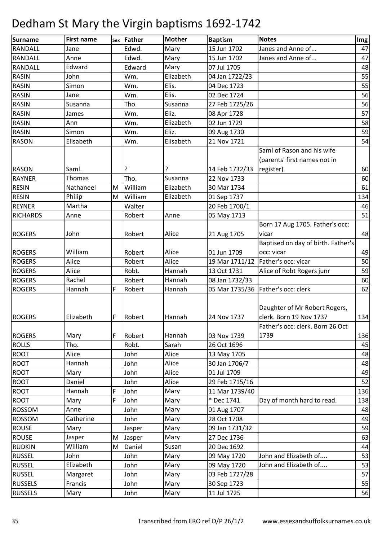| Surname         | <b>First name</b> |   | sex Father | <b>Mother</b> | <b>Baptism</b> | <b>Notes</b>                         | Img |
|-----------------|-------------------|---|------------|---------------|----------------|--------------------------------------|-----|
| <b>RANDALL</b>  | Jane              |   | Edwd.      | Mary          | 15 Jun 1702    | Janes and Anne of                    | 47  |
| <b>RANDALL</b>  | Anne              |   | Edwd.      | Mary          | 15 Jun 1702    | Janes and Anne of                    | 47  |
| RANDALL         | Edward            |   | Edward     | Mary          | 07 Jul 1705    |                                      | 48  |
| <b>RASIN</b>    | John              |   | Wm.        | Elizabeth     | 04 Jan 1722/23 |                                      | 55  |
| <b>RASIN</b>    | Simon             |   | Wm.        | Elis.         | 04 Dec 1723    |                                      | 55  |
| <b>RASIN</b>    | Jane              |   | Wm.        | Elis.         | 02 Dec 1724    |                                      | 56  |
| <b>RASIN</b>    | Susanna           |   | Tho.       | Susanna       | 27 Feb 1725/26 |                                      | 56  |
| <b>RASIN</b>    | James             |   | Wm.        | Eliz.         | 08 Apr 1728    |                                      | 57  |
| <b>RASIN</b>    | Ann               |   | Wm.        | Elizabeth     | 02 Jun 1729    |                                      | 58  |
| <b>RASIN</b>    | Simon             |   | Wm.        | Eliz.         | 09 Aug 1730    |                                      | 59  |
| <b>RASON</b>    | Elisabeth         |   | Wm.        | Elisabeth     | 21 Nov 1721    |                                      | 54  |
|                 |                   |   |            |               |                | Saml of Rason and his wife           |     |
|                 |                   |   |            |               |                | (parents' first names not in         |     |
| <b>RASON</b>    | Saml.             |   | ?          |               | 14 Feb 1732/33 | register)                            | 60  |
| <b>RAYNER</b>   | Thomas            |   | Tho.       | Susanna       | 22 Nov 1733    |                                      | 60  |
| <b>RESIN</b>    | Nathaneel         | M | William    | Elizabeth     | 30 Mar 1734    |                                      | 61  |
| <b>RESIN</b>    | Philip            | M | William    | Elizabeth     | 01 Sep 1737    |                                      | 134 |
| <b>REYNER</b>   | Martha            |   | Walter     |               | 20 Feb 1700/1  |                                      | 46  |
| <b>RICHARDS</b> | Anne              |   | Robert     | Anne          | 05 May 1713    |                                      | 51  |
|                 |                   |   |            |               |                | Born 17 Aug 1705. Father's occ:      |     |
| <b>ROGERS</b>   | John              |   | Robert     | Alice         | 21 Aug 1705    | vicar                                | 48  |
|                 |                   |   |            |               |                | Baptised on day of birth. Father's   |     |
| <b>ROGERS</b>   | William           |   | Robert     | Alice         | 01 Jun 1709    | occ: vicar                           | 49  |
| <b>ROGERS</b>   | Alice             |   | Robert     | Alice         | 19 Mar 1711/12 | Father's occ: vicar                  | 50  |
| <b>ROGERS</b>   | Alice             |   | Robt.      | Hannah        | 13 Oct 1731    | Alice of Robt Rogers junr            | 59  |
| <b>ROGERS</b>   | Rachel            |   | Robert     | Hannah        | 08 Jan 1732/33 |                                      | 60  |
| <b>ROGERS</b>   | Hannah            | F | Robert     | Hannah        |                | 05 Mar 1735/36   Father's occ: clerk | 62  |
|                 |                   |   |            |               |                |                                      |     |
|                 |                   |   |            |               |                | Daughter of Mr Robert Rogers,        |     |
| <b>ROGERS</b>   | Elizabeth         | F | Robert     | Hannah        | 24 Nov 1737    | clerk. Born 19 Nov 1737              | 134 |
|                 |                   |   |            |               |                | Father's occ: clerk. Born 26 Oct     |     |
| <b>ROGERS</b>   | Mary              | F | Robert     | Hannah        | 03 Nov 1739    | 1739                                 | 136 |
| <b>ROLLS</b>    | Tho.              |   | Robt.      | Sarah         | 26 Oct 1696    |                                      | 45  |
| <b>ROOT</b>     | Alice             |   | John       | Alice         | 13 May 1705    |                                      | 48  |
| <b>ROOT</b>     | Hannah            |   | John       | Alice         | 30 Jan 1706/7  |                                      | 48  |
| <b>ROOT</b>     | Mary              |   | John       | Alice         | 01 Jul 1709    |                                      | 49  |
| ROOT            | Daniel            |   | John       | Alice         | 29 Feb 1715/16 |                                      | 52  |
| <b>ROOT</b>     | Hannah            | F | John       | Mary          | 11 Mar 1739/40 |                                      | 136 |
| <b>ROOT</b>     | Mary              | F | John       | Mary          | * Dec 1741     | Day of month hard to read.           | 138 |
| <b>ROSSOM</b>   | Anne              |   | John       | Mary          | 01 Aug 1707    |                                      | 48  |
| <b>ROSSOM</b>   | Catherine         |   | John       | Mary          | 28 Oct 1708    |                                      | 49  |
| <b>ROUSE</b>    | Mary              |   | Jasper     | Mary          | 09 Jan 1731/32 |                                      | 59  |
| <b>ROUSE</b>    | Jasper            | M | Jasper     | Mary          | 27 Dec 1736    |                                      | 63  |
| <b>RUDKIN</b>   | William           | M | Daniel     | Susan         | 20 Dec 1692    |                                      | 44  |
| <b>RUSSEL</b>   | John              |   | John       | Mary          | 09 May 1720    | John and Elizabeth of                | 53  |
| <b>RUSSEL</b>   | Elizabeth         |   | John       | Mary          | 09 May 1720    | John and Elizabeth of                | 53  |
| <b>RUSSEL</b>   | Margaret          |   | John       | Mary          | 03 Feb 1727/28 |                                      | 57  |
| <b>RUSSELS</b>  | Francis           |   | John       | Mary          | 30 Sep 1723    |                                      | 55  |
| <b>RUSSELS</b>  | Mary              |   | John       | Mary          | 11 Jul 1725    |                                      | 56  |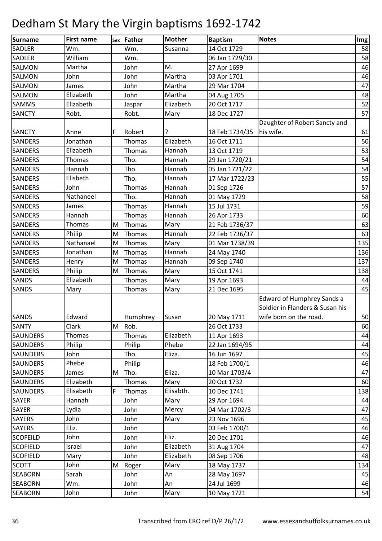| Surname         | <b>First name</b> | Sex       | Father   | <b>Mother</b> | <b>Baptism</b> | <b>Notes</b>                    | Img |
|-----------------|-------------------|-----------|----------|---------------|----------------|---------------------------------|-----|
| <b>SADLER</b>   | Wm.               |           | Wm.      | Susanna       | 14 Oct 1729    |                                 | 58  |
| <b>SADLER</b>   | William           |           | Wm.      |               | 06 Jan 1729/30 |                                 | 58  |
| <b>SALMON</b>   | Martha            |           | John     | M.            | 27 Apr 1699    |                                 | 46  |
| <b>SALMON</b>   | John              |           | John     | Martha        | 03 Apr 1701    |                                 | 46  |
| <b>SALMON</b>   | James             |           | John     | Martha        | 29 Mar 1704    |                                 | 47  |
| <b>SALMON</b>   | Elizabeth         |           | John     | Martha        | 04 Aug 1705    |                                 | 48  |
| <b>SAMMS</b>    | Elizabeth         |           | Jaspar   | Elizabeth     | 20 Oct 1717    |                                 | 52  |
| <b>SANCTY</b>   | Robt.             |           | Robt.    | Mary          | 18 Dec 1727    |                                 | 57  |
|                 |                   |           |          |               |                | Daughter of Robert Sancty and   |     |
| <b>SANCTY</b>   | Anne              | F         | Robert   |               | 18 Feb 1734/35 | his wife.                       | 61  |
| <b>SANDERS</b>  | Jonathan          |           | Thomas   | Elizabeth     | 16 Oct 1711    |                                 | 50  |
| <b>SANDERS</b>  | Elizabeth         |           | Thomas   | Hannah        | 13 Oct 1719    |                                 | 53  |
| <b>SANDERS</b>  | Thomas            |           | Tho.     | Hannah        | 29 Jan 1720/21 |                                 | 54  |
| <b>SANDERS</b>  | Hannah            |           | Tho.     | Hannah        | 05 Jan 1721/22 |                                 | 54  |
| <b>SANDERS</b>  | Elisbeth          |           | Tho.     | Hannah        | 17 Mar 1722/23 |                                 | 55  |
| <b>SANDERS</b>  | John              |           | Thomas   | Hannah        | 01 Sep 1726    |                                 | 57  |
| <b>SANDERS</b>  | Nathaneel         |           | Tho.     | Hannah        | 01 May 1729    |                                 | 58  |
| <b>SANDERS</b>  | James             |           | Thomas   | Hannah        | 15 Jul 1731    |                                 | 59  |
| <b>SANDERS</b>  | Hannah            |           | Thomas   | Hannah        | 26 Apr 1733    |                                 | 60  |
| <b>SANDERS</b>  | Thomas            | M         | Thomas   | Mary          | 21 Feb 1736/37 |                                 | 63  |
| <b>SANDERS</b>  | Philip            | M         | Thomas   | Hannah        | 22 Feb 1736/37 |                                 | 63  |
| <b>SANDERS</b>  | Nathanael         | ${\sf M}$ | Thomas   | Mary          | 01 Mar 1738/39 |                                 | 135 |
| <b>SANDERS</b>  | Jonathan          | M         | Thomas   | Hannah        | 24 May 1740    |                                 | 136 |
| <b>SANDERS</b>  | Henry             | M         | Thomas   | Hannah        | 09 Sep 1740    |                                 | 137 |
| <b>SANDERS</b>  | Philip            | M         | Thomas   | Mary          | 15 Oct 1741    |                                 | 138 |
| <b>SANDS</b>    | Elizabeth         |           | Thomas   | Mary          | 19 Apr 1693    |                                 | 44  |
| <b>SANDS</b>    | Mary              |           | Thomas   | Mary          | 21 Dec 1695    |                                 | 45  |
|                 |                   |           |          |               |                | Edward of Humphrey Sands a      |     |
|                 |                   |           |          |               |                | Soldier in Flanders & Susan his |     |
| <b>SANDS</b>    | Edward            |           | Humphrey | Susan         | 20 May 1711    | wife born on the road.          | 50  |
| <b>SANTY</b>    | Clark             | M         | Rob.     |               | 26 Oct 1733    |                                 | 60  |
| <b>SAUNDERS</b> | Thomas            |           | Thomas   | Elizabeth     | 11 Apr 1693    |                                 | 44  |
| <b>SAUNDERS</b> | Philip            |           | Philip   | Phebe         | 22 Jan 1694/95 |                                 | 44  |
| <b>SAUNDERS</b> | John              |           | Tho.     | Eliza.        | 16 Jun 1697    |                                 | 45  |
| <b>SAUNDERS</b> | Phebe             |           | Philip   |               | 18 Feb 1700/1  |                                 | 46  |
| <b>SAUNDERS</b> | James             | M         | Tho.     | Eliza.        | 10 Mar 1703/4  |                                 | 47  |
| <b>SAUNDERS</b> | Elizabeth         |           | Thomas   | Mary          | 20 Oct 1732    |                                 | 60  |
| <b>SAUNDERS</b> | Elisabeth         | F         | Thomas   | Elisabth.     | 10 Dec 1741    |                                 | 138 |
| <b>SAYER</b>    | Hannah            |           | John     | Mary          | 29 Apr 1694    |                                 | 44  |
| <b>SAYER</b>    | Lydia             |           | John     | Mercy         | 04 Mar 1702/3  |                                 | 47  |
| <b>SAYERS</b>   | John              |           | John     | Mary          | 23 Nov 1696    |                                 | 45  |
| <b>SAYERS</b>   | Eliz.             |           | John     |               | 03 Feb 1700/1  |                                 | 46  |
| <b>SCOFEILD</b> | John              |           | John     | Eliz.         | 20 Dec 1701    |                                 | 46  |
| <b>SCOFIELD</b> | Israel            |           | John     | Elizabeth     | 31 Aug 1704    |                                 | 47  |
| <b>SCOFIELD</b> | Mary              |           | John     | Elizabeth     | 08 Sep 1706    |                                 | 48  |
| <b>SCOTT</b>    | John              | M         | Roger    | Mary          | 18 May 1737    |                                 | 134 |
| <b>SEABORN</b>  | Sarah             |           | John     | An            | 28 May 1697    |                                 | 45  |
| <b>SEABORN</b>  | Wm.               |           | John     | An            | 24 Jul 1699    |                                 | 46  |
| <b>SEABORN</b>  | John              |           | John     | Mary          | 10 May 1721    |                                 | 54  |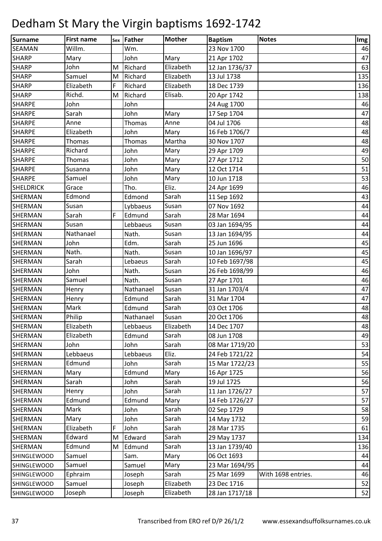| <b>Surname</b>     | <b>First name</b> |   | sex Father    | <b>Mother</b> | <b>Baptism</b> | <b>Notes</b>       | Img |
|--------------------|-------------------|---|---------------|---------------|----------------|--------------------|-----|
| <b>SEAMAN</b>      | Willm.            |   | Wm.           |               | 23 Nov 1700    |                    | 46  |
| <b>SHARP</b>       | Mary              |   | John          | Mary          | 21 Apr 1702    |                    | 47  |
| <b>SHARP</b>       | John              | M | Richard       | Elizabeth     | 12 Jan 1736/37 |                    | 63  |
| <b>SHARP</b>       | Samuel            | M | Richard       | Elizabeth     | 13 Jul 1738    |                    | 135 |
| <b>SHARP</b>       | Elizabeth         | F | Richard       | Elizabeth     | 18 Dec 1739    |                    | 136 |
| <b>SHARP</b>       | Richd.            | M | Richard       | Elisab.       | 20 Apr 1742    |                    | 138 |
| <b>SHARPE</b>      | John              |   | John          |               | 24 Aug 1700    |                    | 46  |
| <b>SHARPE</b>      | Sarah             |   | John          | Mary          | 17 Sep 1704    |                    | 47  |
| <b>SHARPE</b>      | Anne              |   | <b>Thomas</b> | Anne          | 04 Jul 1706    |                    | 48  |
| <b>SHARPE</b>      | Elizabeth         |   | John          | Mary          | 16 Feb 1706/7  |                    | 48  |
| <b>SHARPE</b>      | Thomas            |   | Thomas        | Martha        | 30 Nov 1707    |                    | 48  |
| <b>SHARPE</b>      | Richard           |   | John          | Mary          | 29 Apr 1709    |                    | 49  |
| <b>SHARPE</b>      | Thomas            |   | John          | Mary          | 27 Apr 1712    |                    | 50  |
| <b>SHARPE</b>      | Susanna           |   | John          | Mary          | 12 Oct 1714    |                    | 51  |
| <b>SHARPE</b>      | Samuel            |   | John          | Mary          | 10 Jun 1718    |                    | 53  |
| <b>SHELDRICK</b>   | Grace             |   | Tho.          | Eliz.         | 24 Apr 1699    |                    | 46  |
| SHERMAN            | Edmond            |   | Edmond        | Sarah         | 11 Sep 1692    |                    | 43  |
| <b>SHERMAN</b>     | Susan             |   | Lybbaeus      | Susan         | 07 Nov 1692    |                    | 44  |
| <b>SHERMAN</b>     | Sarah             | F | Edmund        | Sarah         | 28 Mar 1694    |                    | 44  |
| SHERMAN            | Susan             |   | Lebbaeus      | Susan         | 03 Jan 1694/95 |                    | 44  |
| SHERMAN            | Nathanael         |   | Nath.         | Susan         | 13 Jan 1694/95 |                    | 44  |
| SHERMAN            | John              |   | Edm.          | Sarah         | 25 Jun 1696    |                    | 45  |
| SHERMAN            | Nath.             |   | Nath.         | Susan         | 10 Jan 1696/97 |                    | 45  |
| <b>SHERMAN</b>     | Sarah             |   | Lebaeus       | Sarah         | 10 Feb 1697/98 |                    | 45  |
| SHERMAN            | John              |   | Nath.         | Susan         | 26 Feb 1698/99 |                    | 46  |
| SHERMAN            | Samuel            |   | Nath.         | Susan         | 27 Apr 1701    |                    | 46  |
| SHERMAN            | Henry             |   | Nathanael     | Susan         | 31 Jan 1703/4  |                    | 47  |
| <b>SHERMAN</b>     | Henry             |   | Edmund        | Sarah         | 31 Mar 1704    |                    | 47  |
| <b>SHERMAN</b>     | Mark              |   | Edmund        | Sarah         | 03 Oct 1706    |                    | 48  |
| <b>SHERMAN</b>     | Philip            |   | Nathanael     | Susan         | 20 Oct 1706    |                    | 48  |
| SHERMAN            | Elizabeth         |   | Lebbaeus      | Elizabeth     | 14 Dec 1707    |                    | 48  |
| <b>SHERMAN</b>     | Elizabeth         |   | Edmund        | Sarah         | 08 Jun 1708    |                    | 49  |
| <b>SHERMAN</b>     | John              |   | John          | Sarah         | 08 Mar 1719/20 |                    | 53  |
| <b>SHERMAN</b>     | Lebbaeus          |   | Lebbaeus      | Eliz.         | 24 Feb 1721/22 |                    | 54  |
| <b>SHERMAN</b>     | Edmund            |   | John          | Sarah         | 15 Mar 1722/23 |                    | 55  |
| <b>SHERMAN</b>     | Mary              |   | Edmund        | Mary          | 16 Apr 1725    |                    | 56  |
| SHERMAN            | Sarah             |   | John          | Sarah         | 19 Jul 1725    |                    | 56  |
| <b>SHERMAN</b>     | Henry             |   | John          | Sarah         | 11 Jan 1726/27 |                    | 57  |
| <b>SHERMAN</b>     | Edmund            |   | Edmund        | Mary          | 14 Feb 1726/27 |                    | 57  |
| <b>SHERMAN</b>     | Mark              |   | John          | Sarah         | 02 Sep 1729    |                    | 58  |
| <b>SHERMAN</b>     | Mary              |   | John          | Sarah         | 14 May 1732    |                    | 59  |
| SHERMAN            | Elizabeth         | F | John          | Sarah         | 28 Mar 1735    |                    | 61  |
| <b>SHERMAN</b>     | Edward            | M | Edward        | Sarah         | 29 May 1737    |                    | 134 |
| SHERMAN            | Edmund            | M | Edmund        | Sarah         | 13 Jan 1739/40 |                    | 136 |
| <b>SHINGLEWOOD</b> | Samuel            |   | Sam.          | Mary          | 06 Oct 1693    |                    | 44  |
| <b>SHINGLEWOOD</b> | Samuel            |   | Samuel        | Mary          | 23 Mar 1694/95 |                    | 44  |
| <b>SHINGLEWOOD</b> | Ephraim           |   | Joseph        | Sarah         | 25 Mar 1699    | With 1698 entries. | 46  |
| <b>SHINGLEWOOD</b> | Samuel            |   | Joseph        | Elizabeth     | 23 Dec 1716    |                    | 52  |
| <b>SHINGLEWOOD</b> | Joseph            |   | Joseph        | Elizabeth     | 28 Jan 1717/18 |                    | 52  |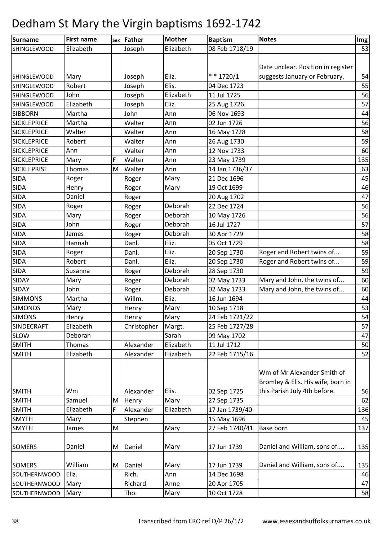| Surname             | <b>First name</b> |   | sex Father  | <b>Mother</b> | <b>Baptism</b> | <b>Notes</b>                       | Img |
|---------------------|-------------------|---|-------------|---------------|----------------|------------------------------------|-----|
| <b>SHINGLEWOOD</b>  | Elizabeth         |   | Joseph      | Elizabeth     | 08 Feb 1718/19 |                                    | 53  |
|                     |                   |   |             |               |                |                                    |     |
|                     |                   |   |             |               |                | Date unclear. Position in register |     |
| <b>SHINGLEWOOD</b>  | Mary              |   | Joseph      | Eliz.         | $* * 1720/1$   | suggests January or February.      | 54  |
| <b>SHINGLEWOOD</b>  | Robert            |   | Joseph      | Elis.         | 04 Dec 1723    |                                    | 55  |
| <b>SHINGLEWOOD</b>  | John              |   | Joseph      | Elizabeth     | 11 Jul 1725    |                                    | 56  |
| <b>SHINGLEWOOD</b>  | Elizabeth         |   | Joseph      | Eliz.         | 25 Aug 1726    |                                    | 57  |
| <b>SIBBORN</b>      | Martha            |   | John        | Ann           | 06 Nov 1693    |                                    | 44  |
| <b>SICKLEPRICE</b>  | Martha            |   | Walter      | Ann           | 02 Jun 1726    |                                    | 56  |
| <b>SICKLEPRICE</b>  | Walter            |   | Walter      | Ann           | 16 May 1728    |                                    | 58  |
| <b>SICKLEPRICE</b>  | Robert            |   | Walter      | Ann           | 26 Aug 1730    |                                    | 59  |
| <b>SICKLEPRICE</b>  | Ann               |   | Walter      | Ann           | 12 Nov 1733    |                                    | 60  |
| <b>SICKLEPRICE</b>  | Mary              | F | Walter      | Ann           | 23 May 1739    |                                    | 135 |
| <b>SICKLEPRISE</b>  | Thomas            | M | Walter      | Ann           | 14 Jan 1736/37 |                                    | 63  |
| <b>SIDA</b>         | Roger             |   | Roger       | Mary          | 21 Dec 1696    |                                    | 45  |
| <b>SIDA</b>         | Henry             |   | Roger       | Mary          | 19 Oct 1699    |                                    | 46  |
| <b>SIDA</b>         | Daniel            |   | Roger       |               | 20 Aug 1702    |                                    | 47  |
| <b>SIDA</b>         | Roger             |   | Roger       | Deborah       | 22 Dec 1724    |                                    | 56  |
| <b>SIDA</b>         | Mary              |   | Roger       | Deborah       | 10 May 1726    |                                    | 56  |
| <b>SIDA</b>         | John              |   | Roger       | Deborah       | 16 Jul 1727    |                                    | 57  |
| <b>SIDA</b>         | James             |   | Roger       | Deborah       | 30 Apr 1729    |                                    | 58  |
| <b>SIDA</b>         | Hannah            |   | Danl.       | Eliz.         | 05 Oct 1729    |                                    | 58  |
| <b>SIDA</b>         | Roger             |   | Danl.       | Eliz.         | 20 Sep 1730    | Roger and Robert twins of          | 59  |
| <b>SIDA</b>         | Robert            |   | Danl.       | Eliz.         | 20 Sep 1730    | Roger and Robert twins of          | 59  |
| <b>SIDA</b>         | Susanna           |   | Roger       | Deborah       | 28 Sep 1730    |                                    | 59  |
| <b>SIDAY</b>        | Mary              |   | Roger       | Deborah       | 02 May 1733    | Mary and John, the twins of        | 60  |
| <b>SIDAY</b>        | John              |   | Roger       | Deborah       | 02 May 1733    | Mary and John, the twins of        | 60  |
| <b>SIMMONS</b>      | Martha            |   | Willm.      | Eliz.         | 16 Jun 1694    |                                    | 44  |
| <b>SIMONDS</b>      | Mary              |   | Henry       | Mary          | 10 Sep 1718    |                                    | 53  |
| <b>SIMONS</b>       | Henry             |   | Henry       | Mary          | 24 Feb 1721/22 |                                    | 54  |
| SINDECRAFT          | Elizabeth         |   | Christopher | Margt.        | 25 Feb 1727/28 |                                    | 57  |
| <b>SLOW</b>         | Deborah           |   |             | Sarah         | 09 May 1702    |                                    | 47  |
| <b>SMITH</b>        | Thomas            |   | Alexander   | Elizabeth     | 11 Jul 1712    |                                    | 50  |
| <b>SMITH</b>        | Elizabeth         |   | Alexander   | Elizabeth     | 22 Feb 1715/16 |                                    | 52  |
|                     |                   |   |             |               |                |                                    |     |
|                     |                   |   |             |               |                | Wm of Mr Alexander Smith of        |     |
|                     |                   |   |             |               |                | Bromley & Elis. His wife, born in  |     |
| <b>SMITH</b>        | Wm                |   | Alexander   | Elis.         | 02 Sep 1725    | this Parish July 4th before.       | 56  |
| <b>SMITH</b>        | Samuel            | M | Henry       | Mary          | 27 Sep 1735    |                                    | 62  |
| <b>SMITH</b>        | Elizabeth         | F | Alexander   | Elizabeth     | 17 Jan 1739/40 |                                    | 136 |
| <b>SMYTH</b>        | Mary              |   | Stephen     |               | 15 May 1696    |                                    | 45  |
| <b>SMYTH</b>        | James             | M |             | Mary          | 27 Feb 1740/41 | Base born                          | 137 |
|                     |                   |   |             |               |                |                                    |     |
| <b>SOMERS</b>       | Daniel            | M | Daniel      | Mary          | 17 Jun 1739    | Daniel and William, sons of        | 135 |
|                     |                   |   |             |               |                |                                    |     |
| <b>SOMERS</b>       | William           | M | Daniel      | Mary          | 17 Jun 1739    | Daniel and William, sons of        | 135 |
| <b>SOUTHERNWOOD</b> | Eliz.             |   | Rich.       | Ann           | 14 Dec 1698    |                                    | 46  |
| SOUTHERNWOOD        | Mary              |   | Richard     | Anne          | 20 Apr 1705    |                                    | 47  |
| SOUTHERNWOOD        | Mary              |   | Tho.        | Mary          | 10 Oct 1728    |                                    | 58  |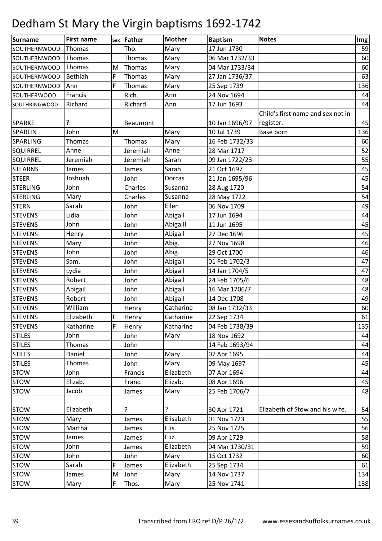| Surname             | <b>First name</b> |             | sex Father | <b>Mother</b> | <b>Baptism</b> | <b>Notes</b>                      | Img |
|---------------------|-------------------|-------------|------------|---------------|----------------|-----------------------------------|-----|
| SOUTHERNWOOD        | Thomas            |             | Tho.       | Mary          | 17 Jun 1730    |                                   | 59  |
| <b>SOUTHERNWOOD</b> | Thomas            |             | Thomas     | Mary          | 06 Mar 1732/33 |                                   | 60  |
| <b>SOUTHERNWOOD</b> | Thomas            | M           | Thomas     | Mary          | 04 Mar 1733/34 |                                   | 60  |
| SOUTHERNWOOD        | Bethiah           | F           | Thomas     | Mary          | 27 Jan 1736/37 |                                   | 63  |
| <b>SOUTHERNWOOD</b> | Ann               | F           | Thomas     | Mary          | 25 Sep 1739    |                                   | 136 |
| SOUTHERWOOD         | Francis           |             | Rich.      | Ann           | 24 Nov 1694    |                                   | 44  |
| SOUTHRINGWOOD       | Richard           |             | Richard    | Ann           | 17 Jun 1693    |                                   | 44  |
|                     |                   |             |            |               |                | Child's first name and sex not in |     |
| <b>SPARKE</b>       |                   |             | Beaumont   |               | 10 Jan 1696/97 | register.                         | 45  |
| <b>SPARLIN</b>      | John              | M           |            | Mary          | 10 Jul 1739    | Base born                         | 136 |
| <b>SPARLING</b>     | Thomas            |             | Thomas     | Mary          | 16 Feb 1732/33 |                                   | 60  |
| <b>SQUIRREL</b>     | Anne              |             | Jeremiah   | Anne          | 28 Mar 1717    |                                   | 52  |
| <b>SQUIRREL</b>     | Jeremiah          |             | Jeremiah   | Sarah         | 09 Jan 1722/23 |                                   | 55  |
| <b>STEARNS</b>      | James             |             | James      | Sarah         | 21 Oct 1697    |                                   | 45  |
| <b>STEER</b>        | Joshuah           |             | John       | Dorcas        | 21 Jan 1695/96 |                                   | 45  |
| <b>STERLING</b>     | John              |             | Charles    | Susanna       | 28 Aug 1720    |                                   | 54  |
| <b>STERLING</b>     | Mary              |             | Charles    | Susanna       | 28 May 1722    |                                   | 54  |
| <b>STERN</b>        | Sarah             |             | John       | Ellen         | 06 Nov 1709    |                                   | 49  |
| <b>STEVENS</b>      | Lidia             |             | John       | Abigail       | 17 Jun 1694    |                                   | 44  |
| <b>STEVENS</b>      | John              |             | John       | Abigaill      | 11 Jun 1695    |                                   | 45  |
| <b>STEVENS</b>      | Henry             |             | John       | Abigail       | 27 Dec 1696    |                                   | 45  |
| <b>STEVENS</b>      | Mary              |             | John       | Abig.         | 27 Nov 1698    |                                   | 46  |
| <b>STEVENS</b>      | John              |             | John       | Abig.         | 29 Oct 1700    |                                   | 46  |
| <b>STEVENS</b>      | Sam.              |             | John       | Abigail       | 01 Feb 1702/3  |                                   | 47  |
| <b>STEVENS</b>      | Lydia             |             | John       | Abigail       | 14 Jan 1704/5  |                                   | 47  |
| <b>STEVENS</b>      | Robert            |             | John       | Abigail       | 24 Feb 1705/6  |                                   | 48  |
| <b>STEVENS</b>      | Abigail           |             | John       | Abigail       | 16 Mar 1706/7  |                                   | 48  |
| <b>STEVENS</b>      | Robert            |             | John       | Abigail       | 14 Dec 1708    |                                   | 49  |
| <b>STEVENS</b>      | William           |             | Henry      | Catharine     | 08 Jan 1732/33 |                                   | 60  |
| <b>STEVENS</b>      | Elizabeth         | F           | Henry      | Catharine     | 22 Sep 1734    |                                   | 61  |
| <b>STEVENS</b>      | Katharine         | $\mathsf F$ | Henry      | Katharine     | 04 Feb 1738/39 |                                   | 135 |
| <b>STILES</b>       | John              |             | John       | Mary          | 18 Nov 1692    |                                   | 44  |
| <b>STILES</b>       | Thomas            |             | John       |               | 14 Feb 1693/94 |                                   | 44  |
| <b>STILES</b>       | Daniel            |             | John       | Mary          | 07 Apr 1695    |                                   | 44  |
| <b>STILES</b>       | Thomas            |             | John       | Mary          | 09 May 1697    |                                   | 45  |
| <b>STOW</b>         | John              |             | Francis    | Elizabeth     | 07 Apr 1694    |                                   | 44  |
| <b>STOW</b>         | Elizab.           |             | Franc.     | Elizab.       | 08 Apr 1696    |                                   | 45  |
| <b>STOW</b>         | Jacob             |             | James      | Mary          | 25 Feb 1706/7  |                                   | 48  |
|                     |                   |             |            |               |                |                                   |     |
| <b>STOW</b>         | Elizabeth         |             | ?          | ?             | 30 Apr 1721    | Elizabeth of Stow and his wife.   | 54  |
| <b>STOW</b>         | Mary              |             | James      | Elisabeth     | 01 Nov 1723    |                                   | 55  |
| <b>STOW</b>         | Martha            |             | James      | Elis.         | 25 Nov 1725    |                                   | 56  |
| <b>STOW</b>         | James             |             | James      | Eliz.         | 09 Apr 1729    |                                   | 58  |
| <b>STOW</b>         | John              |             | James      | Elizabeth     | 04 Mar 1730/31 |                                   | 59  |
| <b>STOW</b>         | John              |             | John       | Mary          | 15 Oct 1732    |                                   | 60  |
| <b>STOW</b>         | Sarah             | F           | James      | Elizabeth     | 25 Sep 1734    |                                   | 61  |
| <b>STOW</b>         | James             | M           | John       | Mary          | 14 Nov 1737    |                                   | 134 |
| <b>STOW</b>         | Mary              | F           | Thos.      | Mary          | 25 Nov 1741    |                                   | 138 |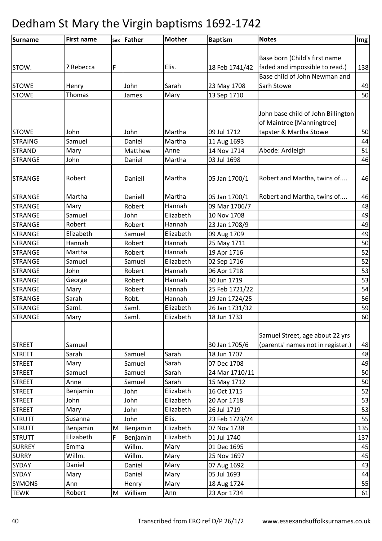| Surname        | <b>First name</b> |   | sex Father | <b>Mother</b> | <b>Baptism</b> | <b>Notes</b>                       | Img |
|----------------|-------------------|---|------------|---------------|----------------|------------------------------------|-----|
|                |                   |   |            |               |                |                                    |     |
|                |                   |   |            |               |                | Base born (Child's first name      |     |
| STOW.          | ? Rebecca         | F |            | Elis.         | 18 Feb 1741/42 | faded and impossible to read.)     | 138 |
|                |                   |   |            |               |                | Base child of John Newman and      |     |
| <b>STOWE</b>   | Henry             |   | John       | Sarah         | 23 May 1708    | Sarh Stowe                         | 49  |
| <b>STOWE</b>   | Thomas            |   | James      | Mary          | 13 Sep 1710    |                                    | 50  |
|                |                   |   |            |               |                |                                    |     |
|                |                   |   |            |               |                | John base child of John Billington |     |
|                |                   |   |            |               |                | of Maintree [Manningtree]          |     |
| <b>STOWE</b>   | John              |   | John       | Martha        | 09 Jul 1712    | tapster & Martha Stowe             | 50  |
| <b>STRAING</b> | Samuel            |   | Daniel     | Martha        | 11 Aug 1693    |                                    | 44  |
| <b>STRAND</b>  | Mary              |   | Matthew    | Anne          | 14 Nov 1714    | Abode: Ardleigh                    | 51  |
| <b>STRANGE</b> | John              |   | Daniel     | Martha        | 03 Jul 1698    |                                    | 46  |
|                |                   |   |            |               |                |                                    |     |
| <b>STRANGE</b> | Robert            |   | Daniell    | Martha        | 05 Jan 1700/1  | Robert and Martha, twins of        | 46  |
|                |                   |   |            |               |                |                                    |     |
| <b>STRANGE</b> | Martha            |   | Daniell    | Martha        | 05 Jan 1700/1  | Robert and Martha, twins of        | 46  |
| <b>STRANGE</b> | Mary              |   | Robert     | Hannah        | 09 Mar 1706/7  |                                    | 48  |
| <b>STRANGE</b> | Samuel            |   | John       | Elizabeth     | 10 Nov 1708    |                                    | 49  |
| <b>STRANGE</b> | Robert            |   | Robert     | Hannah        | 23 Jan 1708/9  |                                    | 49  |
| <b>STRANGE</b> | Elizabeth         |   | Samuel     | Elizabeth     | 09 Aug 1709    |                                    | 49  |
| <b>STRANGE</b> | Hannah            |   | Robert     | Hannah        | 25 May 1711    |                                    | 50  |
| <b>STRANGE</b> | Martha            |   | Robert     | Hannah        | 19 Apr 1716    |                                    | 52  |
| <b>STRANGE</b> | Samuel            |   | Samuel     | Elizabeth     | 02 Sep 1716    |                                    | 52  |
| <b>STRANGE</b> | John              |   | Robert     | Hannah        | 06 Apr 1718    |                                    | 53  |
| <b>STRANGE</b> | George            |   | Robert     | Hannah        | 30 Jun 1719    |                                    | 53  |
| <b>STRANGE</b> | Mary              |   | Robert     | Hannah        | 25 Feb 1721/22 |                                    | 54  |
| <b>STRANGE</b> | Sarah             |   | Robt.      | Hannah        | 19 Jan 1724/25 |                                    | 56  |
| <b>STRANGE</b> | Saml.             |   | Saml.      | Elizabeth     | 26 Jan 1731/32 |                                    | 59  |
| <b>STRANGE</b> | Mary              |   | Saml.      | Elizabeth     | 18 Jun 1733    |                                    | 60  |
|                |                   |   |            |               |                |                                    |     |
|                |                   |   |            |               |                | Samuel Street, age about 22 yrs    |     |
| <b>STREET</b>  | Samuel            |   |            |               | 30 Jan 1705/6  | (parents' names not in register.)  | 48  |
| <b>STREET</b>  | Sarah             |   | Samuel     | Sarah         | 18 Jun 1707    |                                    | 48  |
| <b>STREET</b>  | Mary              |   | Samuel     | Sarah         | 07 Dec 1708    |                                    | 49  |
| <b>STREET</b>  | Samuel            |   | Samuel     | Sarah         | 24 Mar 1710/11 |                                    | 50  |
| <b>STREET</b>  | Anne              |   | Samuel     | Sarah         | 15 May 1712    |                                    | 50  |
| <b>STREET</b>  | Benjamin          |   | John       | Elizabeth     | 16 Oct 1715    |                                    | 52  |
| <b>STREET</b>  | John              |   | John       | Elizabeth     | 20 Apr 1718    |                                    | 53  |
| <b>STREET</b>  | Mary              |   | John       | Elizabeth     | 26 Jul 1719    |                                    | 53  |
| <b>STRUTT</b>  | Susanna           |   | John       | Elis.         | 23 Feb 1723/24 |                                    | 55  |
| <b>STRUTT</b>  | Benjamin          | M | Benjamin   | Elizabeth     | 07 Nov 1738    |                                    | 135 |
| <b>STRUTT</b>  | Elizabeth         | F | Benjamin   | Elizabeth     | 01 Jul 1740    |                                    | 137 |
| <b>SURREY</b>  | Emma              |   | Willm.     | Mary          | 01 Dec 1695    |                                    | 45  |
| <b>SURRY</b>   | Willm.            |   | Willm.     | Mary          | 25 Nov 1697    |                                    | 45  |
| SYDAY          | Daniel            |   | Daniel     | Mary          | 07 Aug 1692    |                                    | 43  |
| <b>SYDAY</b>   | Mary              |   | Daniel     | Mary          | 05 Jul 1693    |                                    | 44  |
| <b>SYMONS</b>  | Ann               |   | Henry      | Mary          | 18 Aug 1724    |                                    | 55  |
| <b>TEWK</b>    | Robert            | M | William    | Ann           | 23 Apr 1734    |                                    | 61  |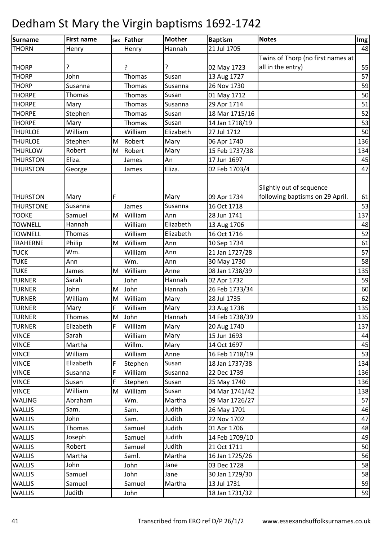| <b>Surname</b>   | <b>First name</b> |   | sex Father | <b>Mother</b> | <b>Baptism</b> | <b>Notes</b>                      | Img |
|------------------|-------------------|---|------------|---------------|----------------|-----------------------------------|-----|
| <b>THORN</b>     | Henry             |   | Henry      | Hannah        | 21 Jul 1705    |                                   | 48  |
|                  |                   |   |            |               |                | Twins of Thorp (no first names at |     |
| <b>THORP</b>     | ç                 |   | ?          | ?             | 02 May 1723    | all in the entry)                 | 55  |
| <b>THORP</b>     | John              |   | Thomas     | Susan         | 13 Aug 1727    |                                   | 57  |
| <b>THORP</b>     | Susanna           |   | Thomas     | Susanna       | 26 Nov 1730    |                                   | 59  |
| <b>THORPE</b>    | Thomas            |   | Thomas     | Susan         | 01 May 1712    |                                   | 50  |
| <b>THORPE</b>    | Mary              |   | Thomas     | Susanna       | 29 Apr 1714    |                                   | 51  |
| <b>THORPE</b>    | Stephen           |   | Thomas     | Susan         | 18 Mar 1715/16 |                                   | 52  |
| <b>THORPE</b>    | Mary              |   | Thomas     | Susan         | 14 Jan 1718/19 |                                   | 53  |
| <b>THURLOE</b>   | William           |   | William    | Elizabeth     | 27 Jul 1712    |                                   | 50  |
| <b>THURLOE</b>   | Stephen           | M | Robert     | Mary          | 06 Apr 1740    |                                   | 136 |
| <b>THURLOW</b>   | Robert            | M | Robert     | Mary          | 15 Feb 1737/38 |                                   | 134 |
| <b>THURSTON</b>  | Eliza.            |   | James      | An            | 17 Jun 1697    |                                   | 45  |
| <b>THURSTON</b>  | George            |   | James      | Eliza.        | 02 Feb 1703/4  |                                   | 47  |
|                  |                   |   |            |               |                | Slightly out of sequence          |     |
| <b>THURSTON</b>  | Mary              | F |            | Mary          | 09 Apr 1734    | following baptisms on 29 April.   | 61  |
| <b>THURSTONE</b> | Susanna           |   | James      | Susanna       | 16 Oct 1718    |                                   | 53  |
| <b>TOOKE</b>     | Samuel            | M | William    | Ann           | 28 Jun 1741    |                                   | 137 |
| <b>TOWNELL</b>   | Hannah            |   | William    | Elizabeth     | 13 Aug 1706    |                                   | 48  |
| <b>TOWNELL</b>   | Thomas            |   | William    | Elizabeth     | 16 Oct 1716    |                                   | 52  |
| <b>TRAHERNE</b>  | Philip            | M | William    | Ann           | 10 Sep 1734    |                                   | 61  |
| <b>TUCK</b>      | Wm.               |   | William    | Ann           | 21 Jan 1727/28 |                                   | 57  |
| <b>TUKE</b>      | Ann               |   | Wm.        | Ann           | 30 May 1730    |                                   | 58  |
| <b>TUKE</b>      | James             | M | William    | Anne          | 08 Jan 1738/39 |                                   | 135 |
| <b>TURNER</b>    | Sarah             |   | John       | Hannah        | 02 Apr 1732    |                                   | 59  |
| <b>TURNER</b>    | John              | M | John       | Hannah        | 26 Feb 1733/34 |                                   | 60  |
| <b>TURNER</b>    | William           | M | William    | Mary          | 28 Jul 1735    |                                   | 62  |
| <b>TURNER</b>    | Mary              | F | William    | Mary          | 23 Aug 1738    |                                   | 135 |
| <b>TURNER</b>    | Thomas            | M | John       | Hannah        | 14 Feb 1738/39 |                                   | 135 |
| <b>TURNER</b>    | Elizabeth         | F | William    | Mary          | 20 Aug 1740    |                                   | 137 |
| <b>VINCE</b>     | Sarah             |   | William    | Mary          | 15 Jun 1693    |                                   | 44  |
| <b>VINCE</b>     | Martha            |   | Willm.     | Mary          | 14 Oct 1697    |                                   | 45  |
| <b>VINCE</b>     | William           |   | William    | Anne          | 16 Feb 1718/19 |                                   | 53  |
| <b>VINCE</b>     | Elizabeth         | F | Stephen    | Susan         | 18 Jan 1737/38 |                                   | 134 |
| <b>VINCE</b>     | Susanna           | F | William    | Susanna       | 22 Dec 1739    |                                   | 136 |
| <b>VINCE</b>     | Susan             | F | Stephen    | Susan         | 25 May 1740    |                                   | 136 |
| <b>VINCE</b>     | William           | M | William    | Susan         | 04 Mar 1741/42 |                                   | 138 |
| WALING           | Abraham           |   | Wm.        | Martha        | 09 Mar 1726/27 |                                   | 57  |
| <b>WALLIS</b>    | Sam.              |   | Sam.       | Judith        | 26 May 1701    |                                   | 46  |
| <b>WALLIS</b>    | John              |   | Sam.       | Judith        | 22 Nov 1702    |                                   | 47  |
| <b>WALLIS</b>    | <b>Thomas</b>     |   | Samuel     | Judith        | 01 Apr 1706    |                                   | 48  |
| <b>WALLIS</b>    | Joseph            |   | Samuel     | Judith        | 14 Feb 1709/10 |                                   | 49  |
| <b>WALLIS</b>    | Robert            |   | Samuel     | Judith        | 21 Oct 1711    |                                   | 50  |
| <b>WALLIS</b>    | Martha            |   | Saml.      | Martha        | 16 Jan 1725/26 |                                   | 56  |
| <b>WALLIS</b>    | John              |   | John       | Jane          | 03 Dec 1728    |                                   | 58  |
| <b>WALLIS</b>    | Samuel            |   | John       | Jane          | 30 Jan 1729/30 |                                   | 58  |
| <b>WALLIS</b>    | Samuel            |   | Samuel     | Martha        | 13 Jul 1731    |                                   | 59  |
| WALLIS           | Judith            |   | John       |               | 18 Jan 1731/32 |                                   | 59  |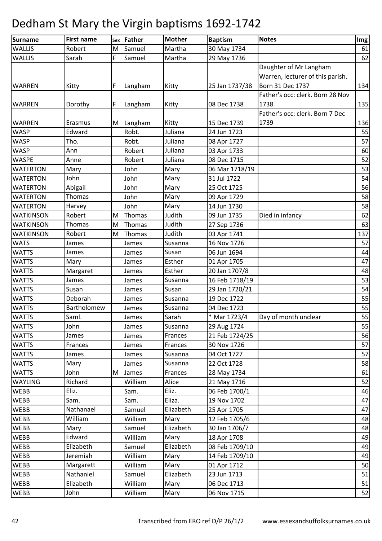| Surname          | <b>First name</b>  |   | sex Father | <b>Mother</b> | <b>Baptism</b> | <b>Notes</b>                     | Img |
|------------------|--------------------|---|------------|---------------|----------------|----------------------------------|-----|
| <b>WALLIS</b>    | Robert             | M | Samuel     | Martha        | 30 May 1734    |                                  | 61  |
| <b>WALLIS</b>    | Sarah              | F | Samuel     | Martha        | 29 May 1736    |                                  | 62  |
|                  |                    |   |            |               |                | Daughter of Mr Langham           |     |
|                  |                    |   |            |               |                | Warren, lecturer of this parish. |     |
| <b>WARREN</b>    | Kitty              | F | Langham    | Kitty         | 25 Jan 1737/38 | Born 31 Dec 1737                 | 134 |
|                  |                    |   |            |               |                | Father's occ: clerk. Born 28 Nov |     |
| <b>WARREN</b>    | Dorothy            | F | Langham    | Kitty         | 08 Dec 1738    | 1738                             | 135 |
|                  |                    |   |            |               |                | Father's occ: clerk. Born 7 Dec  |     |
| <b>WARREN</b>    | Erasmus            |   | M Langham  | Kitty         | 15 Dec 1739    | 1739                             | 136 |
| <b>WASP</b>      | Edward             |   | Robt.      | Juliana       | 24 Jun 1723    |                                  | 55  |
| <b>WASP</b>      | Tho.               |   | Robt.      | Juliana       | 08 Apr 1727    |                                  | 57  |
| <b>WASP</b>      | Ann                |   | Robert     | Juliana       | 03 Apr 1733    |                                  | 60  |
| <b>WASPE</b>     | Anne               |   | Robert     | Juliana       | 08 Dec 1715    |                                  | 52  |
| <b>WATERTON</b>  | Mary               |   | John       | Mary          | 06 Mar 1718/19 |                                  | 53  |
| <b>WATERTON</b>  | John               |   | John       | Mary          | 31 Jul 1722    |                                  | 54  |
| <b>WATERTON</b>  | Abigail            |   | John       | Mary          | 25 Oct 1725    |                                  | 56  |
| <b>WATERTON</b>  | Thomas             |   | John       | Mary          | 09 Apr 1729    |                                  | 58  |
| <b>WATERTON</b>  | Harvey             |   | John       | Mary          | 14 Jun 1730    |                                  | 58  |
| <b>WATKINSON</b> | Robert             | M | Thomas     | Judith        | 09 Jun 1735    | Died in infancy                  | 62  |
| <b>WATKINSON</b> | Thomas             | M | Thomas     | Judith        | 27 Sep 1736    |                                  | 63  |
| <b>WATKINSON</b> | Robert             | M | Thomas     | Judith        | 03 Apr 1741    |                                  | 137 |
| <b>WATS</b>      | James              |   | James      | Susanna       | 16 Nov 1726    |                                  | 57  |
| <b>WATTS</b>     | James              |   | James      | Susan         | 06 Jun 1694    |                                  | 44  |
| <b>WATTS</b>     | Mary               |   | James      | Esther        | 01 Apr 1705    |                                  | 47  |
| <b>WATTS</b>     | Margaret           |   | James      | Esther        | 20 Jan 1707/8  |                                  | 48  |
| <b>WATTS</b>     | James              |   | James      | Susanna       | 16 Feb 1718/19 |                                  | 53  |
| <b>WATTS</b>     | Susan              |   | James      | Susan         | 29 Jan 1720/21 |                                  | 54  |
| <b>WATTS</b>     | Deborah            |   | James      | Susanna       | 19 Dec 1722    |                                  | 55  |
| <b>WATTS</b>     | <b>Bartholomew</b> |   | James      | Susanna       | 04 Dec 1723    |                                  | 55  |
| <b>WATTS</b>     | Saml.              |   | James      | Sarah         | * Mar 1723/4   | Day of month unclear             | 55  |
| <b>WATTS</b>     | John               |   | James      | Susanna       | 29 Aug 1724    |                                  | 55  |
| <b>WATTS</b>     | James              |   | James      | Frances       | 21 Feb 1724/25 |                                  | 56  |
| <b>WATTS</b>     | Frances            |   | James      | Frances       | 30 Nov 1726    |                                  | 57  |
| <b>WATTS</b>     | James              |   | James      | Susanna       | 04 Oct 1727    |                                  | 57  |
| <b>WATTS</b>     | Mary               |   | James      | Susanna       | 22 Oct 1728    |                                  | 58  |
| <b>WATTS</b>     | John               | M | James      | Frances       | 28 May 1734    |                                  | 61  |
| <b>WAYLING</b>   | Richard            |   | William    | Alice         | 21 May 1716    |                                  | 52  |
| <b>WEBB</b>      | Eliz.              |   | Sam.       | Eliz.         | 06 Feb 1700/1  |                                  | 46  |
| <b>WEBB</b>      | Sam.               |   | Sam.       | Eliza.        | 19 Nov 1702    |                                  | 47  |
| <b>WEBB</b>      | Nathanael          |   | Samuel     | Elizabeth     | 25 Apr 1705    |                                  | 47  |
| <b>WEBB</b>      | William            |   | William    | Mary          | 12 Feb 1705/6  |                                  | 48  |
| <b>WEBB</b>      | Mary               |   | Samuel     | Elizabeth     | 30 Jan 1706/7  |                                  | 48  |
| <b>WEBB</b>      | Edward             |   | William    | Mary          | 18 Apr 1708    |                                  | 49  |
| <b>WEBB</b>      | Elizabeth          |   | Samuel     | Elizabeth     | 08 Feb 1709/10 |                                  | 49  |
| <b>WEBB</b>      | Jeremiah           |   | William    | Mary          | 14 Feb 1709/10 |                                  | 49  |
| <b>WEBB</b>      | Margarett          |   | William    | Mary          | 01 Apr 1712    |                                  | 50  |
| <b>WEBB</b>      | Nathaniel          |   | Samuel     | Elizabeth     | 23 Jun 1713    |                                  | 51  |
| <b>WEBB</b>      | Elizabeth          |   | William    | Mary          | 06 Dec 1713    |                                  | 51  |
| WEBB             | John               |   | William    | Mary          | 06 Nov 1715    |                                  | 52  |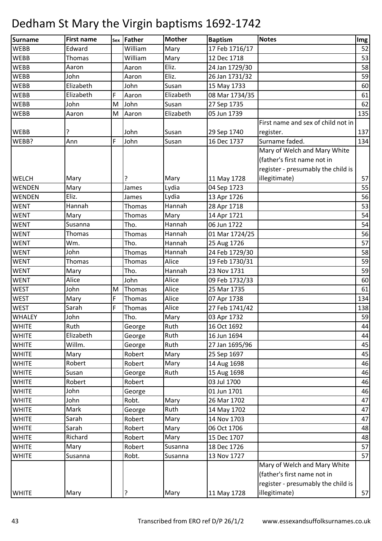| Surname       | <b>First name</b> | Sex | <b>Father</b> | <b>Mother</b> | <b>Baptism</b> | <b>Notes</b>                       | Img |
|---------------|-------------------|-----|---------------|---------------|----------------|------------------------------------|-----|
| <b>WEBB</b>   | Edward            |     | William       | Mary          | 17 Feb 1716/17 |                                    | 52  |
| <b>WEBB</b>   | Thomas            |     | William       | Mary          | 12 Dec 1718    |                                    | 53  |
| <b>WEBB</b>   | Aaron             |     | Aaron         | Eliz.         | 24 Jan 1729/30 |                                    | 58  |
| <b>WEBB</b>   | John              |     | Aaron         | Eliz.         | 26 Jan 1731/32 |                                    | 59  |
| WEBB          | Elizabeth         |     | John          | Susan         | 15 May 1733    |                                    | 60  |
| <b>WEBB</b>   | Elizabeth         | F   | Aaron         | Elizabeth     | 08 Mar 1734/35 |                                    | 61  |
| <b>WEBB</b>   | John              | M   | John          | Susan         | 27 Sep 1735    |                                    | 62  |
| <b>WEBB</b>   | Aaron             | M   | Aaron         | Elizabeth     | 05 Jun 1739    |                                    | 135 |
|               |                   |     |               |               |                | First name and sex of child not in |     |
| <b>WEBB</b>   |                   |     | John          | Susan         | 29 Sep 1740    | register.                          | 137 |
| WEBB?         | Ann               | F   | John          | Susan         | 16 Dec 1737    | Surname faded.                     | 134 |
|               |                   |     |               |               |                | Mary of Welch and Mary White       |     |
|               |                   |     |               |               |                | (father's first name not in        |     |
|               |                   |     |               |               |                | register - presumably the child is |     |
| <b>WELCH</b>  | Mary              |     | ?             | Mary          | 11 May 1728    | illegitimate)                      | 57  |
| WENDEN        | Mary              |     | James         | Lydia         | 04 Sep 1723    |                                    | 55  |
| WENDEN        | Eliz.             |     | James         | Lydia         | 13 Apr 1726    |                                    | 56  |
| <b>WENT</b>   | Hannah            |     | Thomas        | Hannah        | 28 Apr 1718    |                                    | 53  |
| <b>WENT</b>   | Mary              |     | Thomas        | Mary          | 14 Apr 1721    |                                    | 54  |
| <b>WENT</b>   | Susanna           |     | Tho.          | Hannah        | 06 Jun 1722    |                                    | 54  |
| <b>WENT</b>   | Thomas            |     | Thomas        | Hannah        | 01 Mar 1724/25 |                                    | 56  |
| <b>WENT</b>   | Wm.               |     | Tho.          | Hannah        | 25 Aug 1726    |                                    | 57  |
| <b>WENT</b>   | John              |     | Thomas        | Hannah        | 24 Feb 1729/30 |                                    | 58  |
| <b>WENT</b>   | Thomas            |     | Thomas        | Alice         | 19 Feb 1730/31 |                                    | 59  |
| <b>WENT</b>   | Mary              |     | Tho.          | Hannah        | 23 Nov 1731    |                                    | 59  |
| <b>WENT</b>   | Alice             |     | John          | Alice         | 09 Feb 1732/33 |                                    | 60  |
| <b>WEST</b>   | John              | M   | Thomas        | Alice         | 25 Mar 1735    |                                    | 61  |
| <b>WEST</b>   | Mary              | F   | Thomas        | Alice         | 07 Apr 1738    |                                    | 134 |
| <b>WEST</b>   | Sarah             | F   | Thomas        | Alice         | 27 Feb 1741/42 |                                    | 138 |
| <b>WHALEY</b> | John              |     | Tho.          | Mary          | 03 Apr 1732    |                                    | 59  |
| <b>WHITE</b>  | Ruth              |     | George        | Ruth          | 16 Oct 1692    |                                    | 44  |
| <b>WHITE</b>  | Elizabeth         |     | George        | Ruth          | 16 Jun 1694    |                                    | 44  |
| <b>WHITE</b>  | Willm.            |     | George        | Ruth          | 27 Jan 1695/96 |                                    | 45  |
| <b>WHITE</b>  | Mary              |     | Robert        | Mary          | 25 Sep 1697    |                                    | 45  |
| <b>WHITE</b>  | Robert            |     | Robert        | Mary          | 14 Aug 1698    |                                    | 46  |
| <b>WHITE</b>  | Susan             |     | George        | Ruth          | 15 Aug 1698    |                                    | 46  |
| <b>WHITE</b>  | Robert            |     | Robert        |               | 03 Jul 1700    |                                    | 46  |
| <b>WHITE</b>  | John              |     | George        |               | 01 Jun 1701    |                                    | 46  |
| <b>WHITE</b>  | John              |     | Robt.         | Mary          | 26 Mar 1702    |                                    | 47  |
| <b>WHITE</b>  | Mark              |     | George        | Ruth          | 14 May 1702    |                                    | 47  |
| <b>WHITE</b>  | Sarah             |     | Robert        | Mary          | 14 Nov 1703    |                                    | 47  |
| <b>WHITE</b>  | Sarah             |     | Robert        | Mary          | 06 Oct 1706    |                                    | 48  |
| <b>WHITE</b>  | Richard           |     | Robert        | Mary          | 15 Dec 1707    |                                    | 48  |
| <b>WHITE</b>  | Mary              |     | Robert        | Susanna       | 18 Dec 1726    |                                    | 57  |
| <b>WHITE</b>  | Susanna           |     | Robt.         | Susanna       | 13 Nov 1727    |                                    | 57  |
|               |                   |     |               |               |                | Mary of Welch and Mary White       |     |
|               |                   |     |               |               |                | (father's first name not in        |     |
|               |                   |     |               |               |                | register - presumably the child is |     |
| <b>WHITE</b>  | Mary              |     | ?             | Mary          | 11 May 1728    | illegitimate)                      | 57  |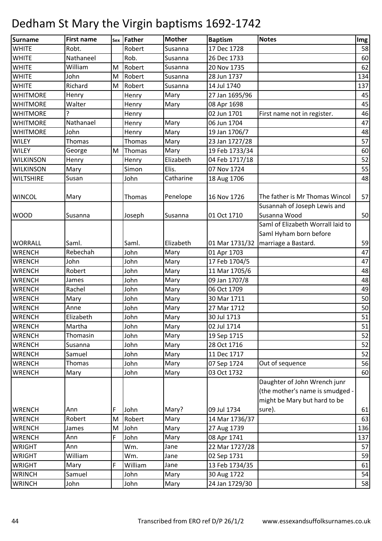| Surname          | <b>First name</b> |   | sex Father | <b>Mother</b> | <b>Baptism</b> | <b>Notes</b>                      | Img |
|------------------|-------------------|---|------------|---------------|----------------|-----------------------------------|-----|
| <b>WHITE</b>     | Robt.             |   | Robert     | Susanna       | 17 Dec 1728    |                                   | 58  |
| <b>WHITE</b>     | Nathaneel         |   | Rob.       | Susanna       | 26 Dec 1733    |                                   | 60  |
| <b>WHITE</b>     | William           | M | Robert     | Susanna       | 20 Nov 1735    |                                   | 62  |
| <b>WHITE</b>     | John              | M | Robert     | Susanna       | 28 Jun 1737    |                                   | 134 |
| <b>WHITE</b>     | Richard           | M | Robert     | Susanna       | 14 Jul 1740    |                                   | 137 |
| <b>WHITMORE</b>  | Henry             |   | Henry      | Mary          | 27 Jan 1695/96 |                                   | 45  |
| <b>WHITMORE</b>  | Walter            |   | Henry      | Mary          | 08 Apr 1698    |                                   | 45  |
| <b>WHITMORE</b>  | 2                 |   | Henry      |               | 02 Jun 1701    | First name not in register.       | 46  |
| <b>WHITMORE</b>  | Nathanael         |   | Henry      | Mary          | 06 Jun 1704    |                                   | 47  |
| <b>WHITMORE</b>  | John              |   | Henry      | Mary          | 19 Jan 1706/7  |                                   | 48  |
| <b>WILEY</b>     | Thomas            |   | Thomas     | Mary          | 23 Jan 1727/28 |                                   | 57  |
| <b>WILEY</b>     | George            | M | Thomas     | Mary          | 19 Feb 1733/34 |                                   | 60  |
| <b>WILKINSON</b> | Henry             |   | Henry      | Elizabeth     | 04 Feb 1717/18 |                                   | 52  |
| <b>WILKINSON</b> | Mary              |   | Simon      | Elis.         | 07 Nov 1724    |                                   | 55  |
| <b>WILTSHIRE</b> | Susan             |   | John       | Catharine     | 18 Aug 1706    |                                   | 48  |
|                  |                   |   |            |               |                |                                   |     |
| <b>WINCOL</b>    | Mary              |   | Thomas     | Penelope      | 16 Nov 1726    | The father is Mr Thomas Wincol    | 57  |
|                  |                   |   |            |               |                | Susannah of Joseph Lewis and      |     |
| <b>WOOD</b>      | Susanna           |   | Joseph     | Susanna       | 01 Oct 1710    | Susanna Wood                      | 50  |
|                  |                   |   |            |               |                | Saml of Elizabeth Worrall laid to |     |
|                  |                   |   |            |               |                | Saml Hyham born before            |     |
| <b>WORRALL</b>   | Saml.             |   | Saml.      | Elizabeth     | 01 Mar 1731/32 | marriage a Bastard.               | 59  |
| <b>WRENCH</b>    | Rebechah          |   | John       | Mary          | 01 Apr 1703    |                                   | 47  |
| <b>WRENCH</b>    | John              |   | John       | Mary          | 17 Feb 1704/5  |                                   | 47  |
| <b>WRENCH</b>    | Robert            |   | John       | Mary          | 11 Mar 1705/6  |                                   | 48  |
| <b>WRENCH</b>    | James             |   | John       | Mary          | 09 Jan 1707/8  |                                   | 48  |
| <b>WRENCH</b>    | Rachel            |   | John       | Mary          | 06 Oct 1709    |                                   | 49  |
| <b>WRENCH</b>    | Mary              |   | John       | Mary          | 30 Mar 1711    |                                   | 50  |
| <b>WRENCH</b>    | Anne              |   | John       | Mary          | 27 Mar 1712    |                                   | 50  |
| <b>WRENCH</b>    | Elizabeth         |   | John       | Mary          | 30 Jul 1713    |                                   | 51  |
| <b>WRENCH</b>    | Martha            |   | John       | Mary          | 02 Jul 1714    |                                   | 51  |
| <b>WRENCH</b>    | Thomasin          |   | John       | Mary          | 19 Sep 1715    |                                   | 52  |
| <b>WRENCH</b>    | Susanna           |   | John       | Mary          | 28 Oct 1716    |                                   | 52  |
| <b>WRENCH</b>    | Samuel            |   | John       | Mary          | 11 Dec 1717    |                                   | 52  |
| <b>WRENCH</b>    | Thomas            |   | John       | Mary          | 07 Sep 1724    | Out of sequence                   | 56  |
| <b>WRENCH</b>    | Mary              |   | John       | Mary          | 03 Oct 1732    |                                   | 60  |
|                  |                   |   |            |               |                | Daughter of John Wrench junr      |     |
|                  |                   |   |            |               |                | (the mother's name is smudged -   |     |
|                  |                   |   |            |               |                | might be Mary but hard to be      |     |
| <b>WRENCH</b>    | Ann               | F | John       | Mary?         | 09 Jul 1734    | sure).                            | 61  |
| <b>WRENCH</b>    | Robert            | M | Robert     | Mary          | 14 Mar 1736/37 |                                   | 63  |
| WRENCH           | James             | M | John       | Mary          | 27 Aug 1739    |                                   | 136 |
| <b>WRENCH</b>    | Ann               | F | John       | Mary          | 08 Apr 1741    |                                   | 137 |
| <b>WRIGHT</b>    | Ann               |   | Wm.        | Jane          | 22 Mar 1727/28 |                                   | 57  |
| <b>WRIGHT</b>    | William           |   | Wm.        | Jane          | 02 Sep 1731    |                                   | 59  |
| <b>WRIGHT</b>    | Mary              | F | William    | Jane          | 13 Feb 1734/35 |                                   | 61  |
| <b>WRINCH</b>    | Samuel            |   | John       | Mary          | 30 Aug 1722    |                                   | 54  |
| <b>WRINCH</b>    | John              |   | John       | Mary          | 24 Jan 1729/30 |                                   | 58  |